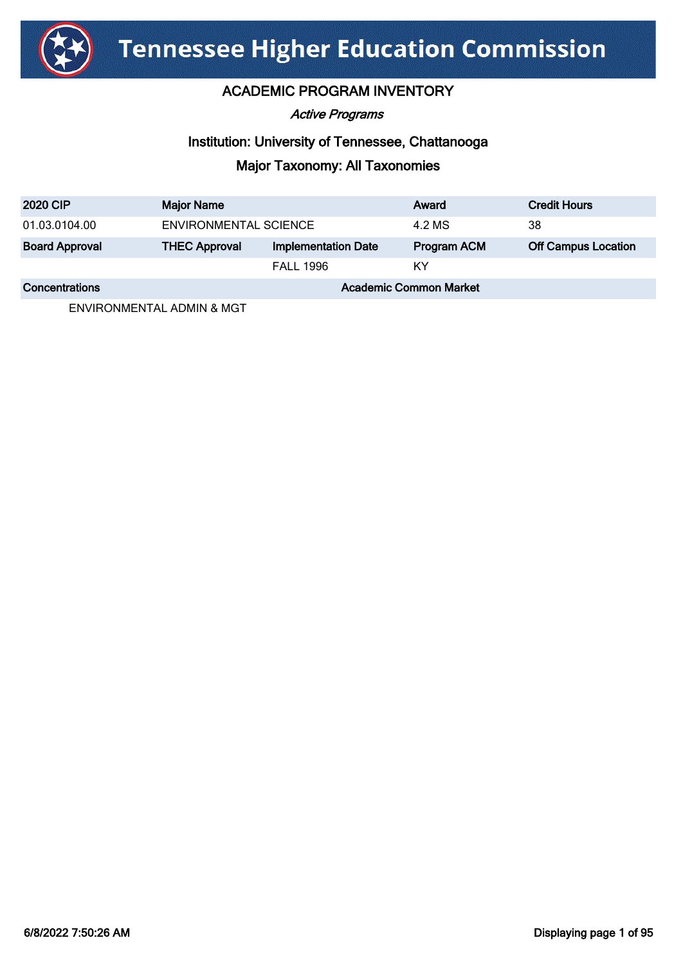

### ACADEMIC PROGRAM INVENTORY

Active Programs

### Institution: University of Tennessee, Chattanooga

## Major Taxonomy: All Taxonomies

| <b>2020 CIP</b>       | <b>Major Name</b>             |                            | Award              | <b>Credit Hours</b>        |
|-----------------------|-------------------------------|----------------------------|--------------------|----------------------------|
| 01.03.0104.00         | ENVIRONMENTAL SCIENCE         |                            | 4.2 MS             | 38                         |
| <b>Board Approval</b> | <b>THEC Approval</b>          | <b>Implementation Date</b> | <b>Program ACM</b> | <b>Off Campus Location</b> |
|                       |                               | <b>FALL 1996</b>           | ΚY                 |                            |
| <b>Concentrations</b> | <b>Academic Common Market</b> |                            |                    |                            |

ENVIRONMENTAL ADMIN & MGT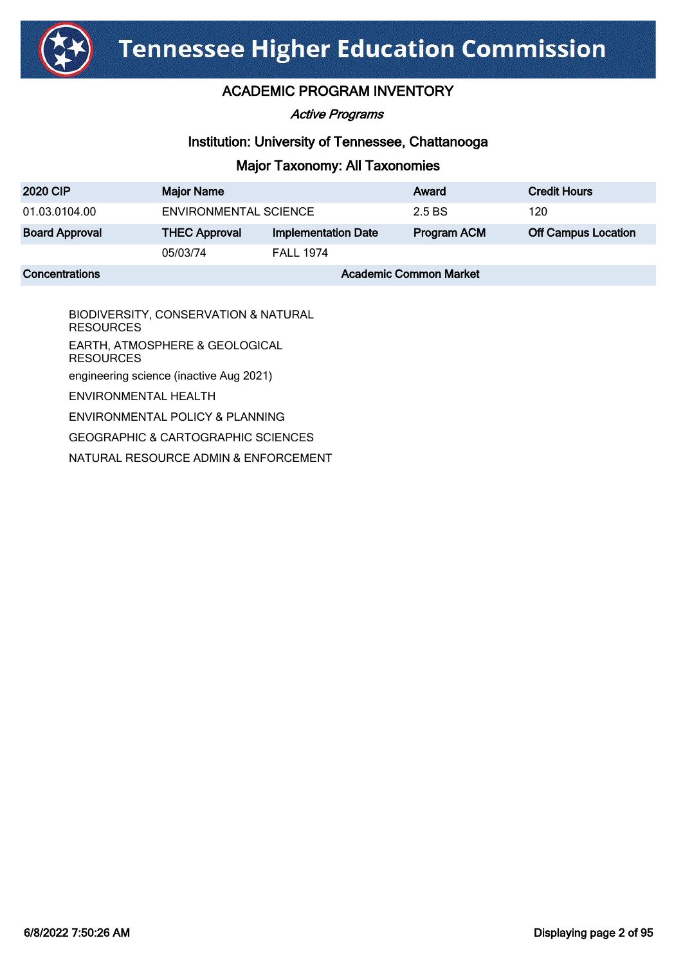

Active Programs

### Institution: University of Tennessee, Chattanooga

### Major Taxonomy: All Taxonomies

| <b>2020 CIP</b>       | <b>Major Name</b>             |                            | Award              | <b>Credit Hours</b>        |
|-----------------------|-------------------------------|----------------------------|--------------------|----------------------------|
| 01.03.0104.00         | <b>ENVIRONMENTAL SCIENCE</b>  |                            | 2.5 BS             | 120                        |
| <b>Board Approval</b> | <b>THEC Approval</b>          | <b>Implementation Date</b> | <b>Program ACM</b> | <b>Off Campus Location</b> |
|                       | 05/03/74                      | <b>FALL 1974</b>           |                    |                            |
| <b>Concentrations</b> | <b>Academic Common Market</b> |                            |                    |                            |

BIODIVERSITY, CONSERVATION & NATURAL RESOURCES EARTH, ATMOSPHERE & GEOLOGICAL RESOURCES engineering science (inactive Aug 2021) ENVIRONMENTAL HEALTH ENVIRONMENTAL POLICY & PLANNING GEOGRAPHIC & CARTOGRAPHIC SCIENCES

NATURAL RESOURCE ADMIN & ENFORCEMENT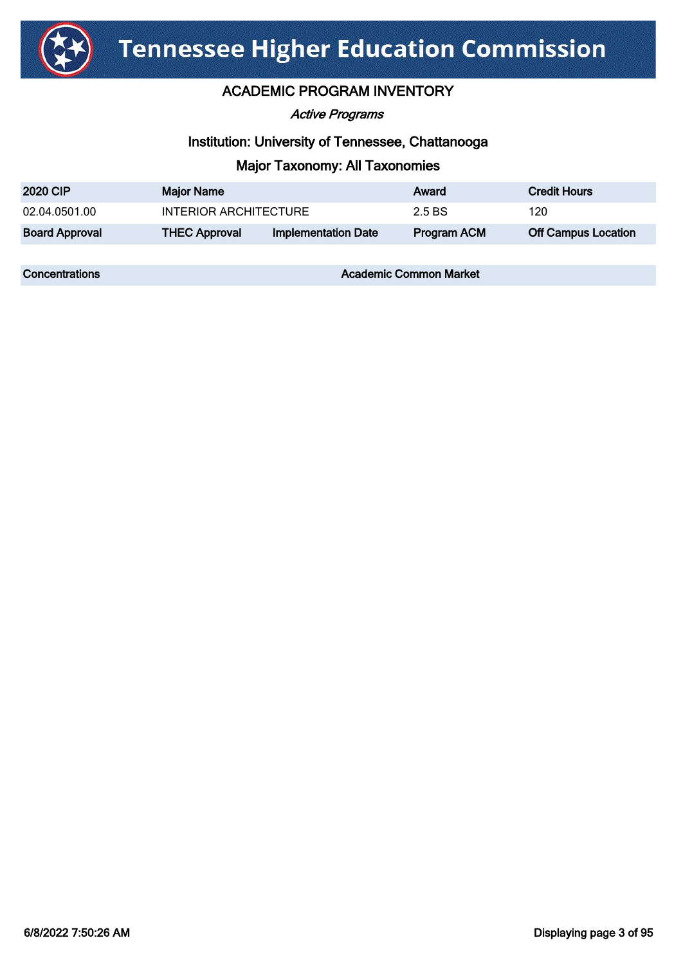

Active Programs

### Institution: University of Tennessee, Chattanooga

### Major Taxonomy: All Taxonomies

| <b>2020 CIP</b>       | <b>Major Name</b>     |                     | Award              | <b>Credit Hours</b>        |
|-----------------------|-----------------------|---------------------|--------------------|----------------------------|
| 02.04.0501.00         | INTERIOR ARCHITECTURE |                     | 2.5 BS             | 120                        |
| <b>Board Approval</b> | <b>THEC Approval</b>  | Implementation Date | <b>Program ACM</b> | <b>Off Campus Location</b> |

**Concentrations Concentrations** Academic Common Market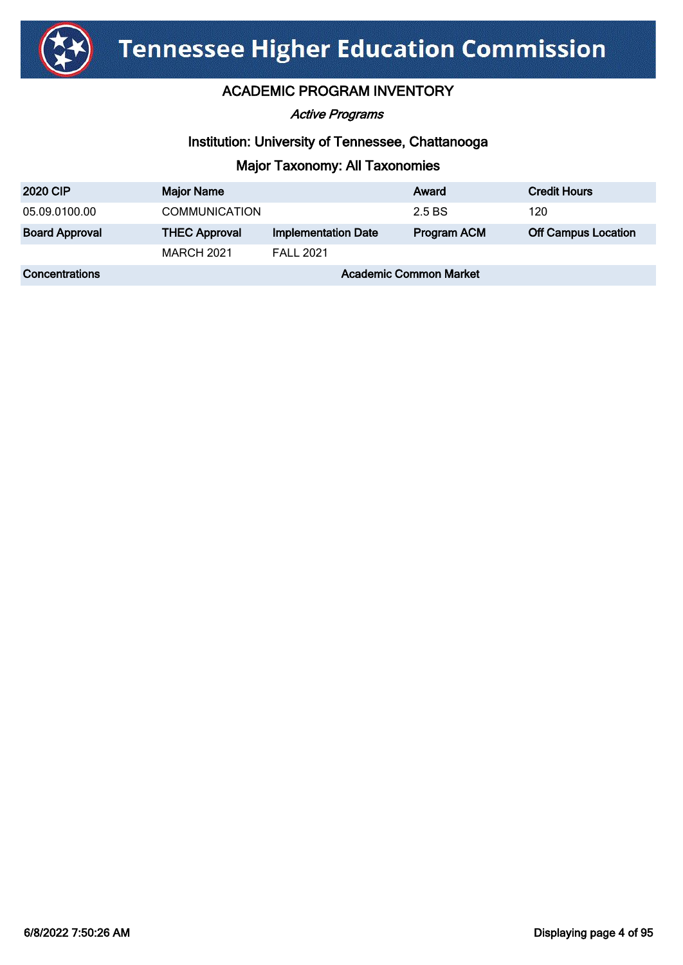

Active Programs

### Institution: University of Tennessee, Chattanooga

| <b>2020 CIP</b>       | <b>Major Name</b>             |                            | Award              | <b>Credit Hours</b>        |
|-----------------------|-------------------------------|----------------------------|--------------------|----------------------------|
| 05.09.0100.00         | <b>COMMUNICATION</b>          |                            | 2.5 BS             | 120                        |
| <b>Board Approval</b> | <b>THEC Approval</b>          | <b>Implementation Date</b> | <b>Program ACM</b> | <b>Off Campus Location</b> |
|                       | <b>MARCH 2021</b>             | <b>FALL 2021</b>           |                    |                            |
| <b>Concentrations</b> | <b>Academic Common Market</b> |                            |                    |                            |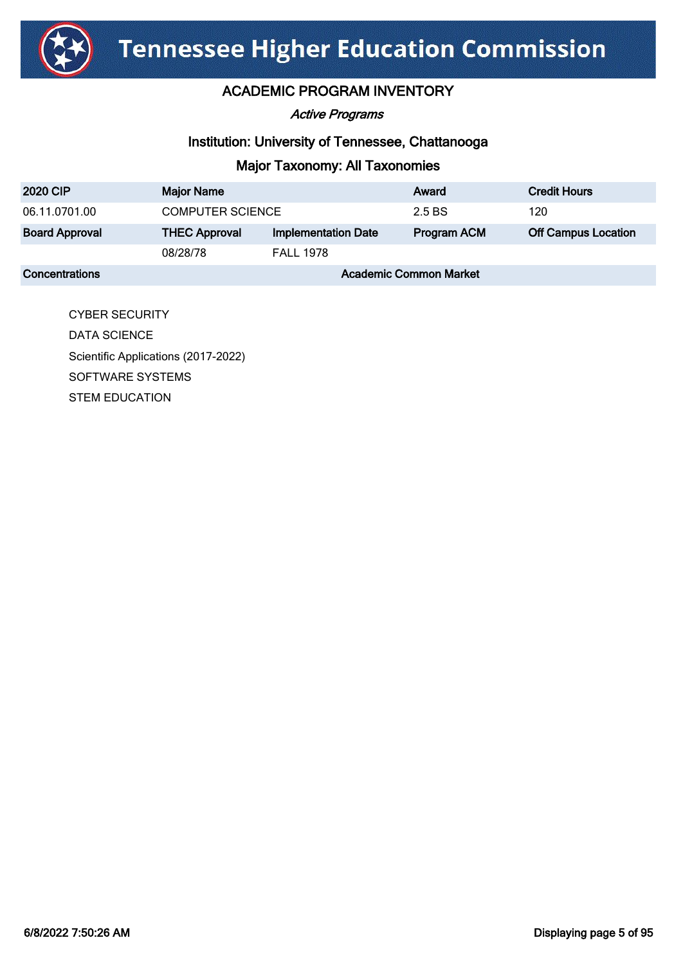

Active Programs

### Institution: University of Tennessee, Chattanooga

## Major Taxonomy: All Taxonomies

| <b>2020 CIP</b>       | <b>Major Name</b>             |                            | Award              | <b>Credit Hours</b>        |
|-----------------------|-------------------------------|----------------------------|--------------------|----------------------------|
| 06.11.0701.00         | <b>COMPUTER SCIENCE</b>       |                            | 2.5 BS             | 120                        |
| <b>Board Approval</b> | <b>THEC Approval</b>          | <b>Implementation Date</b> | <b>Program ACM</b> | <b>Off Campus Location</b> |
|                       | 08/28/78                      | <b>FALL 1978</b>           |                    |                            |
| <b>Concentrations</b> | <b>Academic Common Market</b> |                            |                    |                            |

CYBER SECURITY DATA SCIENCE Scientific Applications (2017-2022) SOFTWARE SYSTEMS STEM EDUCATION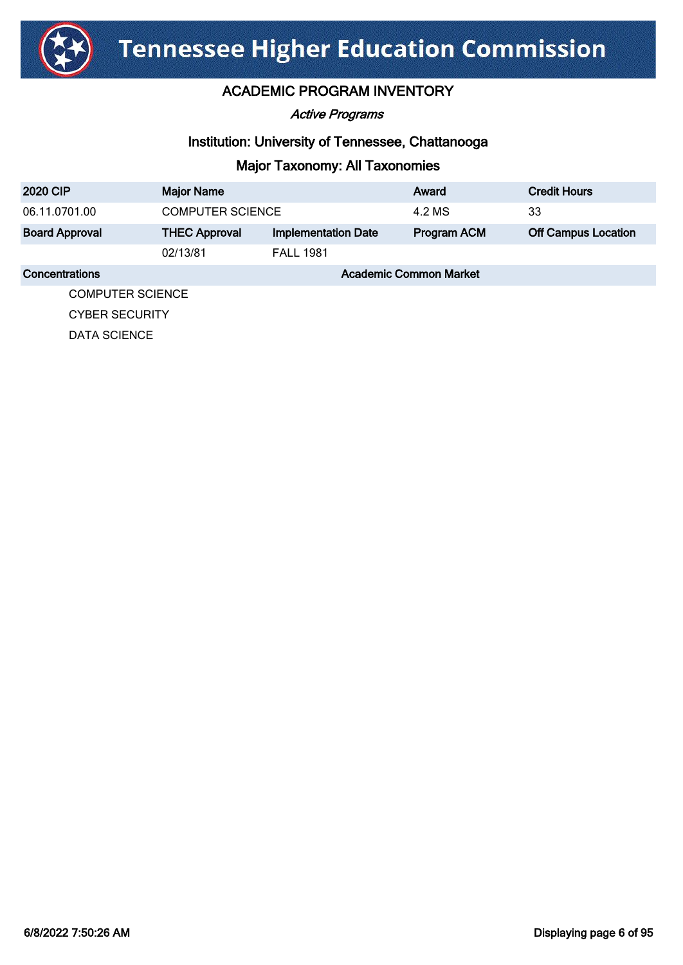

Active Programs

### Institution: University of Tennessee, Chattanooga

### Major Taxonomy: All Taxonomies

| <b>2020 CIP</b>         | <b>Major Name</b>             |                            | Award              | <b>Credit Hours</b>        |
|-------------------------|-------------------------------|----------------------------|--------------------|----------------------------|
| 06.11.0701.00           | <b>COMPUTER SCIENCE</b>       |                            | 4.2 MS             | 33                         |
| <b>Board Approval</b>   | <b>THEC Approval</b>          | <b>Implementation Date</b> | <b>Program ACM</b> | <b>Off Campus Location</b> |
|                         | 02/13/81                      | <b>FALL 1981</b>           |                    |                            |
| Concentrations          | <b>Academic Common Market</b> |                            |                    |                            |
| <b>COMPUTER SCIENCE</b> |                               |                            |                    |                            |

CYBER SECURITY

DATA SCIENCE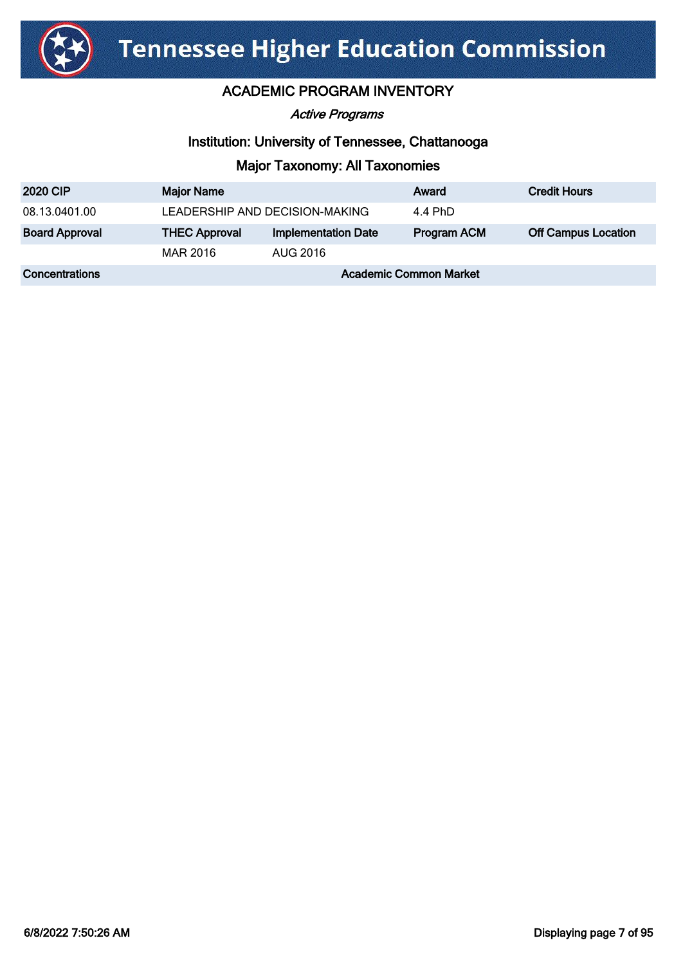

Active Programs

### Institution: University of Tennessee, Chattanooga

| <b>2020 CIP</b>       | <b>Major Name</b>              |                            | Award       | <b>Credit Hours</b>        |
|-----------------------|--------------------------------|----------------------------|-------------|----------------------------|
| 08.13.0401.00         | LEADERSHIP AND DECISION-MAKING |                            | 4.4 PhD     |                            |
| <b>Board Approval</b> | <b>THEC Approval</b>           | <b>Implementation Date</b> | Program ACM | <b>Off Campus Location</b> |
|                       | MAR 2016                       | AUG 2016                   |             |                            |
| <b>Concentrations</b> | <b>Academic Common Market</b>  |                            |             |                            |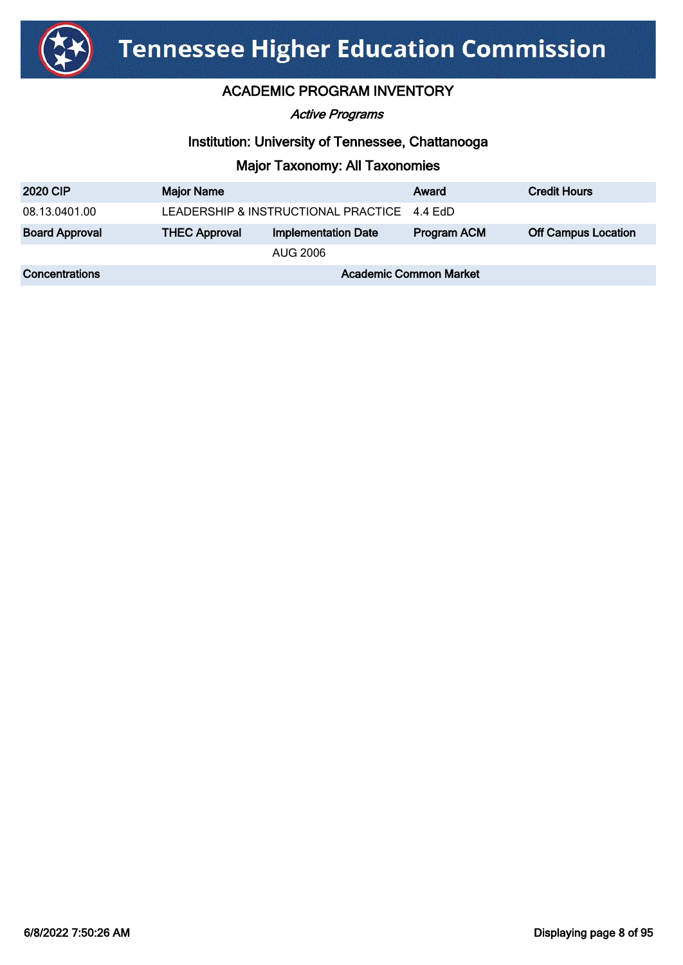

### ACADEMIC PROGRAM INVENTORY

#### Active Programs

### Institution: University of Tennessee, Chattanooga

| <b>2020 CIP</b>       | <b>Major Name</b>                           |                            | Award       | <b>Credit Hours</b>        |
|-----------------------|---------------------------------------------|----------------------------|-------------|----------------------------|
| 08.13.0401.00         | LEADERSHIP & INSTRUCTIONAL PRACTICE 4.4 EdD |                            |             |                            |
| <b>Board Approval</b> | <b>THEC Approval</b>                        | <b>Implementation Date</b> | Program ACM | <b>Off Campus Location</b> |
|                       |                                             | AUG 2006                   |             |                            |
| <b>Concentrations</b> | <b>Academic Common Market</b>               |                            |             |                            |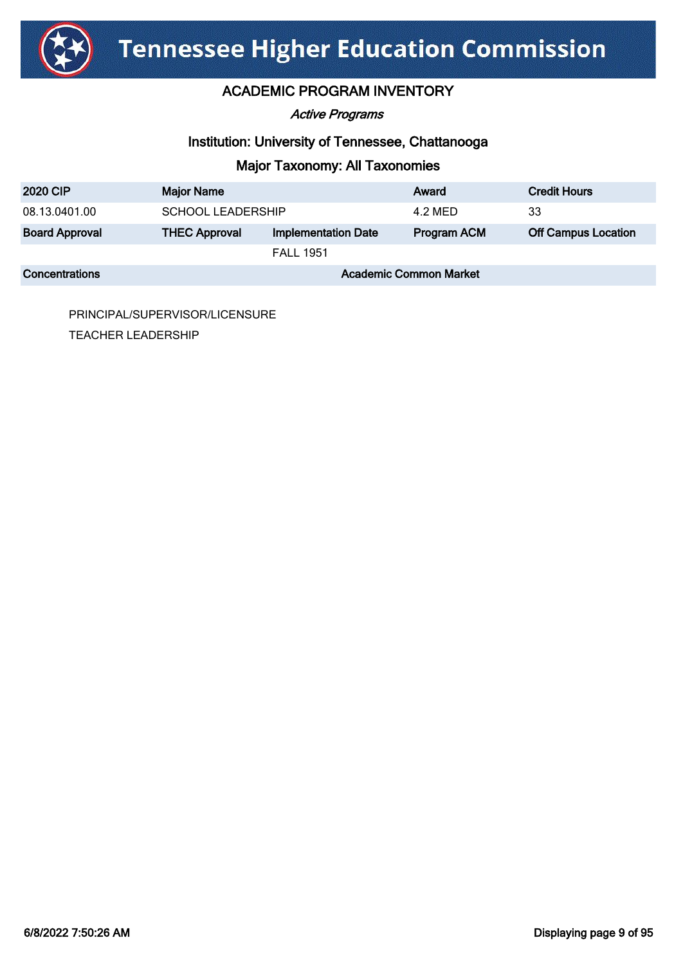

### ACADEMIC PROGRAM INVENTORY

#### Active Programs

### Institution: University of Tennessee, Chattanooga

## Major Taxonomy: All Taxonomies

| <b>2020 CIP</b>       | <b>Major Name</b>             |                            | Award              | <b>Credit Hours</b>        |
|-----------------------|-------------------------------|----------------------------|--------------------|----------------------------|
| 08.13.0401.00         | <b>SCHOOL LEADERSHIP</b>      |                            | 4.2 MED            | -33                        |
| <b>Board Approval</b> | <b>THEC Approval</b>          | <b>Implementation Date</b> | <b>Program ACM</b> | <b>Off Campus Location</b> |
|                       |                               | <b>FALL 1951</b>           |                    |                            |
| <b>Concentrations</b> | <b>Academic Common Market</b> |                            |                    |                            |

PRINCIPAL/SUPERVISOR/LICENSURE TEACHER LEADERSHIP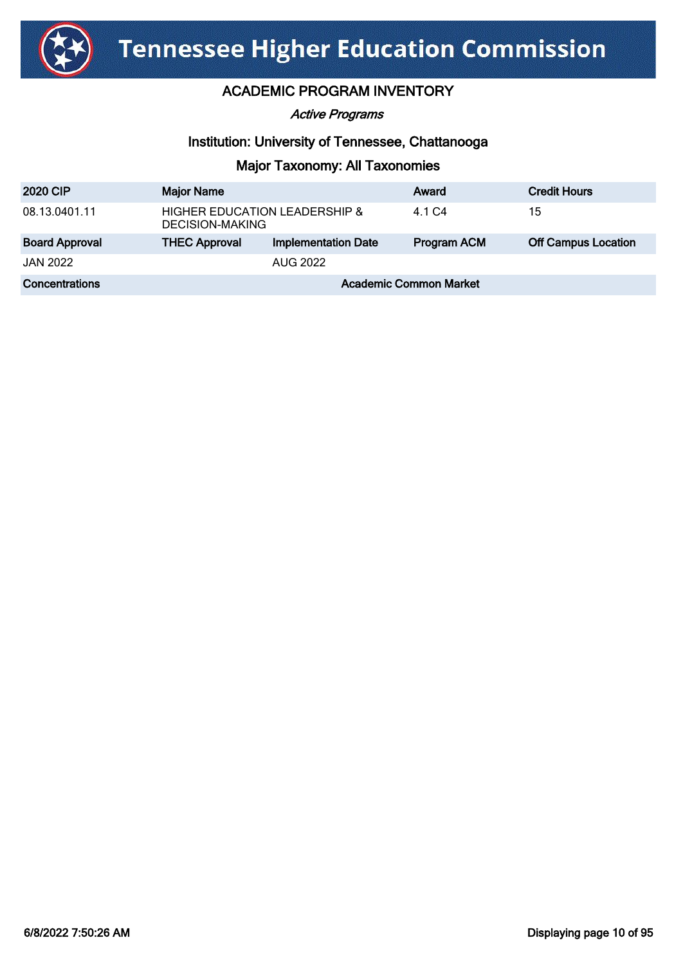

Active Programs

### Institution: University of Tennessee, Chattanooga

| <b>2020 CIP</b>       | <b>Major Name</b>                                           |                            | Award       | <b>Credit Hours</b>        |
|-----------------------|-------------------------------------------------------------|----------------------------|-------------|----------------------------|
| 08.13.0401.11         | <b>HIGHER EDUCATION LEADERSHIP &amp;</b><br>DECISION-MAKING |                            | 4.1 C4      | 15                         |
| <b>Board Approval</b> | <b>THEC Approval</b>                                        | <b>Implementation Date</b> | Program ACM | <b>Off Campus Location</b> |
| <b>JAN 2022</b>       |                                                             | <b>AUG 2022</b>            |             |                            |
| Concentrations        | <b>Academic Common Market</b>                               |                            |             |                            |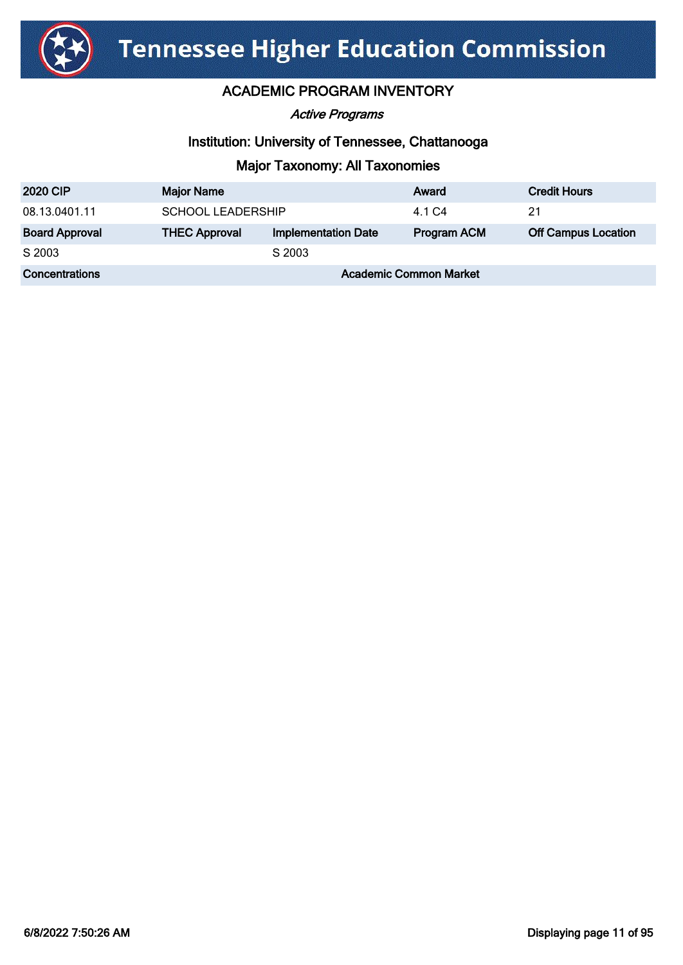

Active Programs

### Institution: University of Tennessee, Chattanooga

| <b>2020 CIP</b>       | <b>Major Name</b>             |                            | Award              | <b>Credit Hours</b>        |
|-----------------------|-------------------------------|----------------------------|--------------------|----------------------------|
| 08.13.0401.11         | <b>SCHOOL LEADERSHIP</b>      |                            | 4.1 C4             | 21                         |
| <b>Board Approval</b> | <b>THEC Approval</b>          | <b>Implementation Date</b> | <b>Program ACM</b> | <b>Off Campus Location</b> |
| S 2003                |                               | S 2003                     |                    |                            |
| Concentrations        | <b>Academic Common Market</b> |                            |                    |                            |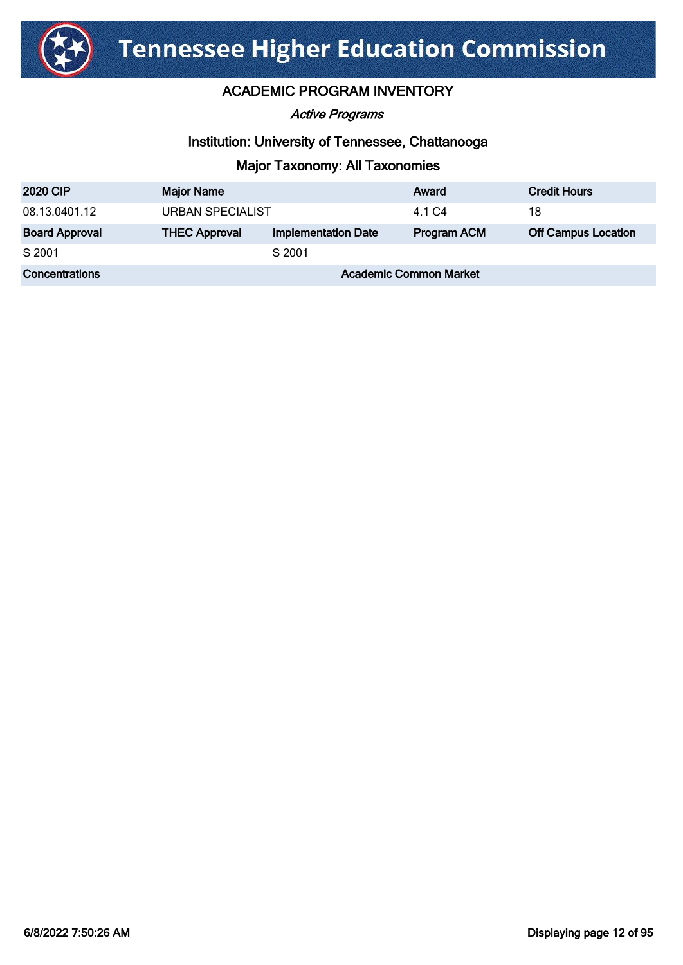

Active Programs

### Institution: University of Tennessee, Chattanooga

| <b>2020 CIP</b>       | <b>Major Name</b>             |                            | Award              | <b>Credit Hours</b>        |
|-----------------------|-------------------------------|----------------------------|--------------------|----------------------------|
| 08.13.0401.12         | <b>URBAN SPECIALIST</b>       |                            | 4.1 C4             | 18                         |
| <b>Board Approval</b> | <b>THEC Approval</b>          | <b>Implementation Date</b> | <b>Program ACM</b> | <b>Off Campus Location</b> |
| S 2001                |                               | S 2001                     |                    |                            |
| Concentrations        | <b>Academic Common Market</b> |                            |                    |                            |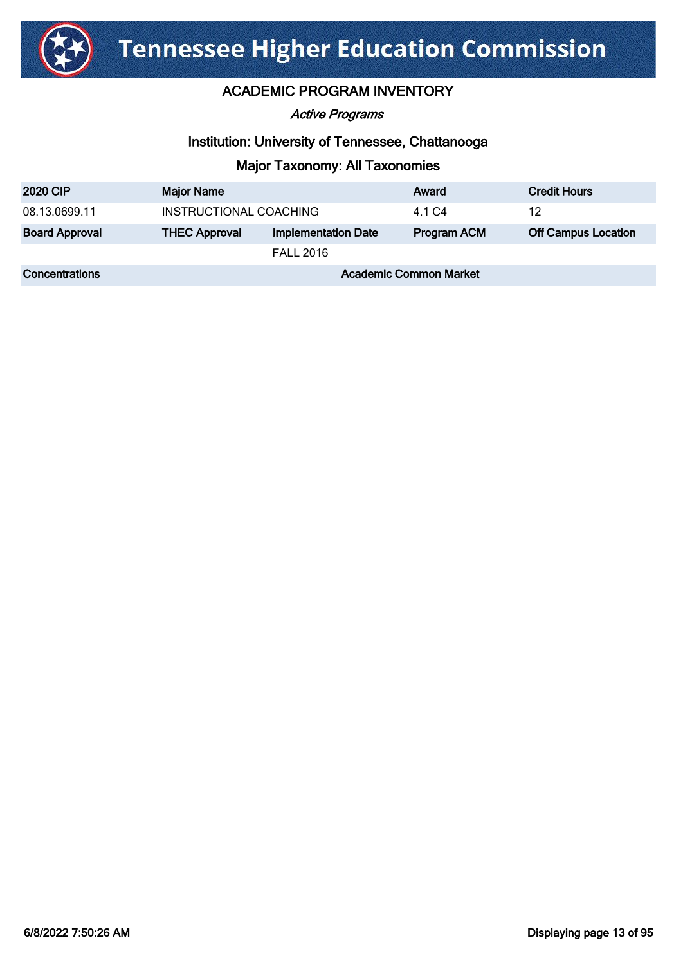

Active Programs

### Institution: University of Tennessee, Chattanooga

| <b>2020 CIP</b>       | <b>Major Name</b>             |                            | Award              | <b>Credit Hours</b>        |
|-----------------------|-------------------------------|----------------------------|--------------------|----------------------------|
| 08.13.0699.11         | INSTRUCTIONAL COACHING        |                            | 4.1 C4             | 12                         |
| <b>Board Approval</b> | <b>THEC Approval</b>          | <b>Implementation Date</b> | <b>Program ACM</b> | <b>Off Campus Location</b> |
|                       |                               | <b>FALL 2016</b>           |                    |                            |
| <b>Concentrations</b> | <b>Academic Common Market</b> |                            |                    |                            |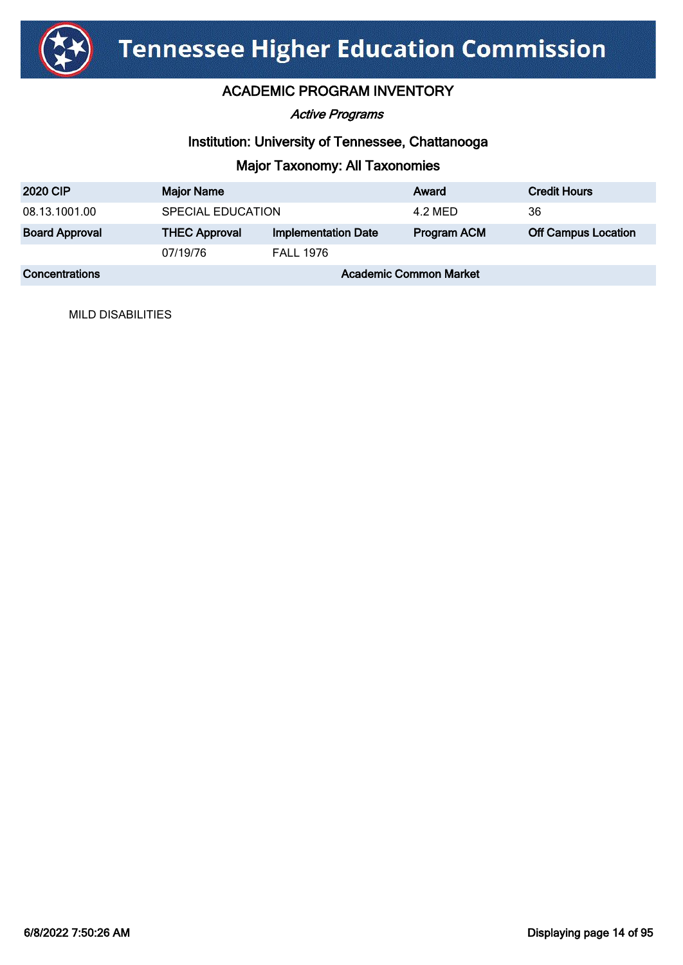

### ACADEMIC PROGRAM INVENTORY

Active Programs

### Institution: University of Tennessee, Chattanooga

## Major Taxonomy: All Taxonomies

| <b>2020 CIP</b>       | <b>Major Name</b>             |                            | Award       | <b>Credit Hours</b>        |
|-----------------------|-------------------------------|----------------------------|-------------|----------------------------|
| 08.13.1001.00         | SPECIAL EDUCATION             |                            | 4.2 MED     | 36                         |
| <b>Board Approval</b> | <b>THEC Approval</b>          | <b>Implementation Date</b> | Program ACM | <b>Off Campus Location</b> |
|                       | 07/19/76                      | <b>FALL 1976</b>           |             |                            |
| <b>Concentrations</b> | <b>Academic Common Market</b> |                            |             |                            |

MILD DISABILITIES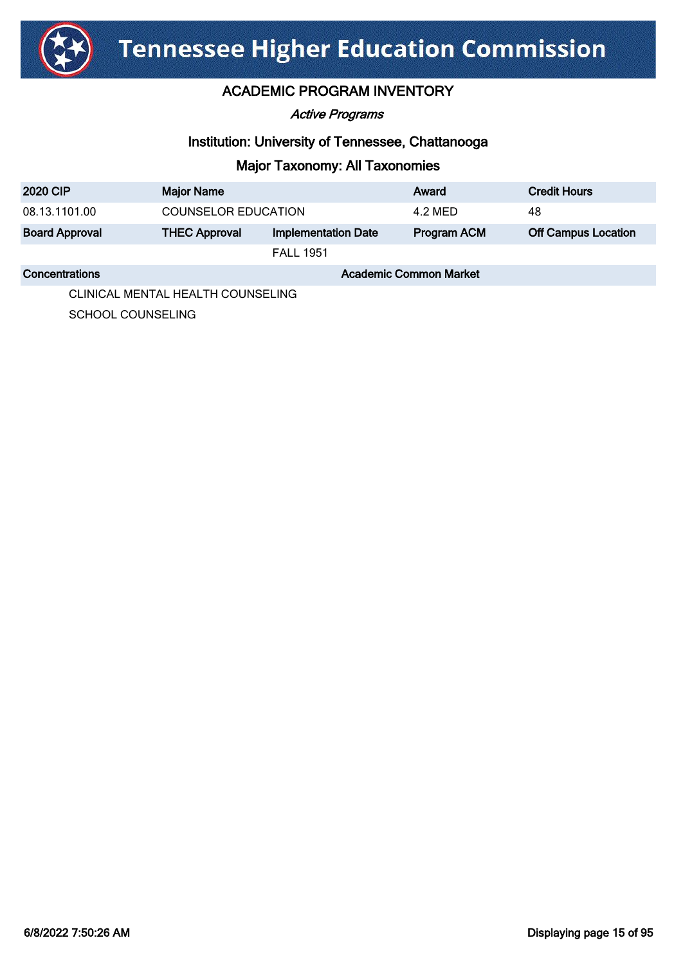

Active Programs

### Institution: University of Tennessee, Chattanooga

### Major Taxonomy: All Taxonomies

| <b>2020 CIP</b>       | <b>Major Name</b>             |                            | Award              | <b>Credit Hours</b>        |
|-----------------------|-------------------------------|----------------------------|--------------------|----------------------------|
| 08.13.1101.00         | <b>COUNSELOR EDUCATION</b>    |                            | 4.2 MED            | 48                         |
| <b>Board Approval</b> | <b>THEC Approval</b>          | <b>Implementation Date</b> | <b>Program ACM</b> | <b>Off Campus Location</b> |
|                       | <b>FALL 1951</b>              |                            |                    |                            |
| Concentrations        | <b>Academic Common Market</b> |                            |                    |                            |

CLINICAL MENTAL HEALTH COUNSELING

SCHOOL COUNSELING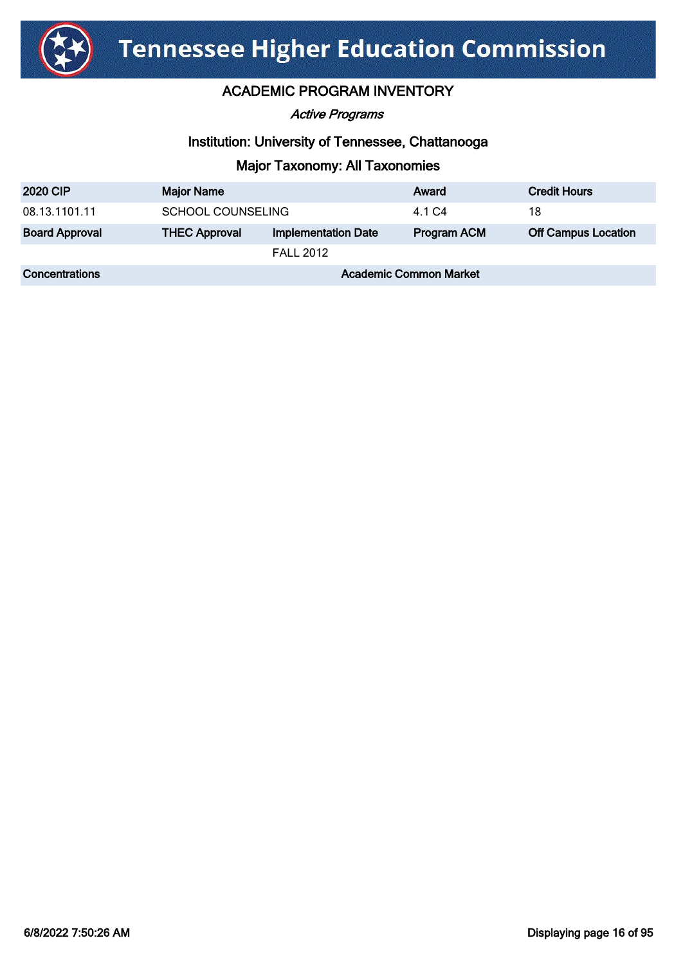

Active Programs

### Institution: University of Tennessee, Chattanooga

| <b>2020 CIP</b>       | <b>Major Name</b>             |                            | Award              | <b>Credit Hours</b>        |
|-----------------------|-------------------------------|----------------------------|--------------------|----------------------------|
| 08.13.1101.11         | <b>SCHOOL COUNSELING</b>      |                            | 4.1 C4             | 18                         |
| <b>Board Approval</b> | <b>THEC Approval</b>          | <b>Implementation Date</b> | <b>Program ACM</b> | <b>Off Campus Location</b> |
|                       |                               | <b>FALL 2012</b>           |                    |                            |
| Concentrations        | <b>Academic Common Market</b> |                            |                    |                            |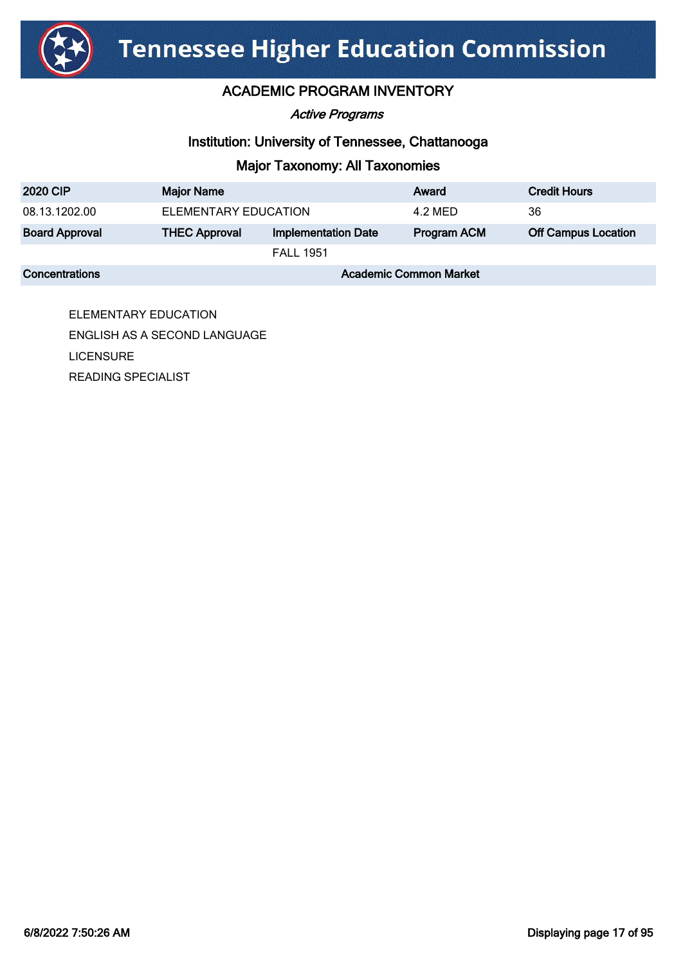

### ACADEMIC PROGRAM INVENTORY

#### Active Programs

### Institution: University of Tennessee, Chattanooga

### Major Taxonomy: All Taxonomies

| <b>2020 CIP</b>       | <b>Major Name</b>             |                            | Award       | <b>Credit Hours</b>        |
|-----------------------|-------------------------------|----------------------------|-------------|----------------------------|
| 08.13.1202.00         | ELEMENTARY EDUCATION          |                            | 4.2 MED     | 36                         |
| <b>Board Approval</b> | <b>THEC Approval</b>          | <b>Implementation Date</b> | Program ACM | <b>Off Campus Location</b> |
|                       | <b>FALL 1951</b>              |                            |             |                            |
| Concentrations        | <b>Academic Common Market</b> |                            |             |                            |

ELEMENTARY EDUCATION ENGLISH AS A SECOND LANGUAGE LICENSURE READING SPECIALIST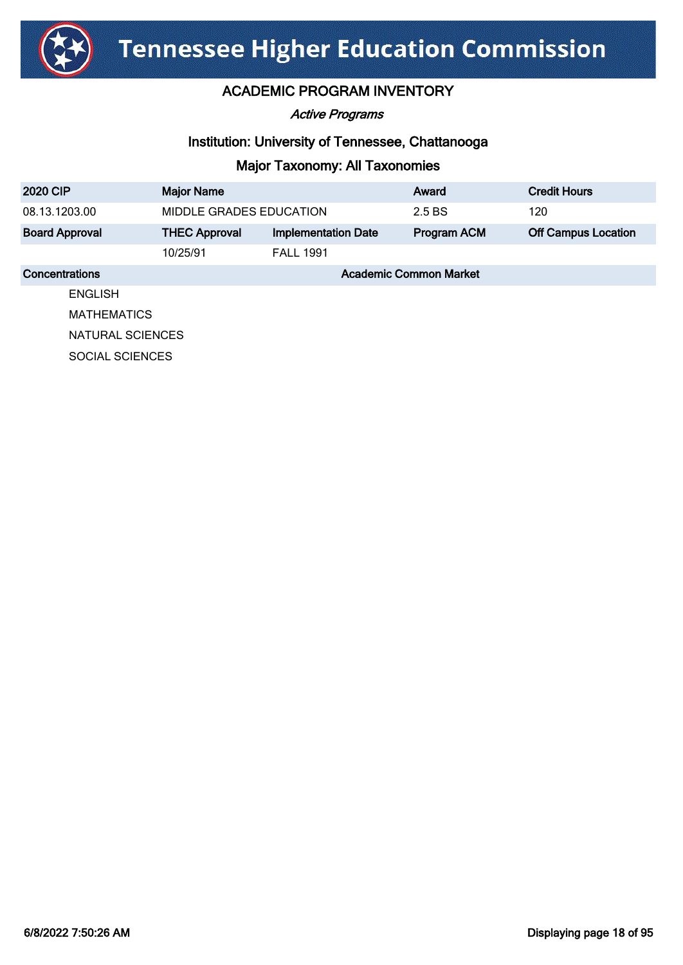

Active Programs

### Institution: University of Tennessee, Chattanooga

| <b>2020 CIP</b>        | <b>Major Name</b>             |                            | Award       | <b>Credit Hours</b>        |
|------------------------|-------------------------------|----------------------------|-------------|----------------------------|
| 08.13.1203.00          | MIDDLE GRADES EDUCATION       |                            | 2.5 BS      | 120                        |
| <b>Board Approval</b>  | <b>THEC Approval</b>          | <b>Implementation Date</b> | Program ACM | <b>Off Campus Location</b> |
|                        | 10/25/91                      | <b>FALL 1991</b>           |             |                            |
| Concentrations         | <b>Academic Common Market</b> |                            |             |                            |
| <b>ENGLISH</b>         |                               |                            |             |                            |
| <b>MATHEMATICS</b>     |                               |                            |             |                            |
|                        | NATURAL SCIENCES              |                            |             |                            |
| <b>SOCIAL SCIENCES</b> |                               |                            |             |                            |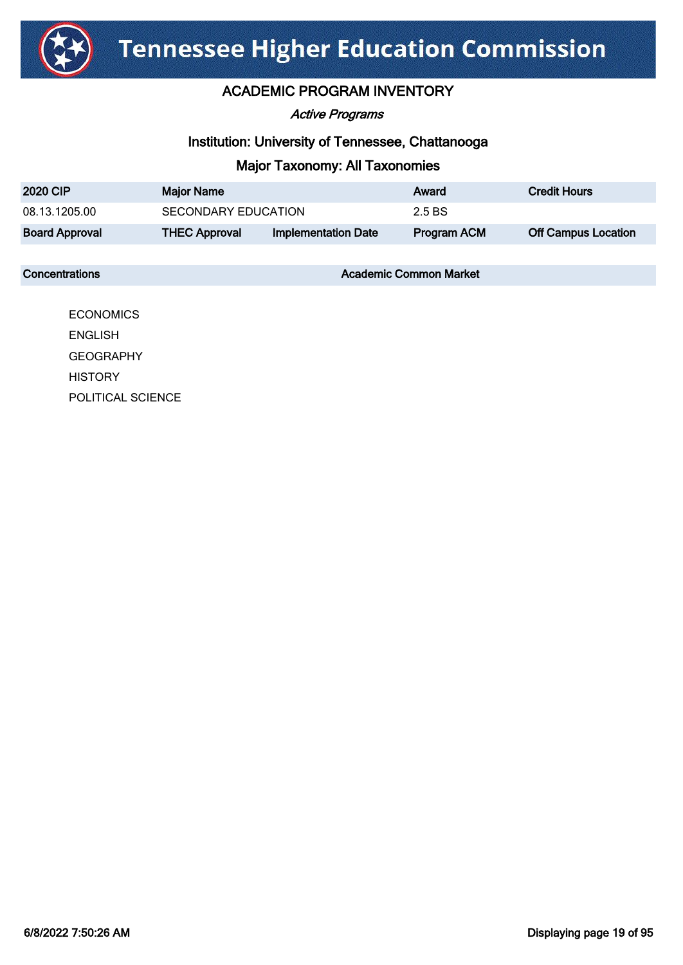

### ACADEMIC PROGRAM INVENTORY

Active Programs

### Institution: University of Tennessee, Chattanooga

### Major Taxonomy: All Taxonomies

| <b>2020 CIP</b>       | <b>Major Name</b>    |                            | Award              | <b>Credit Hours</b>        |
|-----------------------|----------------------|----------------------------|--------------------|----------------------------|
| 08.13.1205.00         | SECONDARY EDUCATION  |                            | 2.5 BS             |                            |
| <b>Board Approval</b> | <b>THEC Approval</b> | <b>Implementation Date</b> | <b>Program ACM</b> | <b>Off Campus Location</b> |

**Concentrations Concentrations** Academic Common Market

**ECONOMICS** ENGLISH **GEOGRAPHY HISTORY** POLITICAL SCIENCE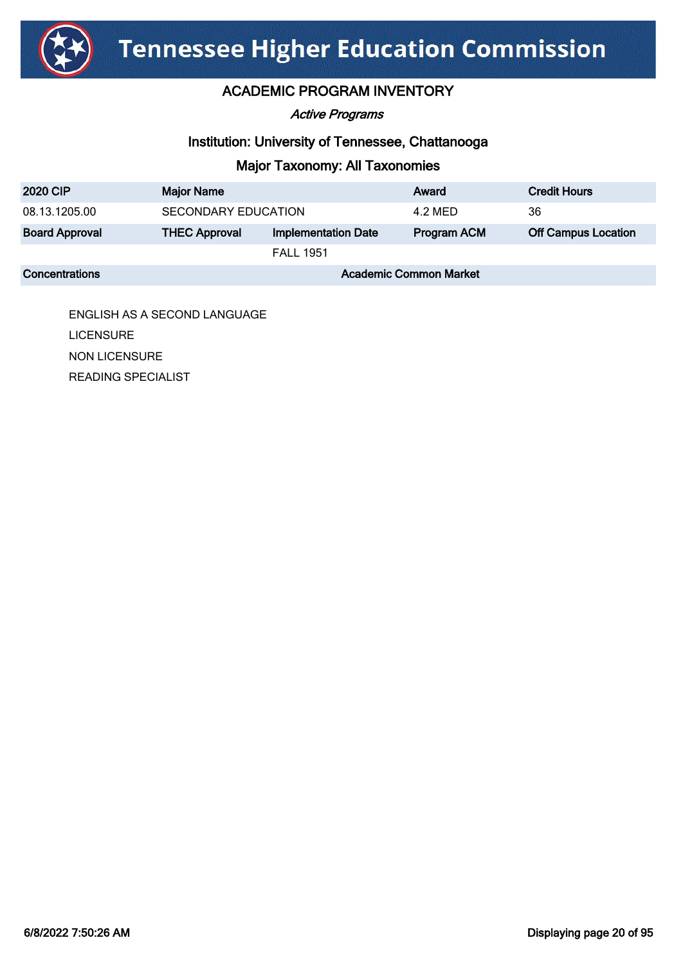

### ACADEMIC PROGRAM INVENTORY

Active Programs

### Institution: University of Tennessee, Chattanooga

## Major Taxonomy: All Taxonomies

| <b>2020 CIP</b>       | <b>Major Name</b>             |                            | Award              | <b>Credit Hours</b>        |
|-----------------------|-------------------------------|----------------------------|--------------------|----------------------------|
| 08.13.1205.00         | <b>SECONDARY EDUCATION</b>    |                            | 4.2 MED            | 36                         |
| <b>Board Approval</b> | <b>THEC Approval</b>          | <b>Implementation Date</b> | <b>Program ACM</b> | <b>Off Campus Location</b> |
|                       |                               | <b>FALL 1951</b>           |                    |                            |
| <b>Concentrations</b> | <b>Academic Common Market</b> |                            |                    |                            |

ENGLISH AS A SECOND LANGUAGE **LICENSURE** NON LICENSURE READING SPECIALIST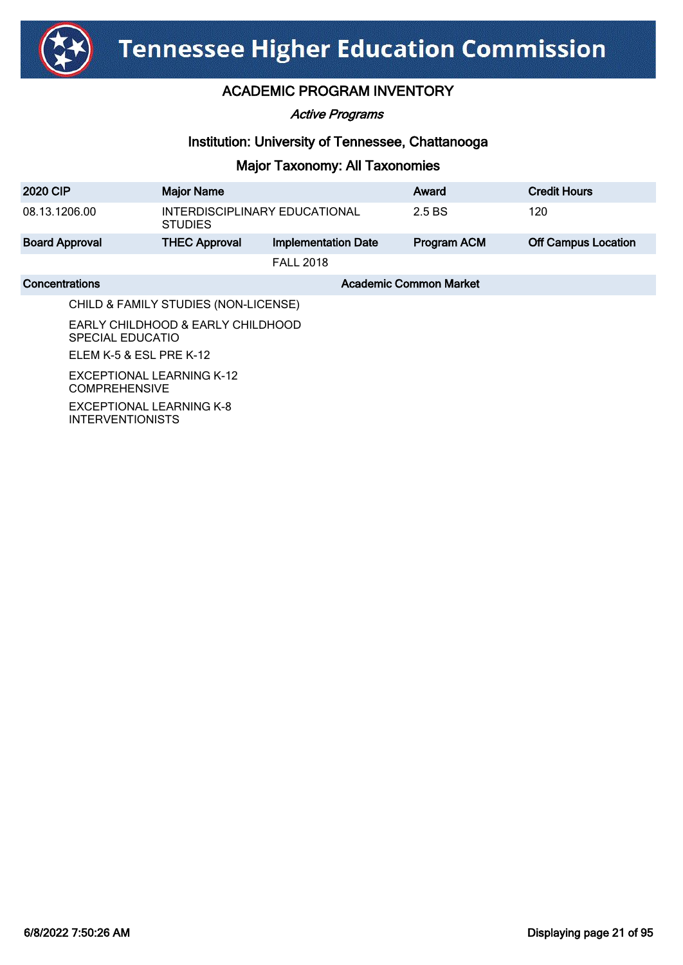

Active Programs

### Institution: University of Tennessee, Chattanooga

| <b>2020 CIP</b>                                     | <b>Major Name</b>                                        |                            | Award                         | <b>Credit Hours</b>        |
|-----------------------------------------------------|----------------------------------------------------------|----------------------------|-------------------------------|----------------------------|
| 08.13.1206.00                                       | INTERDISCIPLINARY EDUCATIONAL<br><b>STUDIES</b>          |                            | 2.5 BS                        | 120                        |
| <b>Board Approval</b>                               | <b>THEC Approval</b>                                     | <b>Implementation Date</b> | <b>Program ACM</b>            | <b>Off Campus Location</b> |
|                                                     |                                                          | <b>FALL 2018</b>           |                               |                            |
| Concentrations                                      |                                                          |                            | <b>Academic Common Market</b> |                            |
|                                                     | CHILD & FAMILY STUDIES (NON-LICENSE)                     |                            |                               |                            |
|                                                     | EARLY CHILDHOOD & EARLY CHILDHOOD<br>SPECIAL EDUCATIO    |                            |                               |                            |
| ELEM K-5 & ESL PRE K-12                             |                                                          |                            |                               |                            |
|                                                     | <b>EXCEPTIONAL LEARNING K-12</b><br><b>COMPREHENSIVE</b> |                            |                               |                            |
| EXCEPTIONAL LEARNING K-8<br><b>INTERVENTIONISTS</b> |                                                          |                            |                               |                            |
|                                                     |                                                          |                            |                               |                            |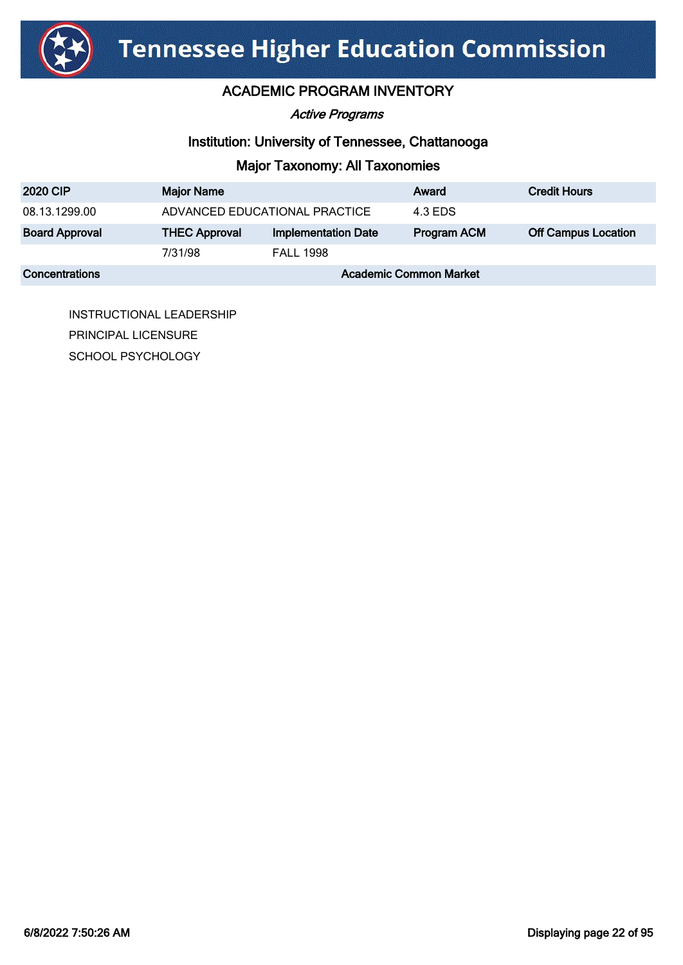

### ACADEMIC PROGRAM INVENTORY

#### Active Programs

### Institution: University of Tennessee, Chattanooga

### Major Taxonomy: All Taxonomies

| <b>2020 CIP</b>       | <b>Major Name</b>             |                            | Award       | <b>Credit Hours</b>        |
|-----------------------|-------------------------------|----------------------------|-------------|----------------------------|
| 08.13.1299.00         | ADVANCED EDUCATIONAL PRACTICE |                            | 4.3 EDS     |                            |
| <b>Board Approval</b> | <b>THEC Approval</b>          | <b>Implementation Date</b> | Program ACM | <b>Off Campus Location</b> |
|                       | 7/31/98                       | <b>FALL 1998</b>           |             |                            |
| <b>Concentrations</b> | <b>Academic Common Market</b> |                            |             |                            |

INSTRUCTIONAL LEADERSHIP PRINCIPAL LICENSURE SCHOOL PSYCHOLOGY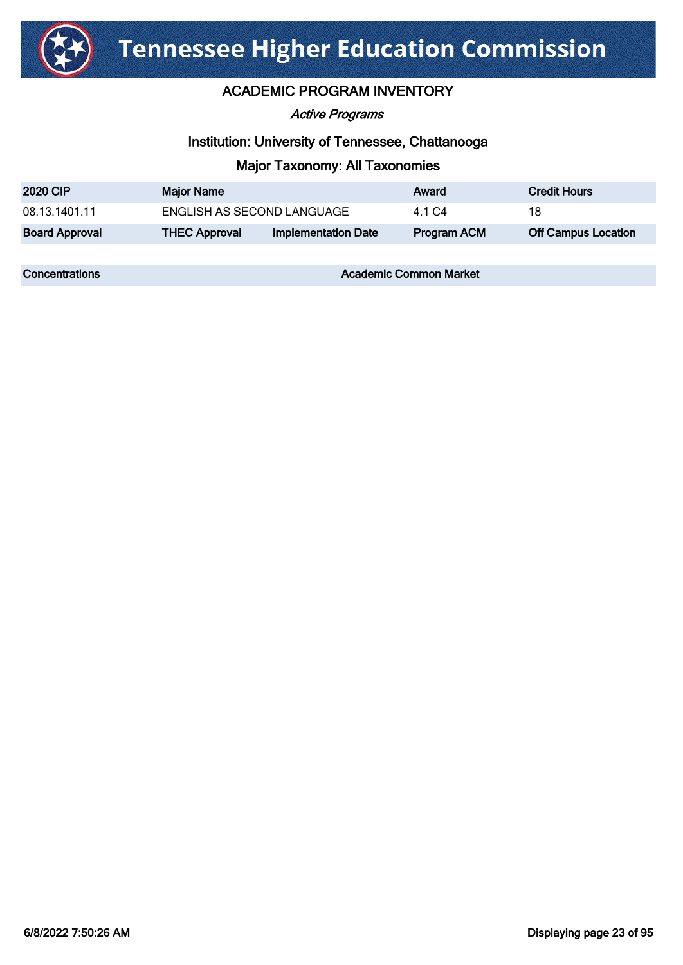

Active Programs

### Institution: University of Tennessee, Chattanooga

### Major Taxonomy: All Taxonomies

| <b>2020 CIP</b>       | <b>Major Name</b>          |                            | Award       | <b>Credit Hours</b>        |
|-----------------------|----------------------------|----------------------------|-------------|----------------------------|
| 08.13.1401.11         | ENGLISH AS SECOND LANGUAGE |                            | 4 1 C.4     | 18                         |
| <b>Board Approval</b> | <b>THEC Approval</b>       | <b>Implementation Date</b> | Program ACM | <b>Off Campus Location</b> |

**Concentrations Concentrations** Academic Common Market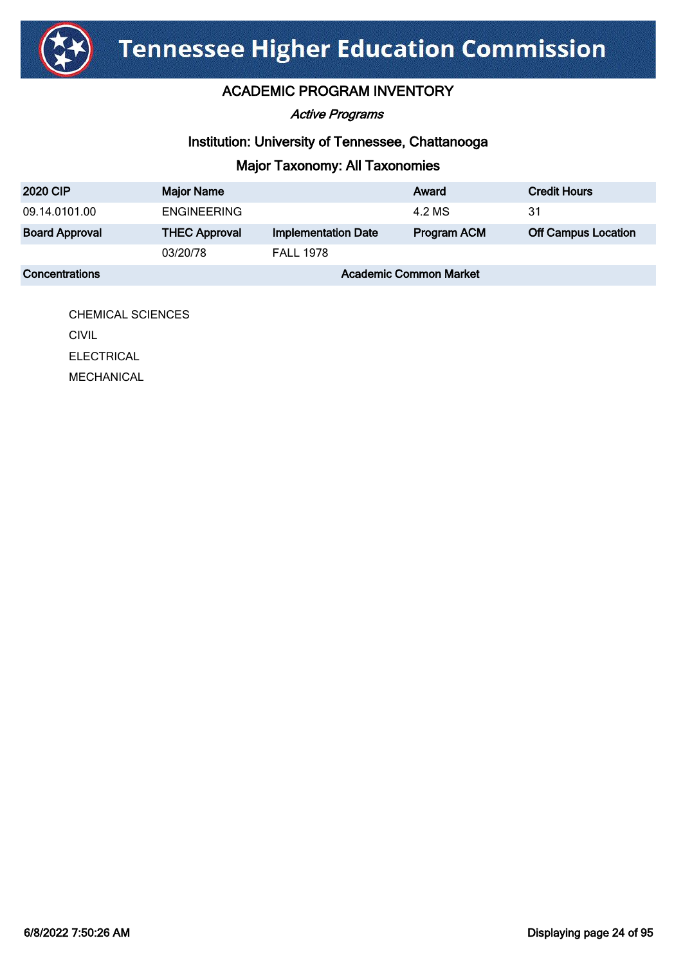

### ACADEMIC PROGRAM INVENTORY

Active Programs

### Institution: University of Tennessee, Chattanooga

## Major Taxonomy: All Taxonomies

| <b>2020 CIP</b>       | <b>Major Name</b>             |                            | Award              | <b>Credit Hours</b>        |
|-----------------------|-------------------------------|----------------------------|--------------------|----------------------------|
| 09.14.0101.00         | <b>ENGINEERING</b>            |                            | 4.2 MS             | -31                        |
| <b>Board Approval</b> | <b>THEC Approval</b>          | <b>Implementation Date</b> | <b>Program ACM</b> | <b>Off Campus Location</b> |
|                       | 03/20/78                      | <b>FALL 1978</b>           |                    |                            |
| <b>Concentrations</b> | <b>Academic Common Market</b> |                            |                    |                            |

CHEMICAL SCIENCES **CIVIL CIVIL** ELECTRICAL MECHANICAL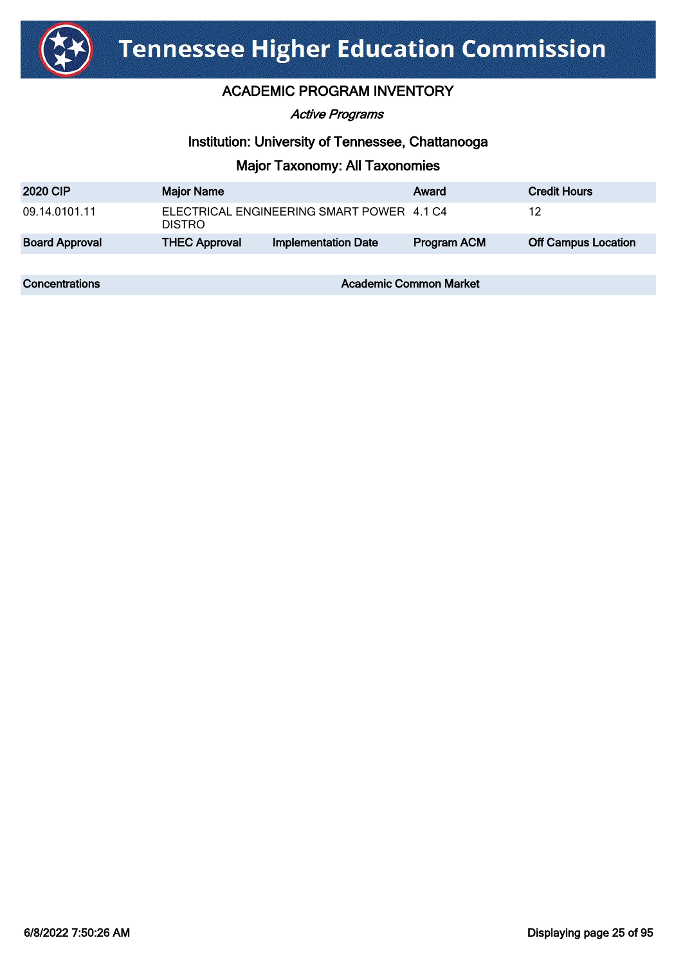

#### Active Programs

### Institution: University of Tennessee, Chattanooga

| <b>2020 CIP</b>       | <b>Major Name</b>    |                                           | Award                         | <b>Credit Hours</b>        |
|-----------------------|----------------------|-------------------------------------------|-------------------------------|----------------------------|
| 09.14.0101.11         | <b>DISTRO</b>        | ELECTRICAL ENGINEERING SMART POWER 4.1 C4 |                               | 12                         |
| <b>Board Approval</b> | <b>THEC Approval</b> | <b>Implementation Date</b>                | Program ACM                   | <b>Off Campus Location</b> |
|                       |                      |                                           |                               |                            |
| Concentrations        |                      |                                           | <b>Academic Common Market</b> |                            |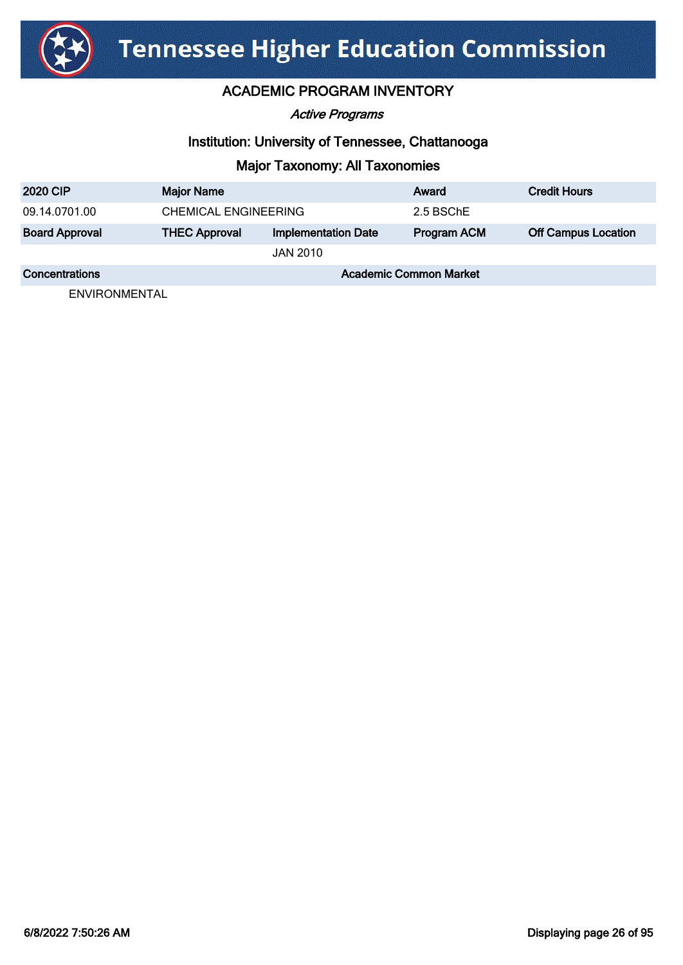

### ACADEMIC PROGRAM INVENTORY

Active Programs

### Institution: University of Tennessee, Chattanooga

## Major Taxonomy: All Taxonomies

| <b>2020 CIP</b>       | <b>Major Name</b>             |                            | Award              | <b>Credit Hours</b>        |
|-----------------------|-------------------------------|----------------------------|--------------------|----------------------------|
| 09.14.0701.00         | <b>CHEMICAL ENGINEERING</b>   |                            | 2.5 BSChE          |                            |
| <b>Board Approval</b> | <b>THEC Approval</b>          | <b>Implementation Date</b> | <b>Program ACM</b> | <b>Off Campus Location</b> |
|                       |                               | JAN 2010                   |                    |                            |
| Concentrations        | <b>Academic Common Market</b> |                            |                    |                            |

ENVIRONMENTAL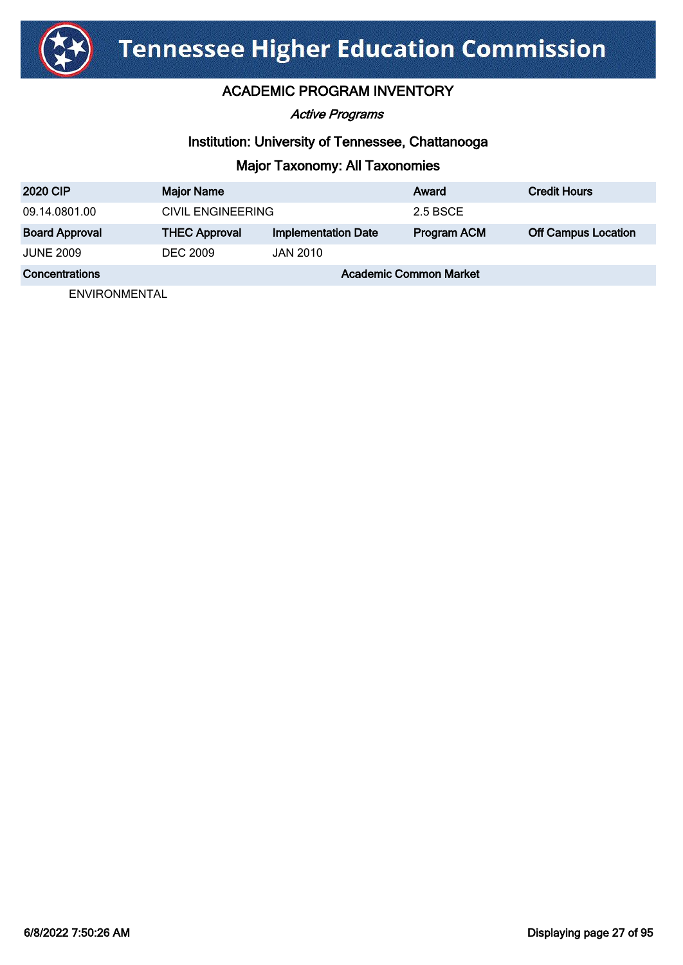

### ACADEMIC PROGRAM INVENTORY

Active Programs

### Institution: University of Tennessee, Chattanooga

### Major Taxonomy: All Taxonomies

| <b>2020 CIP</b>       | <b>Major Name</b>             |                            | Award              | <b>Credit Hours</b>        |
|-----------------------|-------------------------------|----------------------------|--------------------|----------------------------|
| 09.14.0801.00         | CIVIL ENGINEERING             |                            | 2.5 BSCE           |                            |
| <b>Board Approval</b> | <b>THEC Approval</b>          | <b>Implementation Date</b> | <b>Program ACM</b> | <b>Off Campus Location</b> |
| <b>JUNE 2009</b>      | <b>DEC 2009</b>               | JAN 2010                   |                    |                            |
| Concentrations        | <b>Academic Common Market</b> |                            |                    |                            |

ENVIRONMENTAL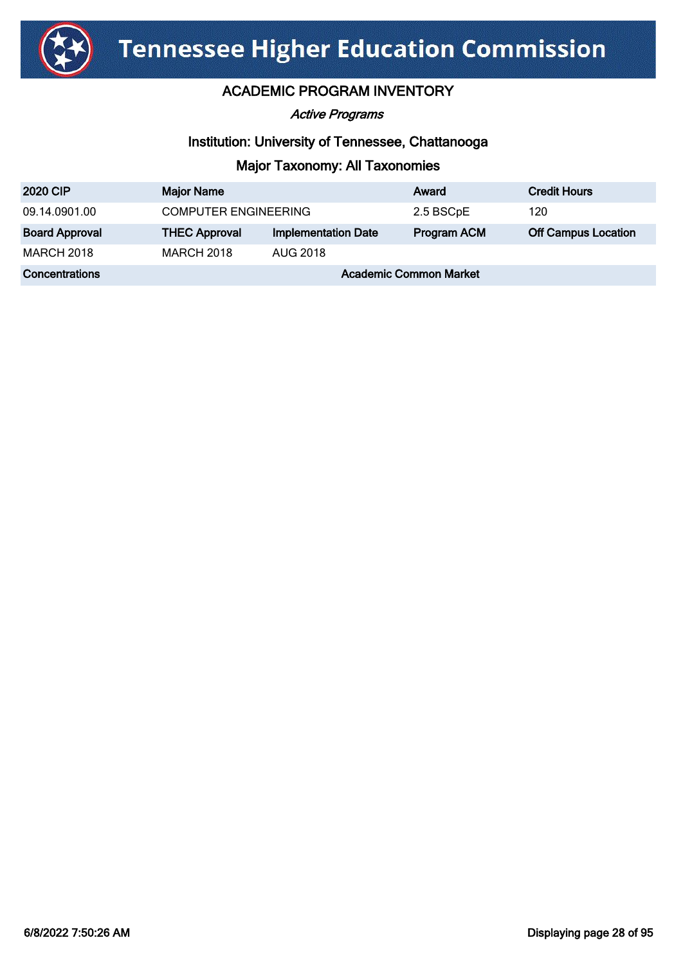

Active Programs

### Institution: University of Tennessee, Chattanooga

| <b>2020 CIP</b>       | <b>Major Name</b>             |                            | Award              | <b>Credit Hours</b>        |
|-----------------------|-------------------------------|----------------------------|--------------------|----------------------------|
| 09.14.0901.00         | <b>COMPUTER ENGINEERING</b>   |                            | 2.5 BSCpE          | 120                        |
| <b>Board Approval</b> | <b>THEC Approval</b>          | <b>Implementation Date</b> | <b>Program ACM</b> | <b>Off Campus Location</b> |
| <b>MARCH 2018</b>     | <b>MARCH 2018</b>             | AUG 2018                   |                    |                            |
| Concentrations        | <b>Academic Common Market</b> |                            |                    |                            |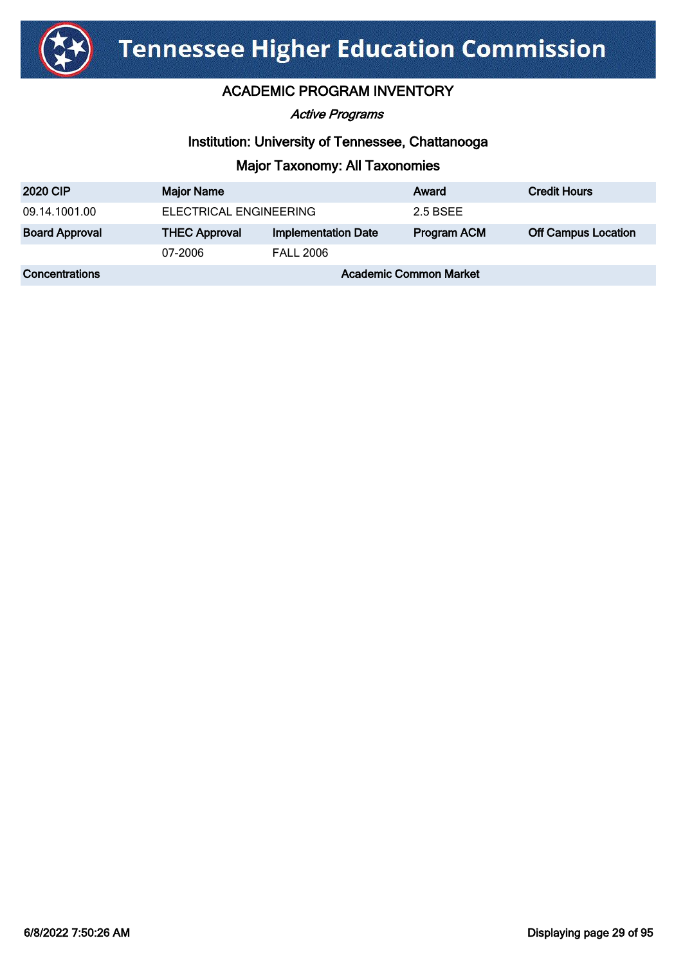

Active Programs

### Institution: University of Tennessee, Chattanooga

| <b>2020 CIP</b>       | <b>Major Name</b>             |                            | Award       | <b>Credit Hours</b>        |
|-----------------------|-------------------------------|----------------------------|-------------|----------------------------|
| 09.14.1001.00         | ELECTRICAL ENGINEERING        |                            | 2.5 BSEE    |                            |
| <b>Board Approval</b> | <b>THEC Approval</b>          | <b>Implementation Date</b> | Program ACM | <b>Off Campus Location</b> |
|                       | 07-2006                       | <b>FALL 2006</b>           |             |                            |
| Concentrations        | <b>Academic Common Market</b> |                            |             |                            |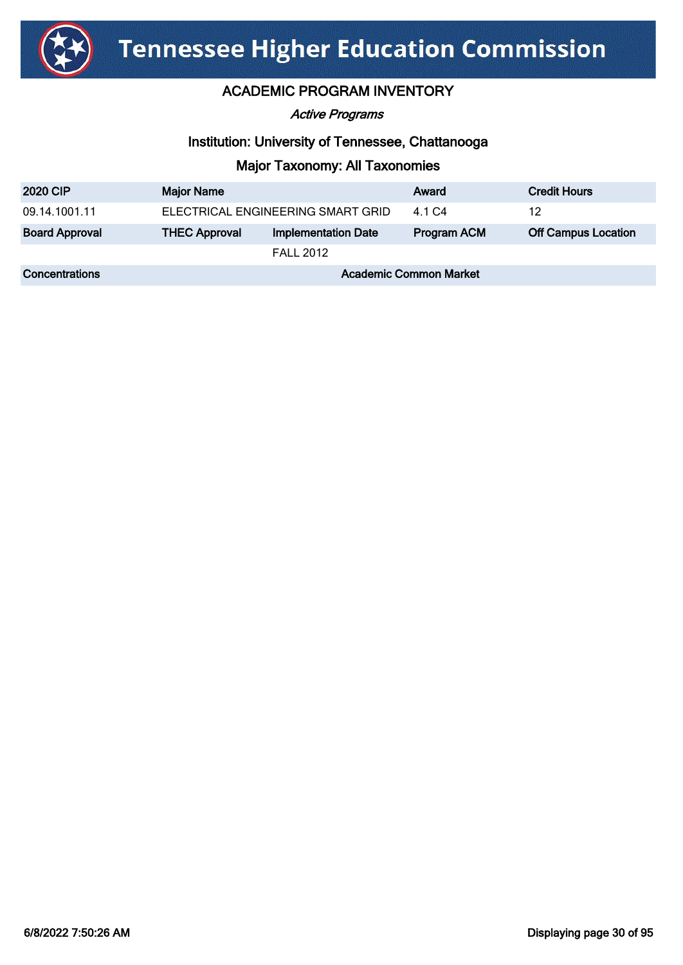

#### Active Programs

### Institution: University of Tennessee, Chattanooga

| <b>2020 CIP</b>       | <b>Major Name</b>                 |                            | Award              | <b>Credit Hours</b>        |
|-----------------------|-----------------------------------|----------------------------|--------------------|----------------------------|
| 09.14.1001.11         | ELECTRICAL ENGINEERING SMART GRID |                            | 4.1 C <sub>4</sub> | 12                         |
| <b>Board Approval</b> | <b>THEC Approval</b>              | <b>Implementation Date</b> | Program ACM        | <b>Off Campus Location</b> |
|                       |                                   | <b>FALL 2012</b>           |                    |                            |
| Concentrations        | <b>Academic Common Market</b>     |                            |                    |                            |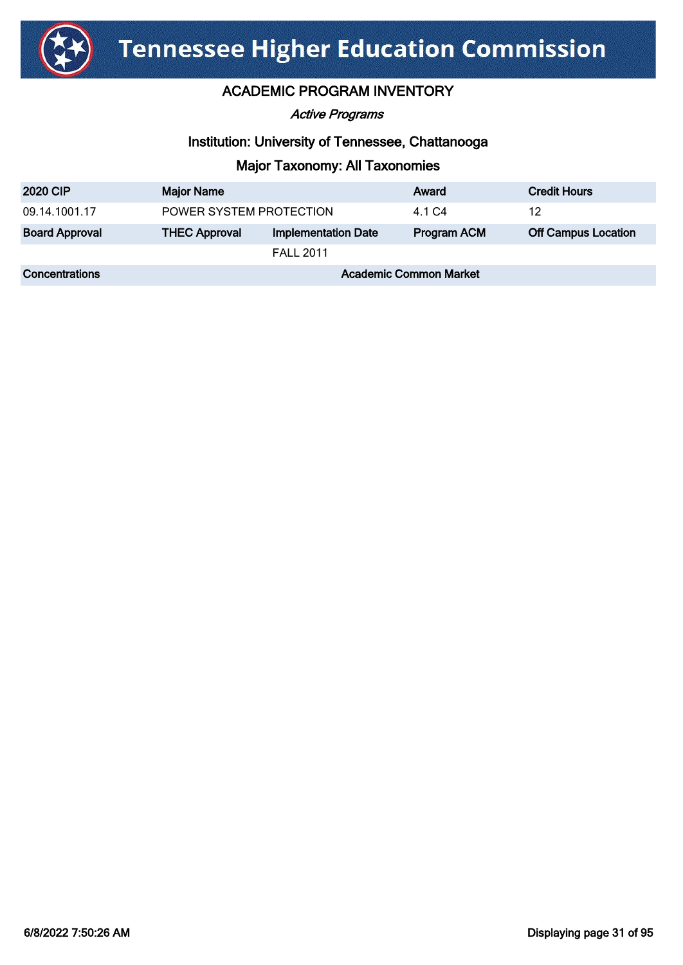

Active Programs

### Institution: University of Tennessee, Chattanooga

| <b>2020 CIP</b>       | <b>Major Name</b>             |                            | Award              | <b>Credit Hours</b>        |
|-----------------------|-------------------------------|----------------------------|--------------------|----------------------------|
| 09.14.1001.17         | POWER SYSTEM PROTECTION       |                            | 4.1 C4             | 12                         |
| <b>Board Approval</b> | <b>THEC Approval</b>          | <b>Implementation Date</b> | <b>Program ACM</b> | <b>Off Campus Location</b> |
|                       |                               | <b>FALL 2011</b>           |                    |                            |
| Concentrations        | <b>Academic Common Market</b> |                            |                    |                            |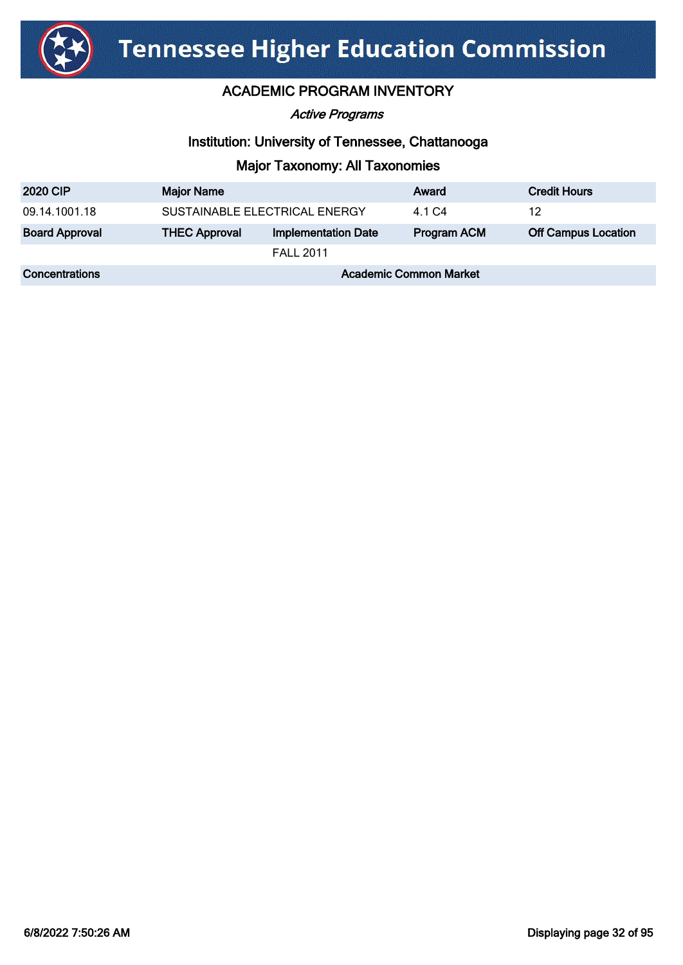

Active Programs

### Institution: University of Tennessee, Chattanooga

| <b>2020 CIP</b>       | <b>Major Name</b>             |                            | Award       | <b>Credit Hours</b>        |
|-----------------------|-------------------------------|----------------------------|-------------|----------------------------|
| 09.14.1001.18         | SUSTAINABLE ELECTRICAL ENERGY |                            | 4.1 C4      | 12                         |
| <b>Board Approval</b> | <b>THEC Approval</b>          | <b>Implementation Date</b> | Program ACM | <b>Off Campus Location</b> |
|                       |                               | <b>FALL 2011</b>           |             |                            |
| Concentrations        | <b>Academic Common Market</b> |                            |             |                            |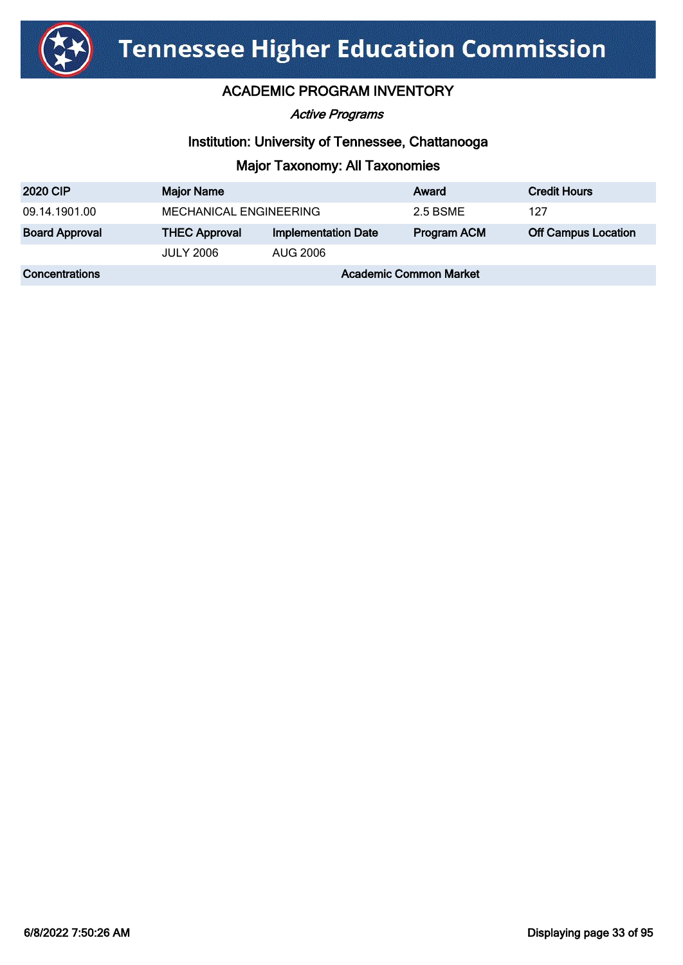

Active Programs

### Institution: University of Tennessee, Chattanooga

| <b>2020 CIP</b>       | <b>Major Name</b>             |                            | Award              | <b>Credit Hours</b>        |
|-----------------------|-------------------------------|----------------------------|--------------------|----------------------------|
| 09.14.1901.00         | MECHANICAL ENGINEERING        |                            | 2.5 BSME           | 127                        |
| <b>Board Approval</b> | <b>THEC Approval</b>          | <b>Implementation Date</b> | <b>Program ACM</b> | <b>Off Campus Location</b> |
|                       | <b>JULY 2006</b>              | AUG 2006                   |                    |                            |
| Concentrations        | <b>Academic Common Market</b> |                            |                    |                            |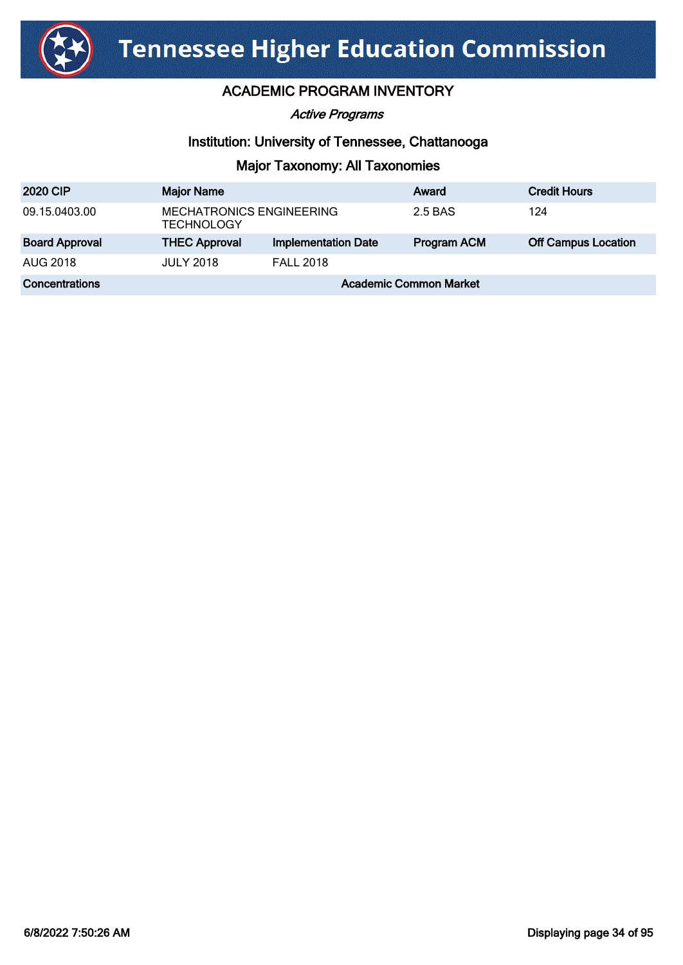

Active Programs

### Institution: University of Tennessee, Chattanooga

| <b>2020 CIP</b>       | <b>Major Name</b>                                    |                            | Award       | <b>Credit Hours</b>        |
|-----------------------|------------------------------------------------------|----------------------------|-------------|----------------------------|
| 09.15.0403.00         | <b>MECHATRONICS ENGINEERING</b><br><b>TECHNOLOGY</b> |                            | 2.5 BAS     | 124                        |
| <b>Board Approval</b> | <b>THEC Approval</b>                                 | <b>Implementation Date</b> | Program ACM | <b>Off Campus Location</b> |
| AUG 2018              | <b>JULY 2018</b>                                     | <b>FALL 2018</b>           |             |                            |
| Concentrations        | <b>Academic Common Market</b>                        |                            |             |                            |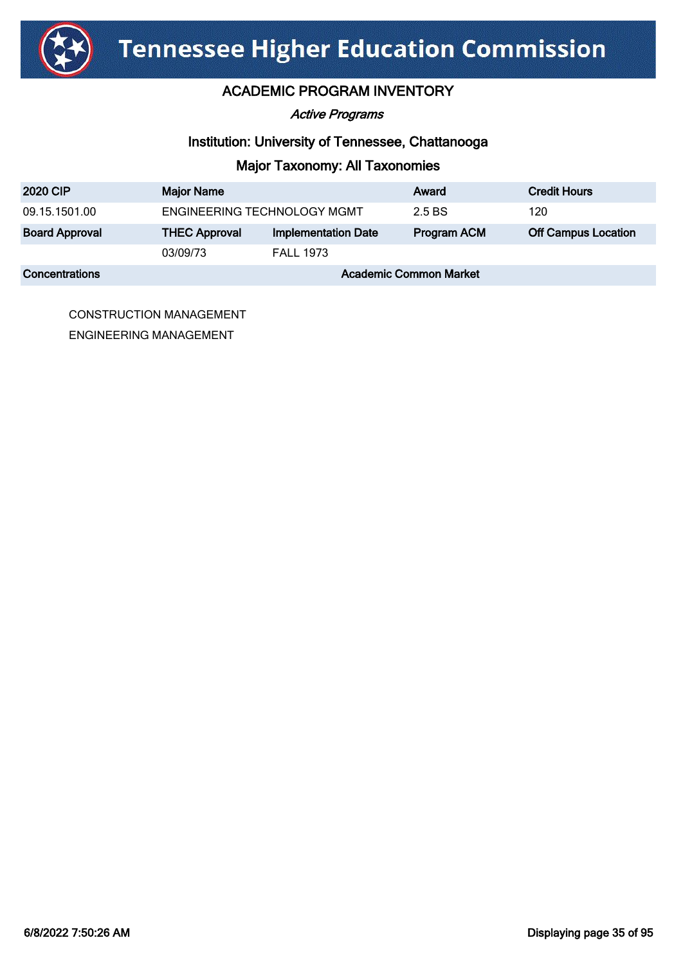

#### Active Programs

### Institution: University of Tennessee, Chattanooga

## Major Taxonomy: All Taxonomies

| <b>2020 CIP</b>       | <b>Major Name</b>             |                            | Award       | <b>Credit Hours</b>        |
|-----------------------|-------------------------------|----------------------------|-------------|----------------------------|
| 09.15.1501.00         | ENGINEERING TECHNOLOGY MGMT   |                            | 2.5 BS      | 120                        |
| <b>Board Approval</b> | <b>THEC Approval</b>          | <b>Implementation Date</b> | Program ACM | <b>Off Campus Location</b> |
|                       | 03/09/73                      | <b>FALL 1973</b>           |             |                            |
| <b>Concentrations</b> | <b>Academic Common Market</b> |                            |             |                            |

CONSTRUCTION MANAGEMENT ENGINEERING MANAGEMENT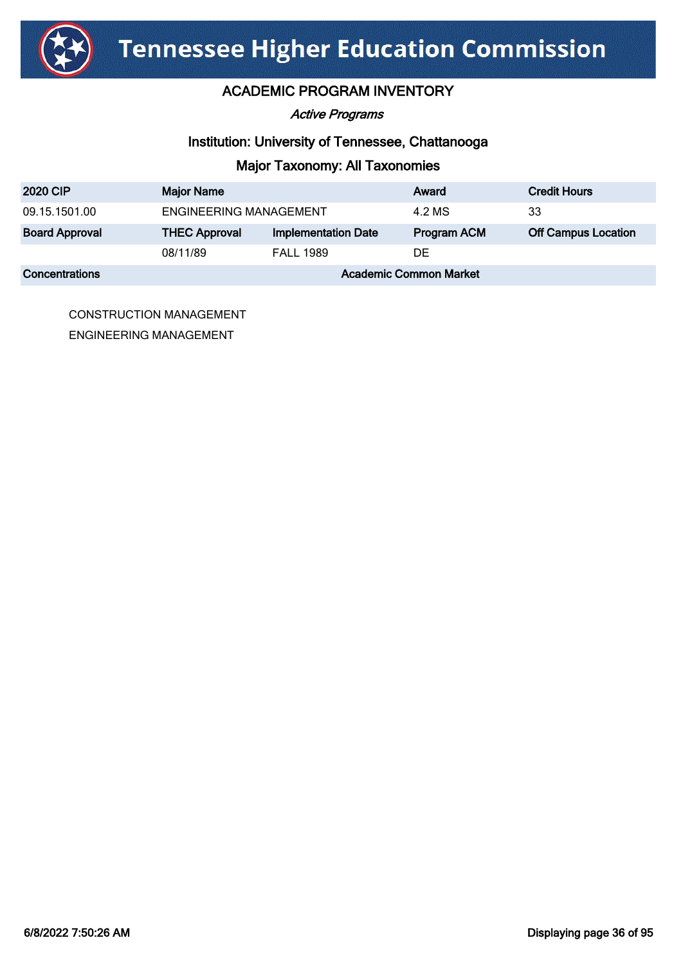

#### Active Programs

### Institution: University of Tennessee, Chattanooga

## Major Taxonomy: All Taxonomies

| <b>2020 CIP</b>       | <b>Major Name</b>             |                            | Award       | <b>Credit Hours</b>        |
|-----------------------|-------------------------------|----------------------------|-------------|----------------------------|
| 09.15.1501.00         | <b>ENGINEERING MANAGEMENT</b> |                            | 4.2 MS      | 33                         |
| <b>Board Approval</b> | <b>THEC Approval</b>          | <b>Implementation Date</b> | Program ACM | <b>Off Campus Location</b> |
|                       | 08/11/89                      | <b>FALL 1989</b>           | DE          |                            |
| <b>Concentrations</b> | <b>Academic Common Market</b> |                            |             |                            |

CONSTRUCTION MANAGEMENT ENGINEERING MANAGEMENT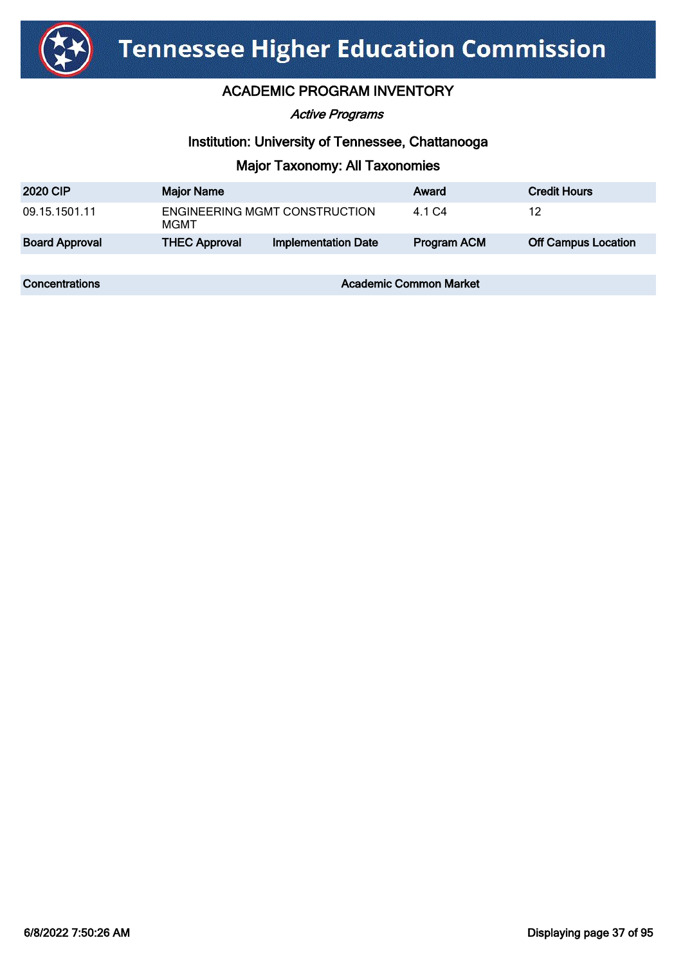

#### Active Programs

#### Institution: University of Tennessee, Chattanooga

### Major Taxonomy: All Taxonomies

| <b>2020 CIP</b>       | <b>Major Name</b>                     |                            | Award              | <b>Credit Hours</b>        |
|-----------------------|---------------------------------------|----------------------------|--------------------|----------------------------|
| 09.15.1501.11         | ENGINEERING MGMT CONSTRUCTION<br>MGMT |                            | 4.1 C4             | 12                         |
| <b>Board Approval</b> | <b>THEC Approval</b>                  | <b>Implementation Date</b> | <b>Program ACM</b> | <b>Off Campus Location</b> |
|                       |                                       |                            |                    |                            |

**Concentrations Concentrations Academic Common Market**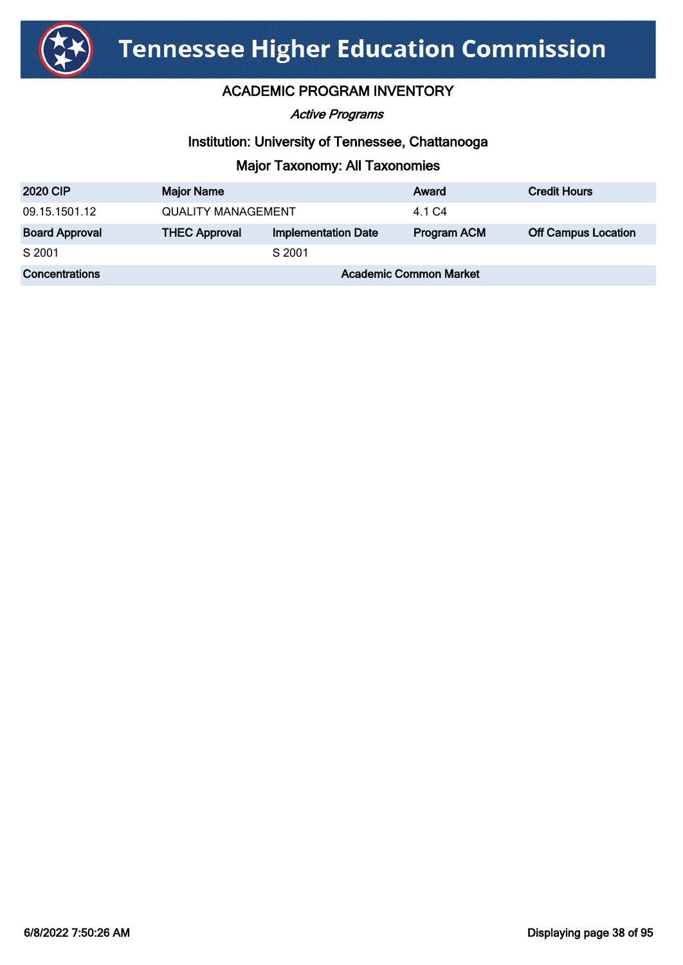

Active Programs

#### Institution: University of Tennessee, Chattanooga

| <b>2020 CIP</b>       | <b>Major Name</b>             |                            | Award              | <b>Credit Hours</b>        |
|-----------------------|-------------------------------|----------------------------|--------------------|----------------------------|
| 09.15.1501.12         | <b>QUALITY MANAGEMENT</b>     |                            | 4.1 C4             |                            |
| <b>Board Approval</b> | <b>THEC Approval</b>          | <b>Implementation Date</b> | <b>Program ACM</b> | <b>Off Campus Location</b> |
| S 2001                |                               | S 2001                     |                    |                            |
| <b>Concentrations</b> | <b>Academic Common Market</b> |                            |                    |                            |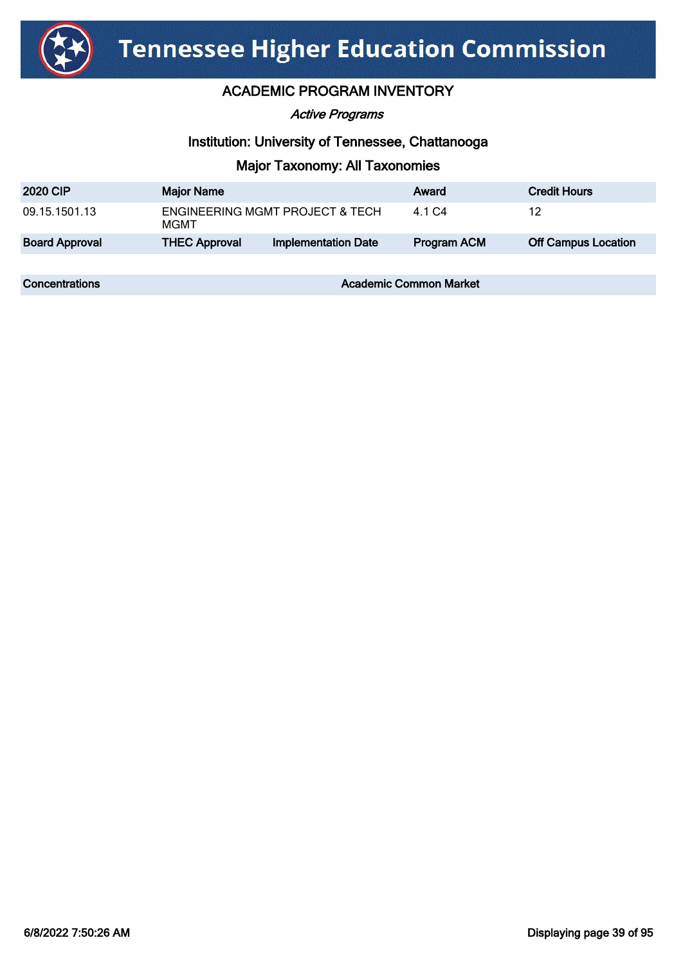

#### Active Programs

#### Institution: University of Tennessee, Chattanooga

### Major Taxonomy: All Taxonomies

| <b>2020 CIP</b>       | <b>Major Name</b>                                  |                            | Award              | <b>Credit Hours</b>        |
|-----------------------|----------------------------------------------------|----------------------------|--------------------|----------------------------|
| 09.15.1501.13         | <b>ENGINEERING MGMT PROJECT &amp; TECH</b><br>MGMT |                            | 4.1 C4             | 12                         |
| <b>Board Approval</b> | <b>THEC Approval</b>                               | <b>Implementation Date</b> | <b>Program ACM</b> | <b>Off Campus Location</b> |
|                       |                                                    |                            |                    |                            |

**Concentrations Concentrations Academic Common Market**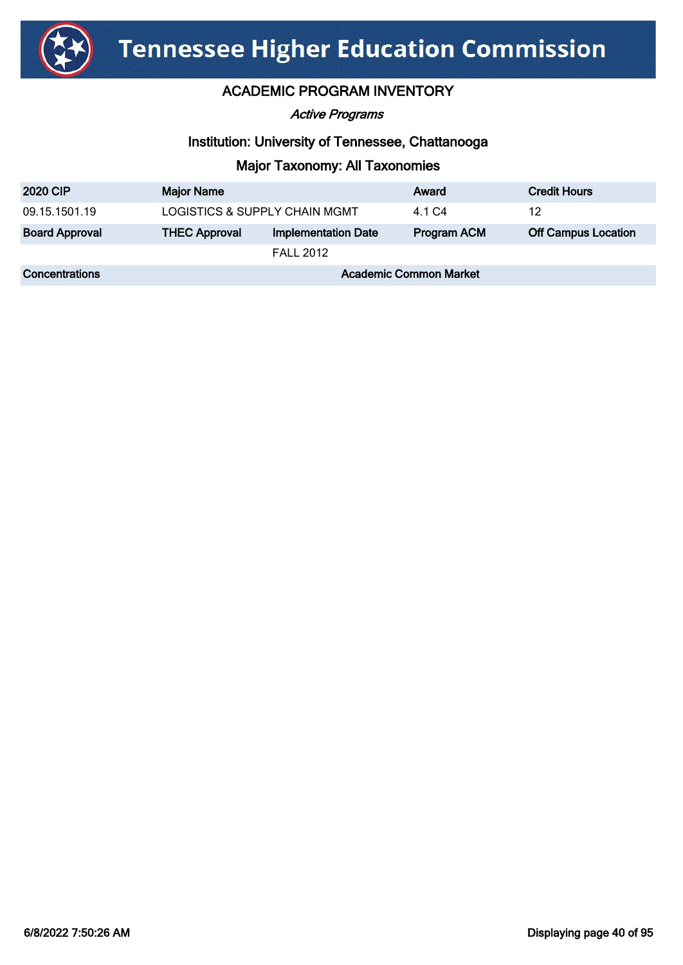

Active Programs

#### Institution: University of Tennessee, Chattanooga

| <b>2020 CIP</b>       | <b>Major Name</b>             |                            | Award       | <b>Credit Hours</b>        |
|-----------------------|-------------------------------|----------------------------|-------------|----------------------------|
| 09.15.1501.19         | LOGISTICS & SUPPLY CHAIN MGMT |                            | 4.1 C4      | 12                         |
| <b>Board Approval</b> | <b>THEC Approval</b>          | <b>Implementation Date</b> | Program ACM | <b>Off Campus Location</b> |
|                       |                               | <b>FALL 2012</b>           |             |                            |
| Concentrations        | <b>Academic Common Market</b> |                            |             |                            |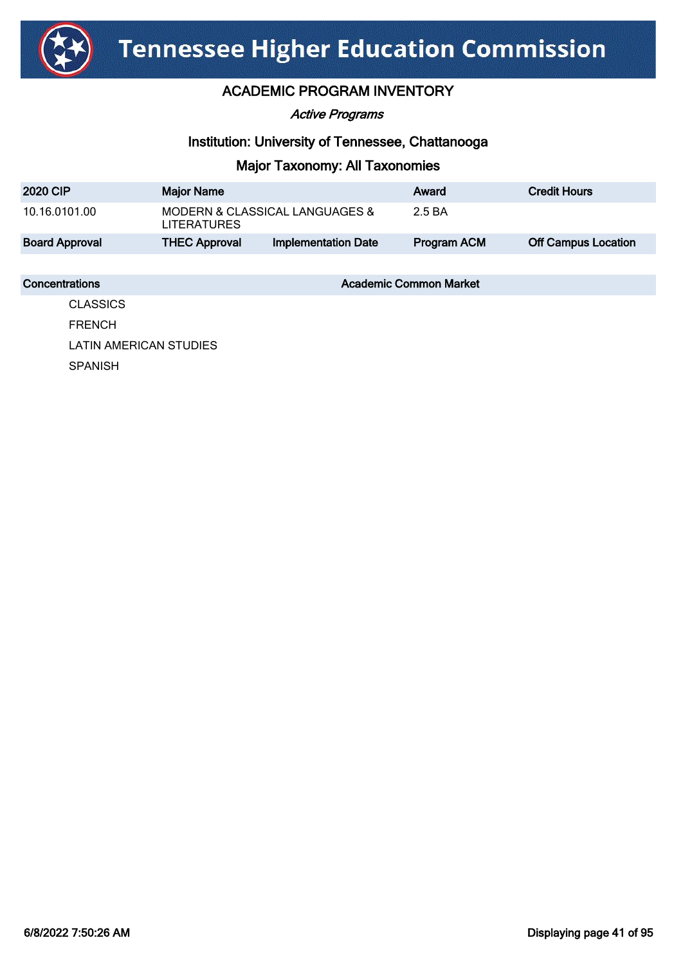

Active Programs

#### Institution: University of Tennessee, Chattanooga

### Major Taxonomy: All Taxonomies

| <b>2020 CIP</b>       | <b>Major Name</b>                                    |                            | Award       | <b>Credit Hours</b>        |
|-----------------------|------------------------------------------------------|----------------------------|-------------|----------------------------|
| 10.16.0101.00         | MODERN & CLASSICAL LANGUAGES &<br><b>LITERATURES</b> |                            | 2.5 BA      |                            |
| <b>Board Approval</b> | <b>THEC Approval</b>                                 | <b>Implementation Date</b> | Program ACM | <b>Off Campus Location</b> |

**Concentrations Concentrations Academic Common Market** 

**CLASSICS** FRENCH LATIN AMERICAN STUDIES SPANISH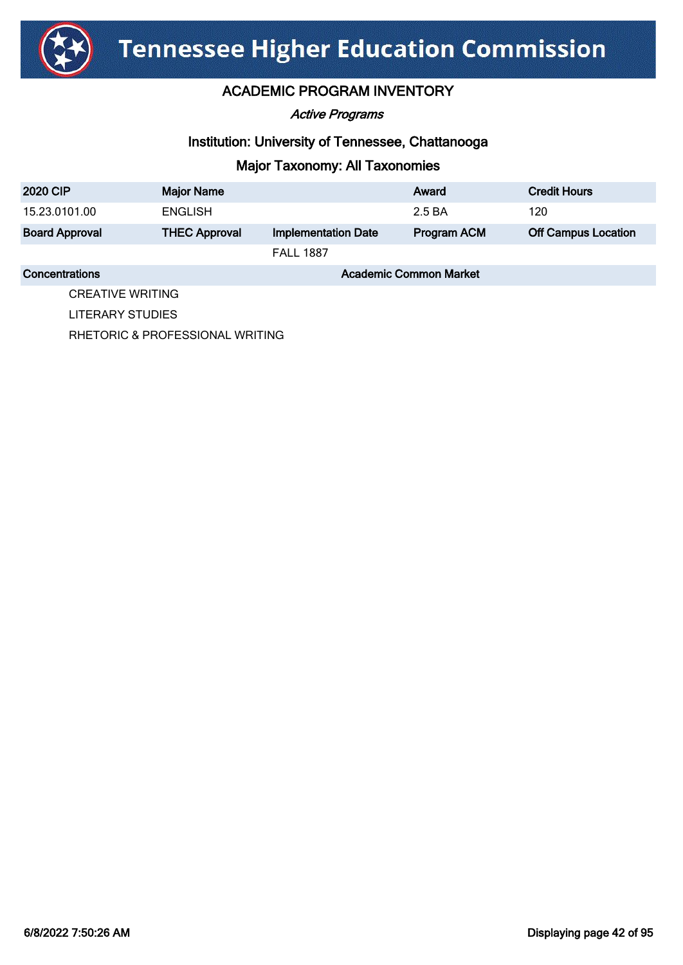

Active Programs

#### Institution: University of Tennessee, Chattanooga

### Major Taxonomy: All Taxonomies

| <b>2020 CIP</b>       | <b>Major Name</b>             |                            | Award       | <b>Credit Hours</b>        |
|-----------------------|-------------------------------|----------------------------|-------------|----------------------------|
| 15.23.0101.00         | <b>ENGLISH</b>                |                            | 2.5 BA      | 120                        |
| <b>Board Approval</b> | <b>THEC Approval</b>          | <b>Implementation Date</b> | Program ACM | <b>Off Campus Location</b> |
|                       |                               | <b>FALL 1887</b>           |             |                            |
| <b>Concentrations</b> | <b>Academic Common Market</b> |                            |             |                            |

CREATIVE WRITING LITERARY STUDIES

RHETORIC & PROFESSIONAL WRITING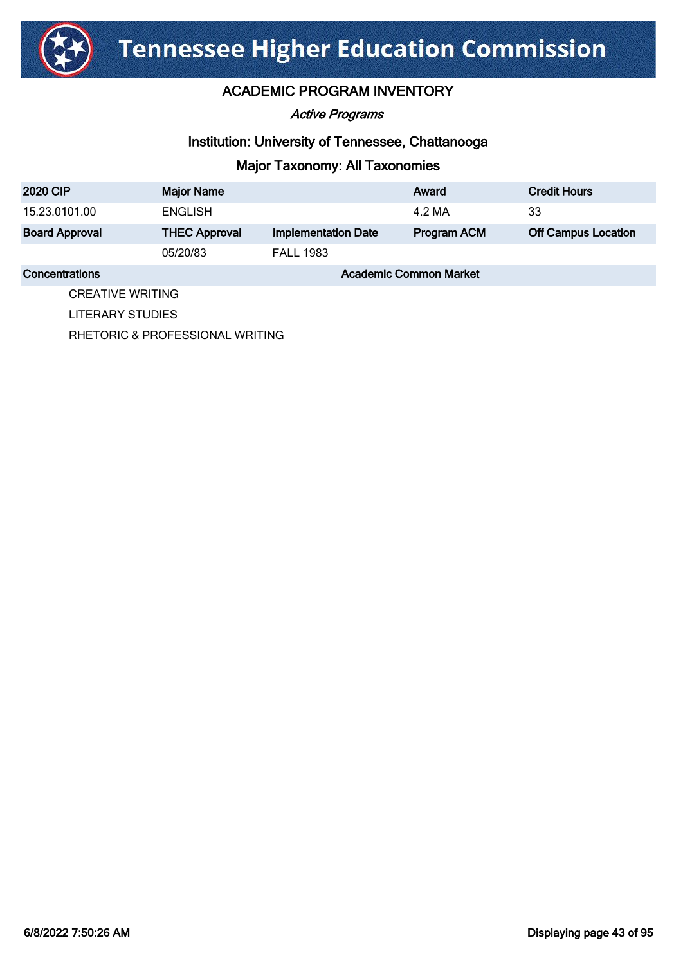

Active Programs

#### Institution: University of Tennessee, Chattanooga

### Major Taxonomy: All Taxonomies

| <b>2020 CIP</b>       | <b>Major Name</b>             |                            | Award       | <b>Credit Hours</b>        |
|-----------------------|-------------------------------|----------------------------|-------------|----------------------------|
| 15.23.0101.00         | <b>ENGLISH</b>                |                            | 4.2 MA      | 33                         |
| <b>Board Approval</b> | <b>THEC Approval</b>          | <b>Implementation Date</b> | Program ACM | <b>Off Campus Location</b> |
|                       | 05/20/83                      | <b>FALL 1983</b>           |             |                            |
| Concentrations        | <b>Academic Common Market</b> |                            |             |                            |

CREATIVE WRITING

LITERARY STUDIES

RHETORIC & PROFESSIONAL WRITING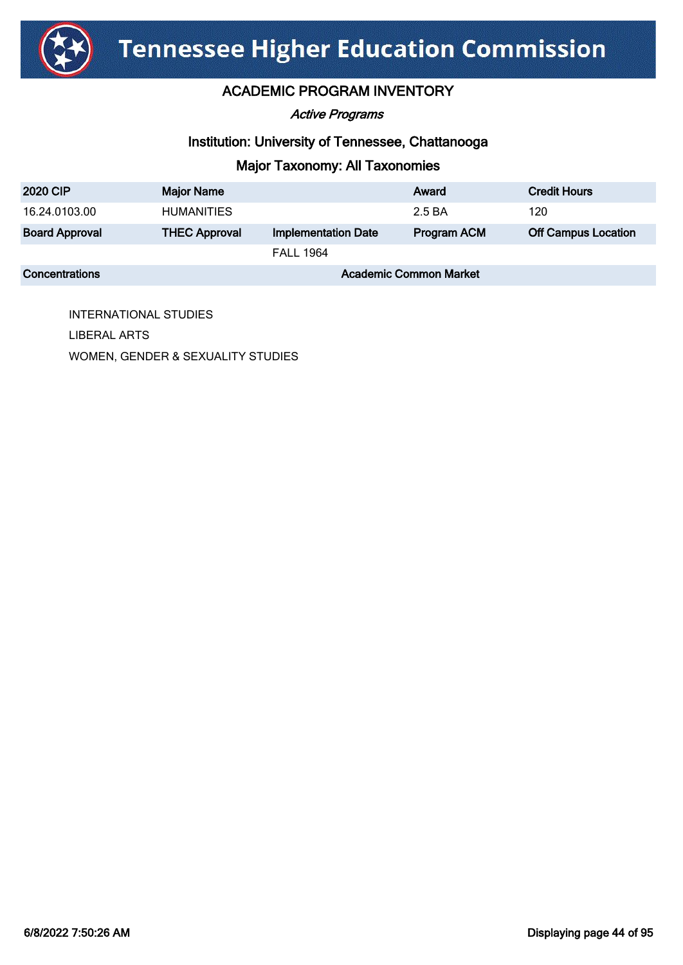

Active Programs

#### Institution: University of Tennessee, Chattanooga

# Major Taxonomy: All Taxonomies

| <b>2020 CIP</b>       | <b>Major Name</b>             |                            | Award       | <b>Credit Hours</b>        |
|-----------------------|-------------------------------|----------------------------|-------------|----------------------------|
| 16.24.0103.00         | <b>HUMANITIES</b>             |                            | 2.5 BA      | 120                        |
| <b>Board Approval</b> | <b>THEC Approval</b>          | <b>Implementation Date</b> | Program ACM | <b>Off Campus Location</b> |
|                       |                               | <b>FALL 1964</b>           |             |                            |
| <b>Concentrations</b> | <b>Academic Common Market</b> |                            |             |                            |

INTERNATIONAL STUDIES LIBERAL ARTS WOMEN, GENDER & SEXUALITY STUDIES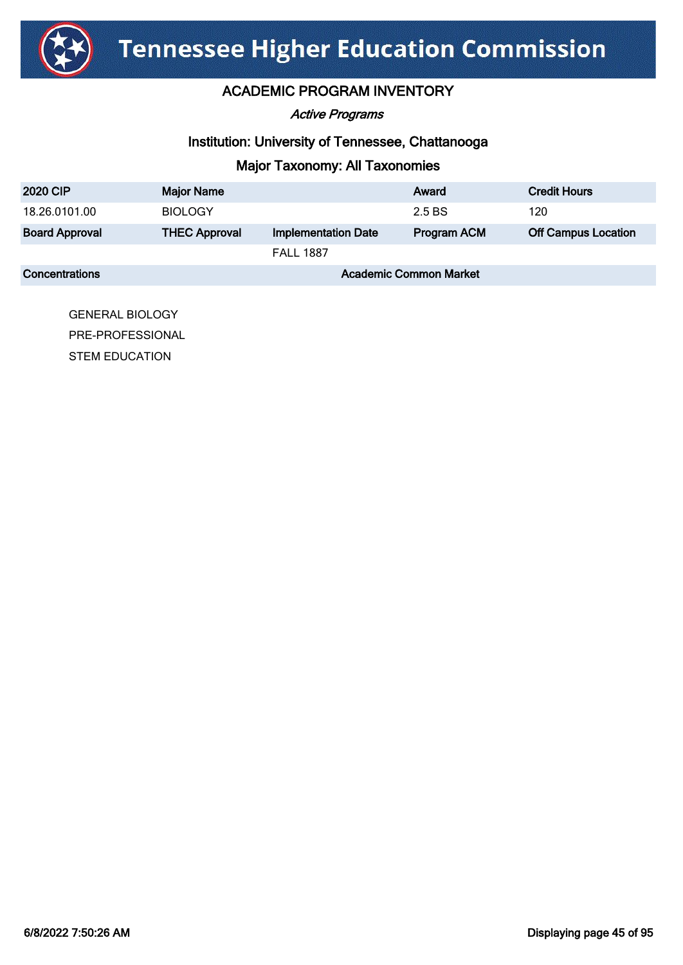

Active Programs

#### Institution: University of Tennessee, Chattanooga

# Major Taxonomy: All Taxonomies

| <b>2020 CIP</b>       | <b>Major Name</b>             |                            | Award       | <b>Credit Hours</b>        |
|-----------------------|-------------------------------|----------------------------|-------------|----------------------------|
| 18.26.0101.00         | <b>BIOLOGY</b>                |                            | 2.5 BS      | 120                        |
| <b>Board Approval</b> | <b>THEC Approval</b>          | <b>Implementation Date</b> | Program ACM | <b>Off Campus Location</b> |
|                       |                               | <b>FALL 1887</b>           |             |                            |
| <b>Concentrations</b> | <b>Academic Common Market</b> |                            |             |                            |

GENERAL BIOLOGY PRE-PROFESSIONAL STEM EDUCATION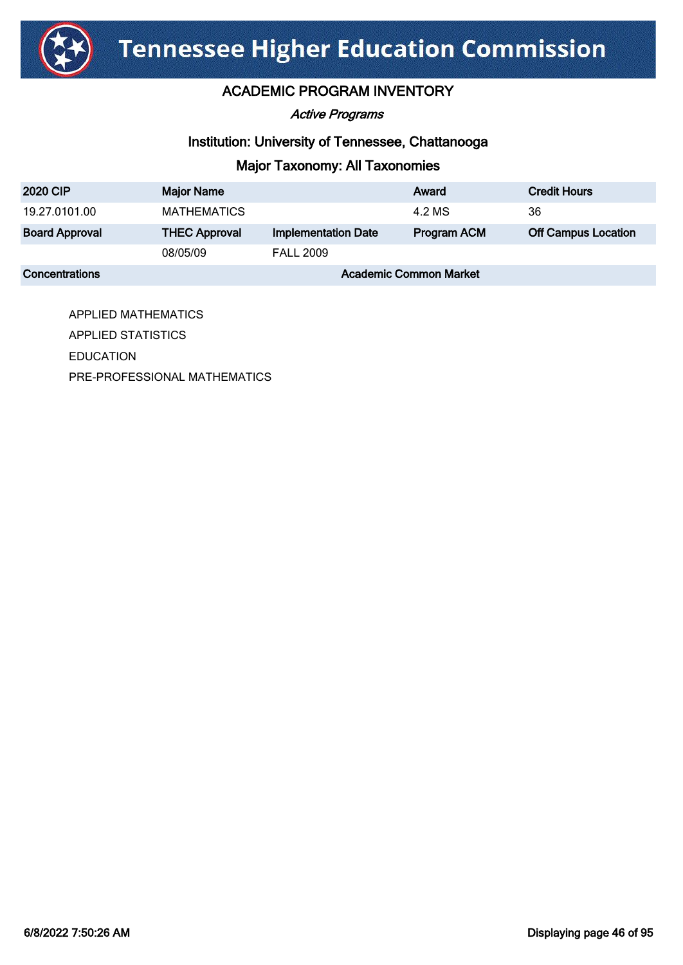

### ACADEMIC PROGRAM INVENTORY

Active Programs

#### Institution: University of Tennessee, Chattanooga

### Major Taxonomy: All Taxonomies

| <b>2020 CIP</b>       | <b>Major Name</b>             |                            | Award              | <b>Credit Hours</b>        |
|-----------------------|-------------------------------|----------------------------|--------------------|----------------------------|
| 19.27.0101.00         | <b>MATHEMATICS</b>            |                            | 4.2 MS             | 36                         |
| <b>Board Approval</b> | <b>THEC Approval</b>          | <b>Implementation Date</b> | <b>Program ACM</b> | <b>Off Campus Location</b> |
|                       | 08/05/09                      | <b>FALL 2009</b>           |                    |                            |
| <b>Concentrations</b> | <b>Academic Common Market</b> |                            |                    |                            |

APPLIED MATHEMATICS APPLIED STATISTICS EDUCATION PRE-PROFESSIONAL MATHEMATICS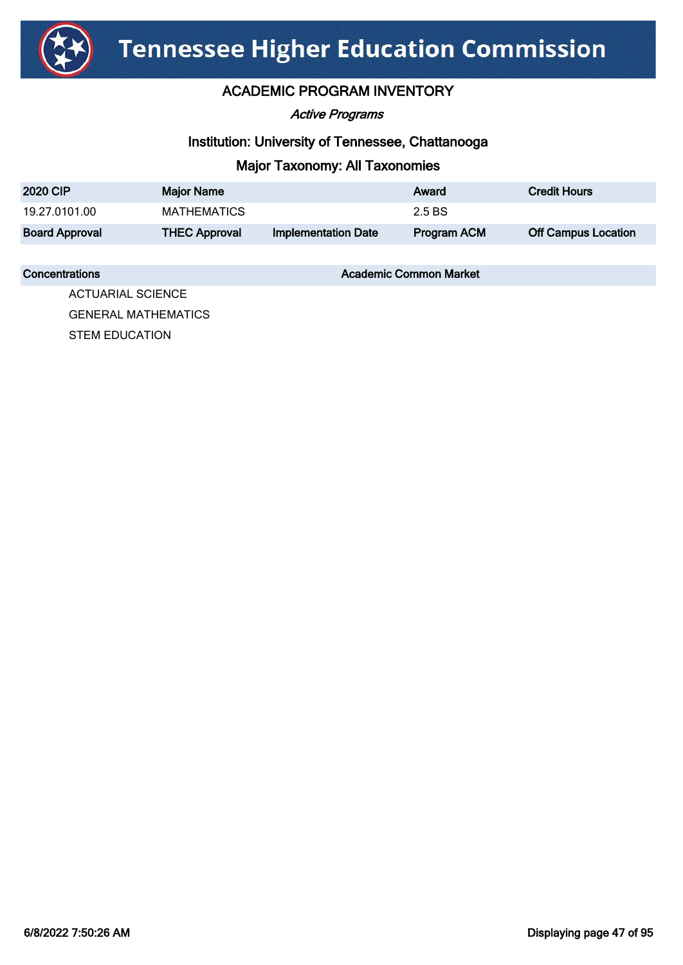

#### ACADEMIC PROGRAM INVENTORY

Active Programs

#### Institution: University of Tennessee, Chattanooga

### Major Taxonomy: All Taxonomies

| <b>2020 CIP</b>       | <b>Major Name</b>    |                            | Award              | <b>Credit Hours</b>        |
|-----------------------|----------------------|----------------------------|--------------------|----------------------------|
| 19.27.0101.00         | MATHEMATICS          |                            | 2.5 BS             |                            |
| <b>Board Approval</b> | <b>THEC Approval</b> | <b>Implementation Date</b> | <b>Program ACM</b> | <b>Off Campus Location</b> |

**Concentrations Concentrations** Academic Common Market

ACTUARIAL SCIENCE GENERAL MATHEMATICS STEM EDUCATION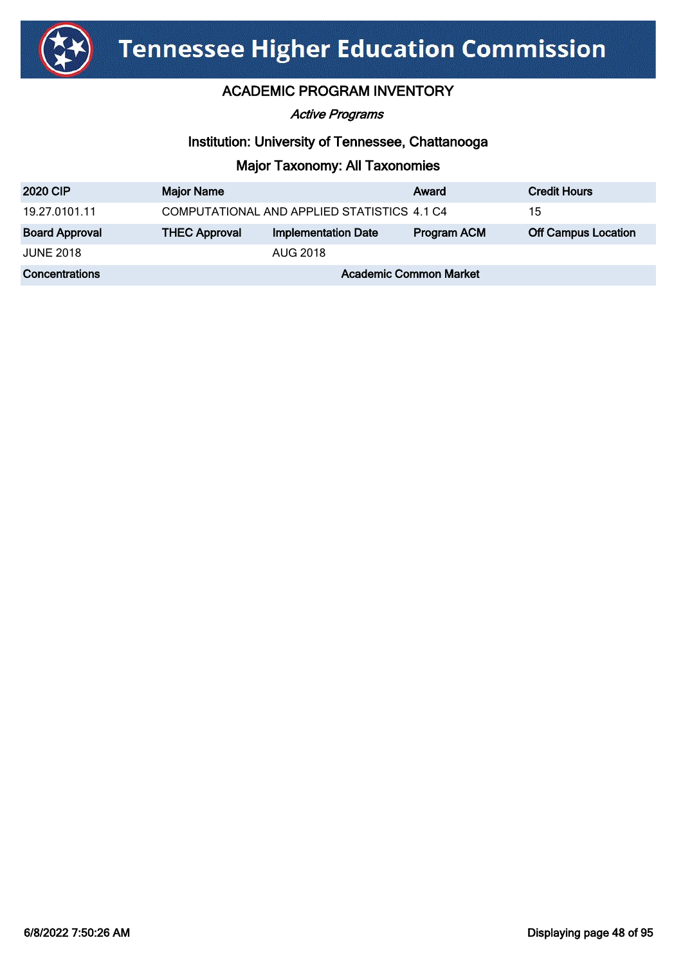

#### Active Programs

#### Institution: University of Tennessee, Chattanooga

| <b>2020 CIP</b>       | <b>Major Name</b>             |                                             | Award              | <b>Credit Hours</b>        |
|-----------------------|-------------------------------|---------------------------------------------|--------------------|----------------------------|
| 19.27.0101.11         |                               | COMPUTATIONAL AND APPLIED STATISTICS 4.1 C4 |                    | 15                         |
| <b>Board Approval</b> | <b>THEC Approval</b>          | <b>Implementation Date</b>                  | <b>Program ACM</b> | <b>Off Campus Location</b> |
| <b>JUNE 2018</b>      |                               | <b>AUG 2018</b>                             |                    |                            |
| <b>Concentrations</b> | <b>Academic Common Market</b> |                                             |                    |                            |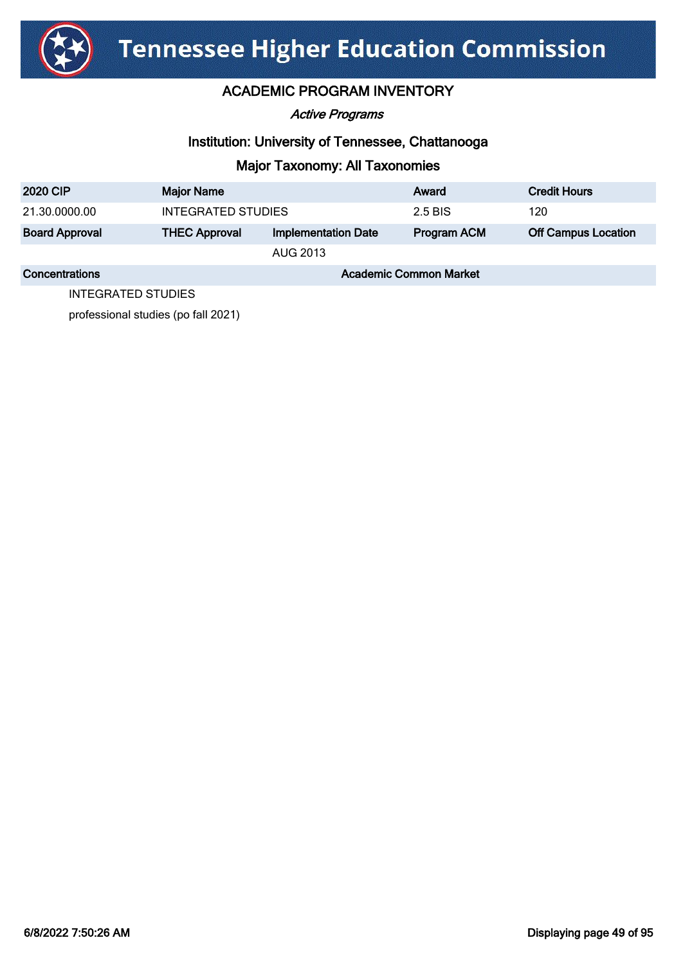

Active Programs

#### Institution: University of Tennessee, Chattanooga

#### Major Taxonomy: All Taxonomies

| <b>2020 CIP</b>       | <b>Major Name</b>             |                            | Award              | <b>Credit Hours</b>        |  |
|-----------------------|-------------------------------|----------------------------|--------------------|----------------------------|--|
| 21.30.0000.00         | INTEGRATED STUDIES            |                            | 2.5 BIS            | 120                        |  |
| <b>Board Approval</b> | <b>THEC Approval</b>          | <b>Implementation Date</b> | <b>Program ACM</b> | <b>Off Campus Location</b> |  |
|                       | AUG 2013                      |                            |                    |                            |  |
| Concentrations        | <b>Academic Common Market</b> |                            |                    |                            |  |

INTEGRATED STUDIES

professional studies (po fall 2021)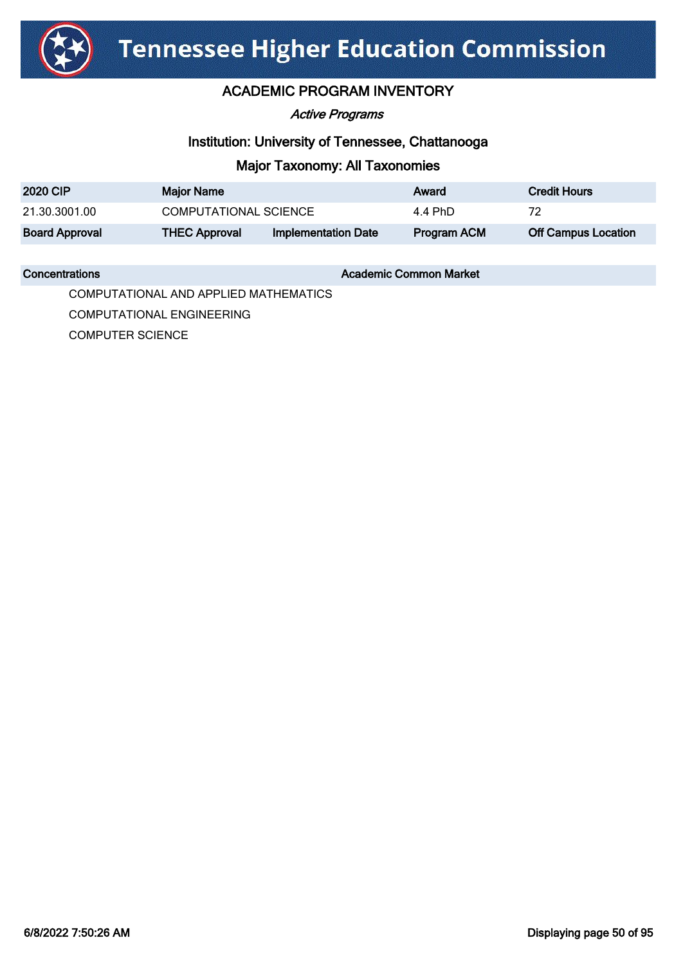

#### ACADEMIC PROGRAM INVENTORY

Active Programs

#### Institution: University of Tennessee, Chattanooga

#### Major Taxonomy: All Taxonomies

| <b>2020 CIP</b>       | <b>Major Name</b>     |                            | Award       | <b>Credit Hours</b>        |
|-----------------------|-----------------------|----------------------------|-------------|----------------------------|
| 21.30.3001.00         | COMPUTATIONAL SCIENCE |                            | 4.4 PhD     | 72                         |
| <b>Board Approval</b> | <b>THEC Approval</b>  | <b>Implementation Date</b> | Program ACM | <b>Off Campus Location</b> |

**Concentrations Concentrations** Academic Common Market

COMPUTATIONAL AND APPLIED MATHEMATICS

COMPUTATIONAL ENGINEERING

COMPUTER SCIENCE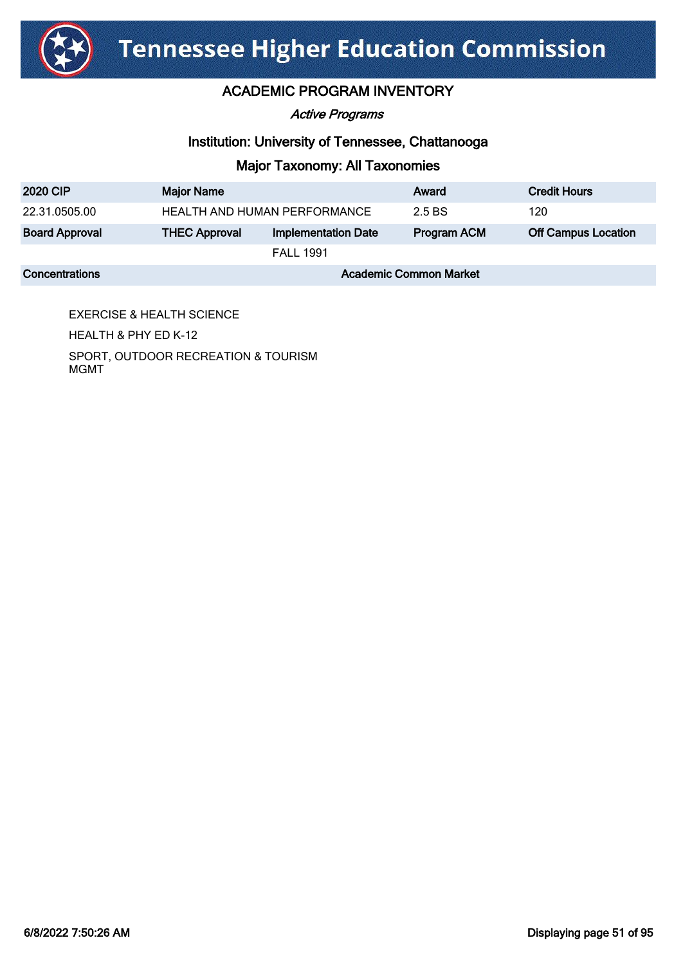

#### Active Programs

#### Institution: University of Tennessee, Chattanooga

#### Major Taxonomy: All Taxonomies

| <b>2020 CIP</b>       | <b>Major Name</b>                   |                            | Award              | <b>Credit Hours</b>        |
|-----------------------|-------------------------------------|----------------------------|--------------------|----------------------------|
| 22.31.0505.00         | <b>HEALTH AND HUMAN PERFORMANCE</b> |                            | 2.5 BS             | 120                        |
| <b>Board Approval</b> | <b>THEC Approval</b>                | <b>Implementation Date</b> | <b>Program ACM</b> | <b>Off Campus Location</b> |
|                       | <b>FALL 1991</b>                    |                            |                    |                            |
| <b>Concentrations</b> | <b>Academic Common Market</b>       |                            |                    |                            |

EXERCISE & HEALTH SCIENCE HEALTH & PHY ED K-12 SPORT, OUTDOOR RECREATION & TOURISM MGMT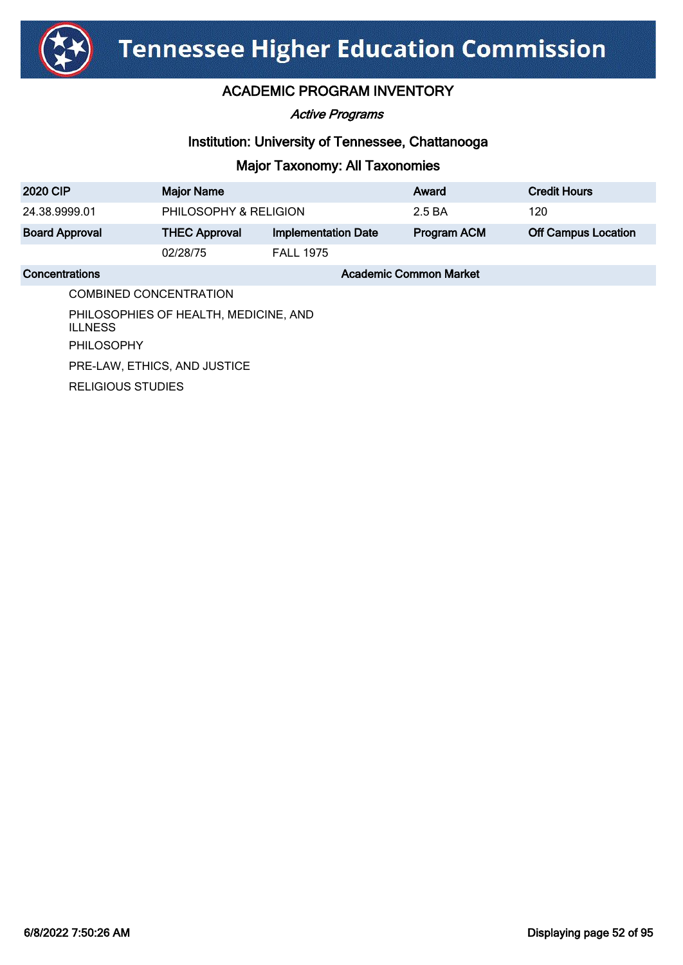

Active Programs

#### Institution: University of Tennessee, Chattanooga

| 2020 CIP                                                | <b>Major Name</b>            |                            | Award                         | <b>Credit Hours</b>        |
|---------------------------------------------------------|------------------------------|----------------------------|-------------------------------|----------------------------|
| 24.38.9999.01                                           | PHILOSOPHY & RELIGION        |                            | 2.5 BA                        | 120                        |
| <b>Board Approval</b>                                   | <b>THEC Approval</b>         | <b>Implementation Date</b> | <b>Program ACM</b>            | <b>Off Campus Location</b> |
|                                                         | 02/28/75                     | <b>FALL 1975</b>           |                               |                            |
| Concentrations                                          |                              |                            | <b>Academic Common Market</b> |                            |
|                                                         | COMBINED CONCENTRATION       |                            |                               |                            |
| PHILOSOPHIES OF HEALTH, MEDICINE, AND<br><b>ILLNESS</b> |                              |                            |                               |                            |
| <b>PHILOSOPHY</b>                                       |                              |                            |                               |                            |
|                                                         | PRE-LAW, ETHICS, AND JUSTICE |                            |                               |                            |
| <b>RELIGIOUS STUDIES</b>                                |                              |                            |                               |                            |
|                                                         |                              |                            |                               |                            |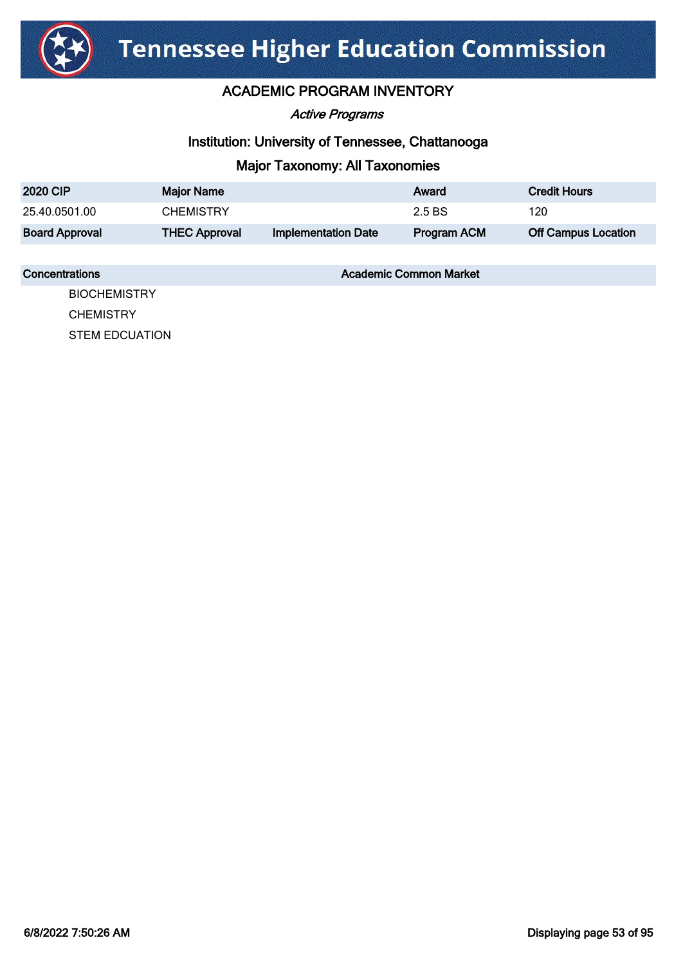

#### ACADEMIC PROGRAM INVENTORY

Active Programs

#### Institution: University of Tennessee, Chattanooga

#### Major Taxonomy: All Taxonomies

| <b>2020 CIP</b>       | <b>Major Name</b>    |                            | Award       | <b>Credit Hours</b>        |
|-----------------------|----------------------|----------------------------|-------------|----------------------------|
| 25.40.0501.00         | <b>CHEMISTRY</b>     |                            | 2.5 BS      | 120                        |
| <b>Board Approval</b> | <b>THEC Approval</b> | <b>Implementation Date</b> | Program ACM | <b>Off Campus Location</b> |

#### **Concentrations Concentrations** Academic Common Market

**BIOCHEMISTRY CHEMISTRY** STEM EDCUATION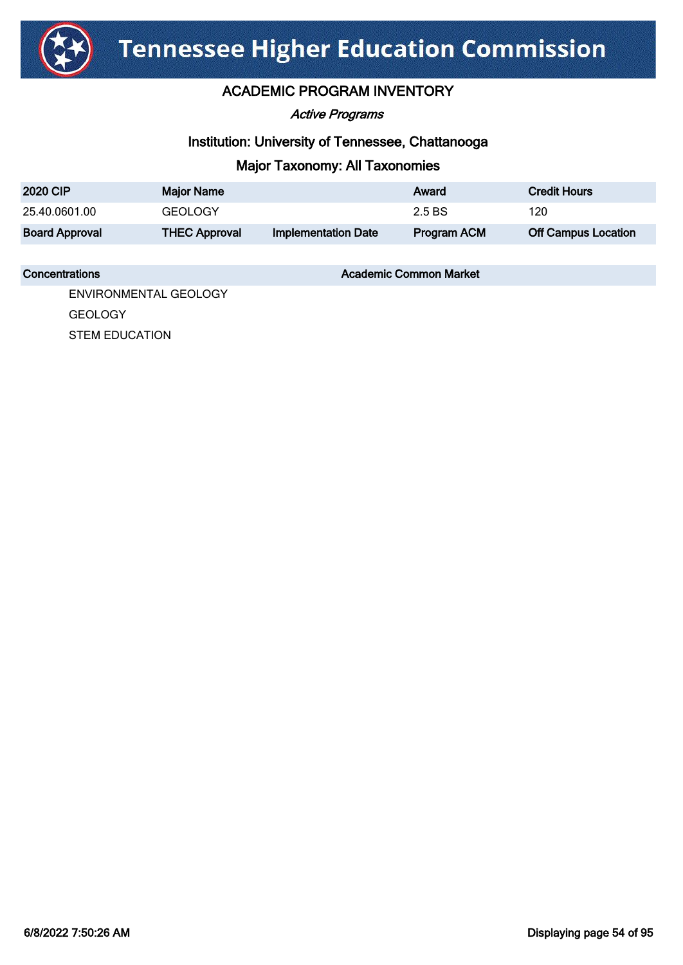

#### ACADEMIC PROGRAM INVENTORY

Active Programs

#### Institution: University of Tennessee, Chattanooga

#### Major Taxonomy: All Taxonomies

| <b>2020 CIP</b>       | <b>Major Name</b>    |                            | Award              | <b>Credit Hours</b>        |
|-----------------------|----------------------|----------------------------|--------------------|----------------------------|
| 25.40.0601.00         | <b>GEOLOGY</b>       |                            | 2.5 BS             | 120                        |
| <b>Board Approval</b> | <b>THEC Approval</b> | <b>Implementation Date</b> | <b>Program ACM</b> | <b>Off Campus Location</b> |

#### **Concentrations Concentrations** Academic Common Market

ENVIRONMENTAL GEOLOGY GEOLOGY

STEM EDUCATION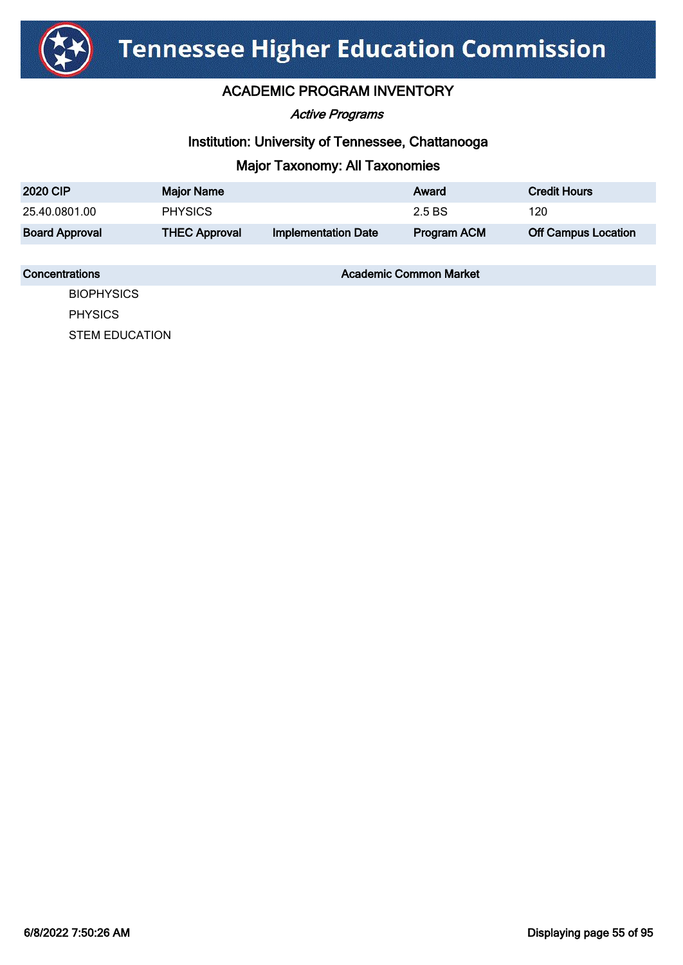

Active Programs

#### Institution: University of Tennessee, Chattanooga

#### Major Taxonomy: All Taxonomies

| <b>2020 CIP</b>       | <b>Major Name</b>    |                            | Award              | <b>Credit Hours</b>        |
|-----------------------|----------------------|----------------------------|--------------------|----------------------------|
| 25.40.0801.00         | <b>PHYSICS</b>       |                            | 2.5 BS             | 120                        |
| <b>Board Approval</b> | <b>THEC Approval</b> | <b>Implementation Date</b> | <b>Program ACM</b> | <b>Off Campus Location</b> |

#### **Concentrations Concentrations** Academic Common Market

**BIOPHYSICS** PHYSICS STEM EDUCATION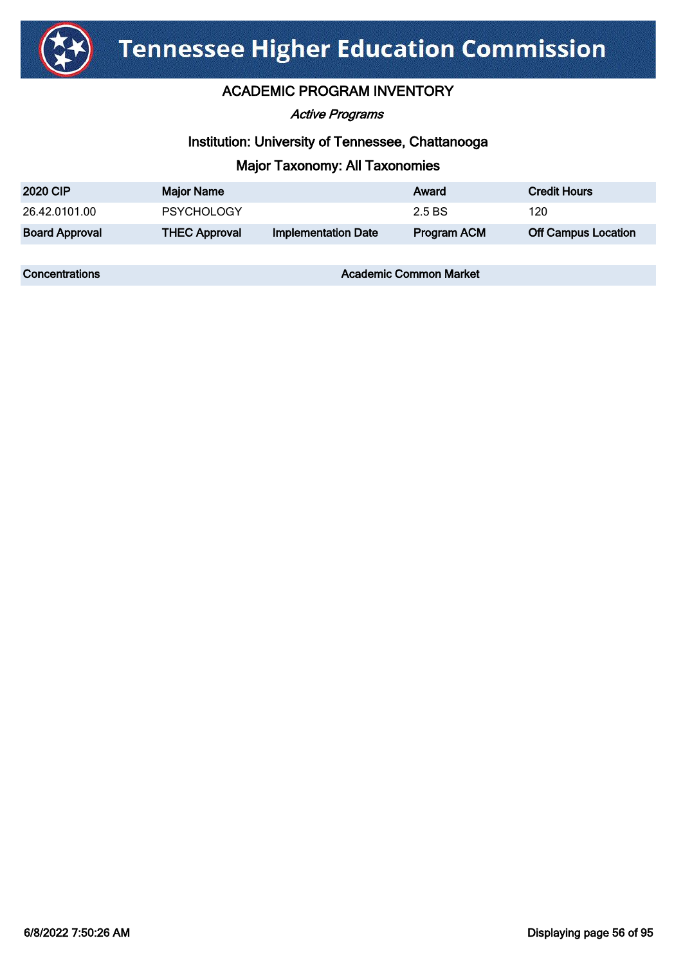

#### ACADEMIC PROGRAM INVENTORY

Active Programs

#### Institution: University of Tennessee, Chattanooga

#### Major Taxonomy: All Taxonomies

| <b>2020 CIP</b>       | <b>Major Name</b>    |                            | Award              | <b>Credit Hours</b>        |
|-----------------------|----------------------|----------------------------|--------------------|----------------------------|
| 26.42.0101.00         | <b>PSYCHOLOGY</b>    |                            | 2.5 BS             | 120                        |
| <b>Board Approval</b> | <b>THEC Approval</b> | <b>Implementation Date</b> | <b>Program ACM</b> | <b>Off Campus Location</b> |

**Concentrations Concentrations** Academic Common Market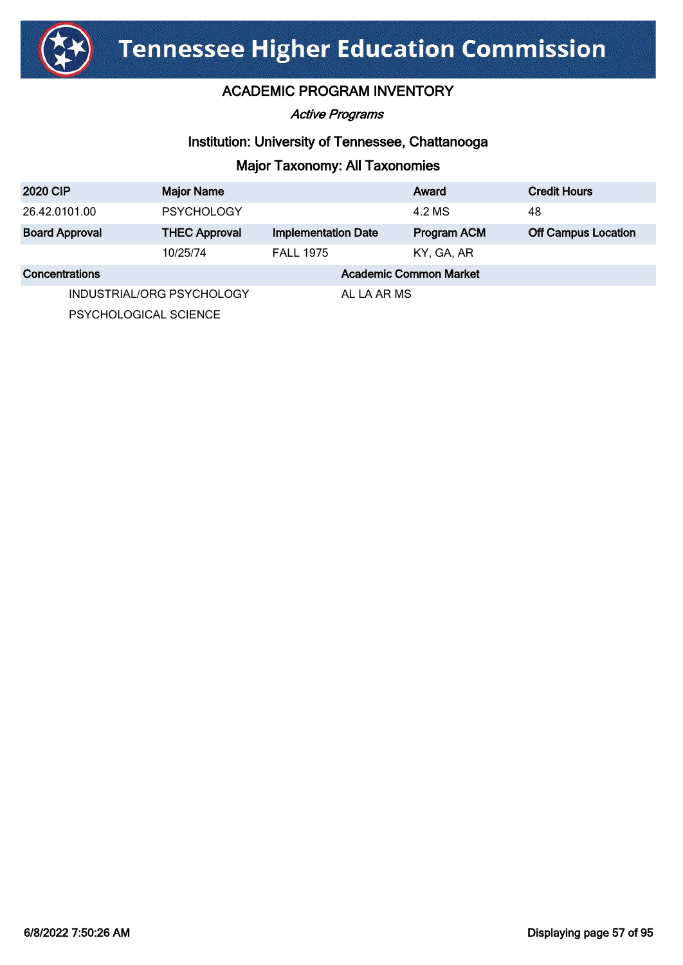

Active Programs

#### Institution: University of Tennessee, Chattanooga

### Major Taxonomy: All Taxonomies

| <b>2020 CIP</b>          | <b>Major Name</b>         |                            | Award                         | <b>Credit Hours</b>        |
|--------------------------|---------------------------|----------------------------|-------------------------------|----------------------------|
| 26.42.0101.00            | <b>PSYCHOLOGY</b>         |                            | 4.2 MS                        | 48                         |
| <b>Board Approval</b>    | <b>THEC Approval</b>      | <b>Implementation Date</b> | Program ACM                   | <b>Off Campus Location</b> |
|                          | 10/25/74                  | <b>FALL 1975</b>           | KY, GA, AR                    |                            |
| Concentrations           |                           |                            | <b>Academic Common Market</b> |                            |
|                          | INDUSTRIAL/ORG PSYCHOLOGY | AL LA AR MS                |                               |                            |
| DEVOLIOI OCIONI EOIENIOE |                           |                            |                               |                            |

PSYCHOLOGICAL SCIENCE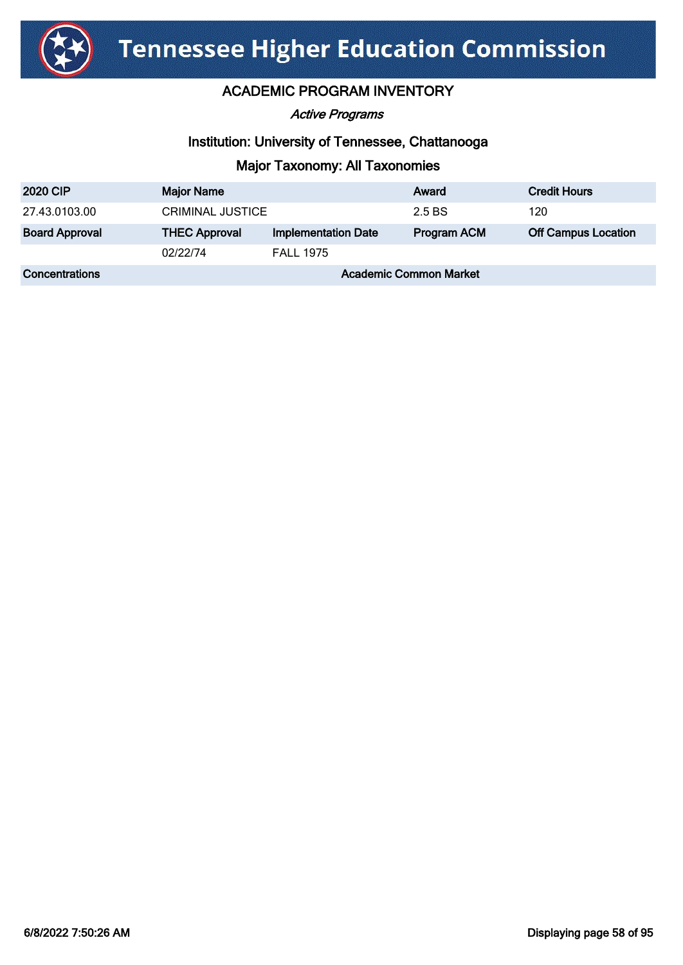

Active Programs

#### Institution: University of Tennessee, Chattanooga

| <b>2020 CIP</b>       | <b>Major Name</b>             |                            | Award              | <b>Credit Hours</b>        |
|-----------------------|-------------------------------|----------------------------|--------------------|----------------------------|
| 27.43.0103.00         | <b>CRIMINAL JUSTICE</b>       |                            | 2.5 BS             | 120                        |
| <b>Board Approval</b> | <b>THEC Approval</b>          | <b>Implementation Date</b> | <b>Program ACM</b> | <b>Off Campus Location</b> |
|                       | 02/22/74                      | <b>FALL 1975</b>           |                    |                            |
| <b>Concentrations</b> | <b>Academic Common Market</b> |                            |                    |                            |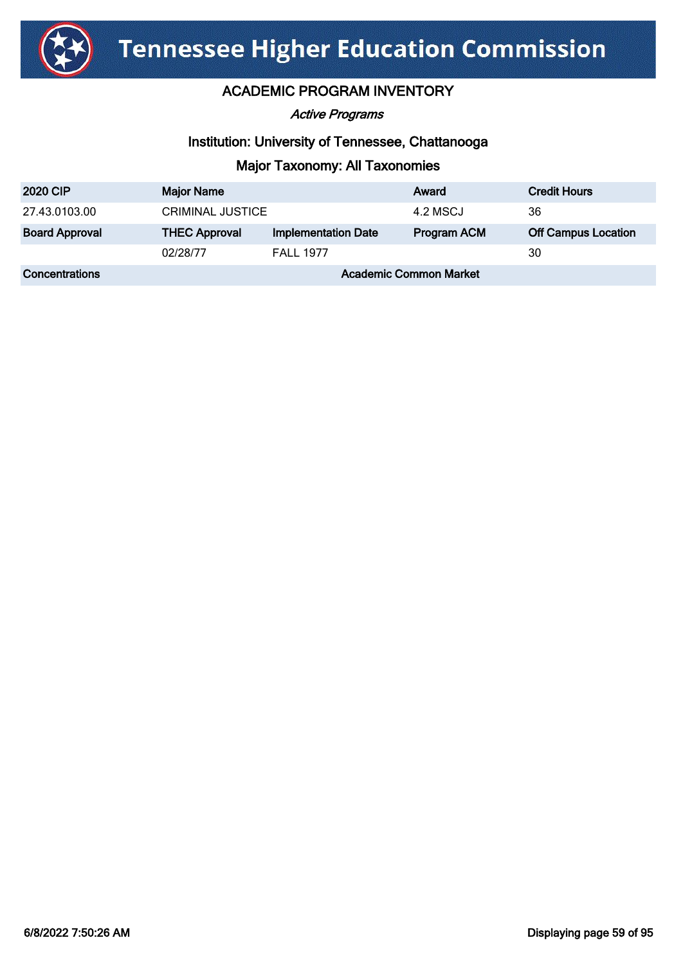

Active Programs

#### Institution: University of Tennessee, Chattanooga

| <b>2020 CIP</b>       | <b>Major Name</b>             |                            | Award              | <b>Credit Hours</b>        |
|-----------------------|-------------------------------|----------------------------|--------------------|----------------------------|
| 27.43.0103.00         | <b>CRIMINAL JUSTICE</b>       |                            | 4.2 MSCJ           | 36                         |
| <b>Board Approval</b> | <b>THEC Approval</b>          | <b>Implementation Date</b> | <b>Program ACM</b> | <b>Off Campus Location</b> |
|                       | 02/28/77                      | <b>FALL 1977</b>           |                    | 30                         |
| Concentrations        | <b>Academic Common Market</b> |                            |                    |                            |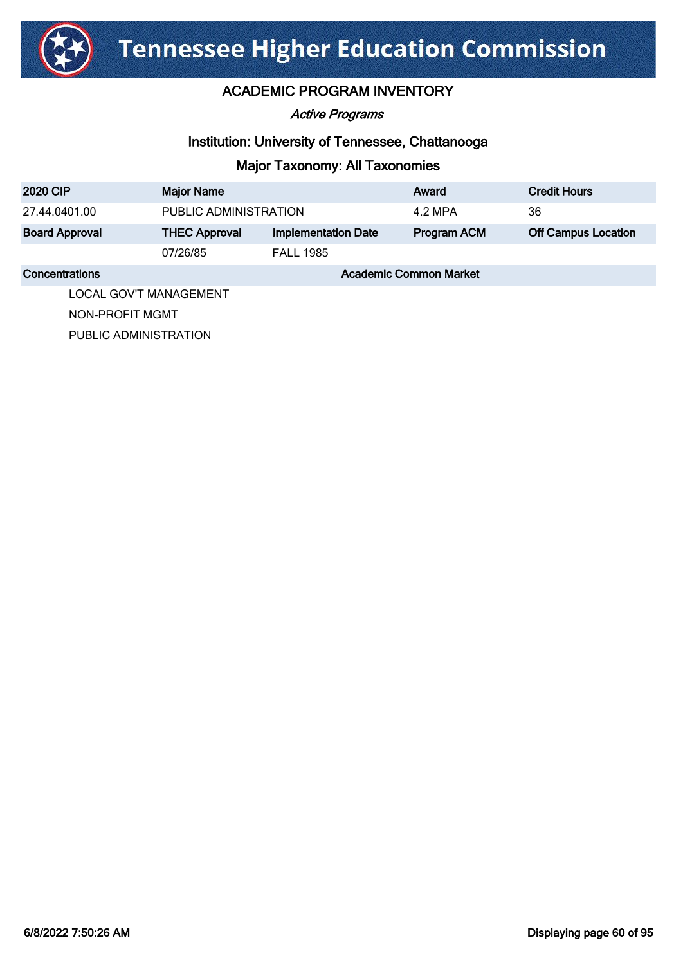

Active Programs

#### Institution: University of Tennessee, Chattanooga

# Major Taxonomy: All Taxonomies

| <b>2020 CIP</b>       | <b>Major Name</b>             |                            | Award              | <b>Credit Hours</b>        |
|-----------------------|-------------------------------|----------------------------|--------------------|----------------------------|
| 27.44.0401.00         | PUBLIC ADMINISTRATION         |                            | 4.2 MPA            | 36                         |
| <b>Board Approval</b> | <b>THEC Approval</b>          | <b>Implementation Date</b> | <b>Program ACM</b> | <b>Off Campus Location</b> |
|                       | 07/26/85                      | <b>FALL 1985</b>           |                    |                            |
| <b>Concentrations</b> | <b>Academic Common Market</b> |                            |                    |                            |
|                       |                               |                            |                    |                            |

LOCAL GOV'T MANAGEMENT

NON-PROFIT MGMT

PUBLIC ADMINISTRATION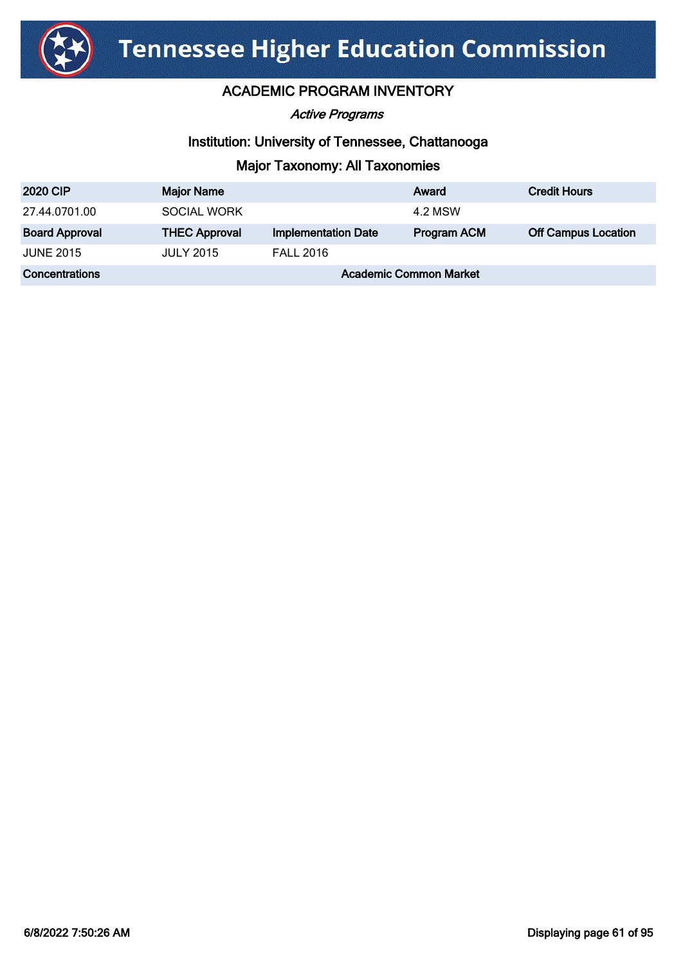

### ACADEMIC PROGRAM INVENTORY

Active Programs

#### Institution: University of Tennessee, Chattanooga

| <b>2020 CIP</b>       | <b>Major Name</b>             |                            | Award              | <b>Credit Hours</b>        |
|-----------------------|-------------------------------|----------------------------|--------------------|----------------------------|
| 27.44.0701.00         | <b>SOCIAL WORK</b>            |                            | 4.2 MSW            |                            |
| <b>Board Approval</b> | <b>THEC Approval</b>          | <b>Implementation Date</b> | <b>Program ACM</b> | <b>Off Campus Location</b> |
| <b>JUNE 2015</b>      | <b>JULY 2015</b>              | <b>FALL 2016</b>           |                    |                            |
| <b>Concentrations</b> | <b>Academic Common Market</b> |                            |                    |                            |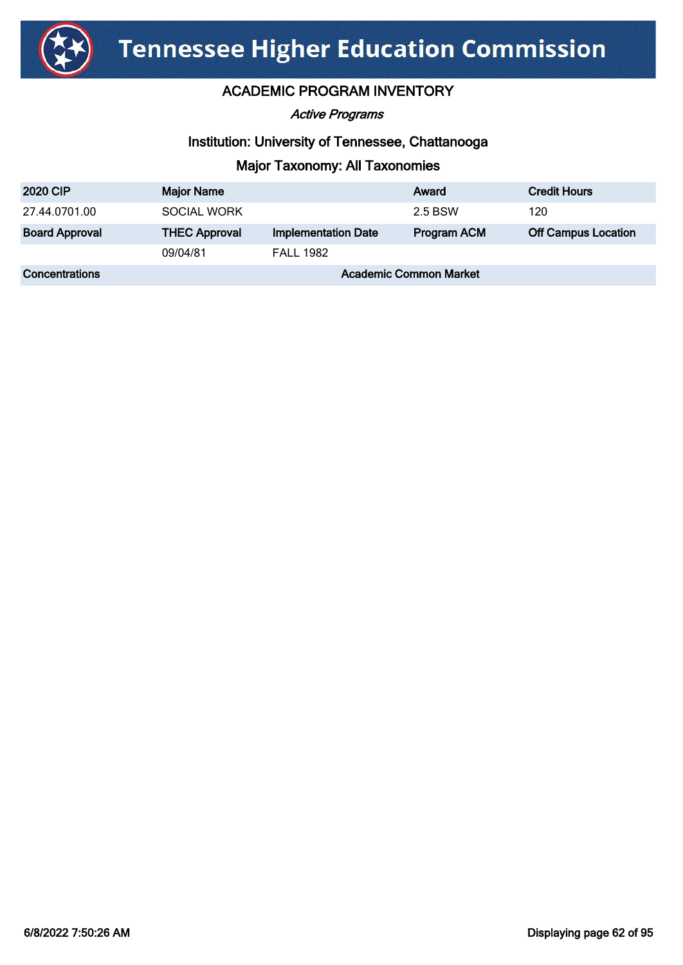

Active Programs

#### Institution: University of Tennessee, Chattanooga

| <b>2020 CIP</b>       | <b>Major Name</b>             |                            | Award              | <b>Credit Hours</b>        |
|-----------------------|-------------------------------|----------------------------|--------------------|----------------------------|
| 27.44.0701.00         | <b>SOCIAL WORK</b>            |                            | 2.5 BSW            | 120                        |
| <b>Board Approval</b> | <b>THEC Approval</b>          | <b>Implementation Date</b> | <b>Program ACM</b> | <b>Off Campus Location</b> |
|                       | 09/04/81                      | <b>FALL 1982</b>           |                    |                            |
| <b>Concentrations</b> | <b>Academic Common Market</b> |                            |                    |                            |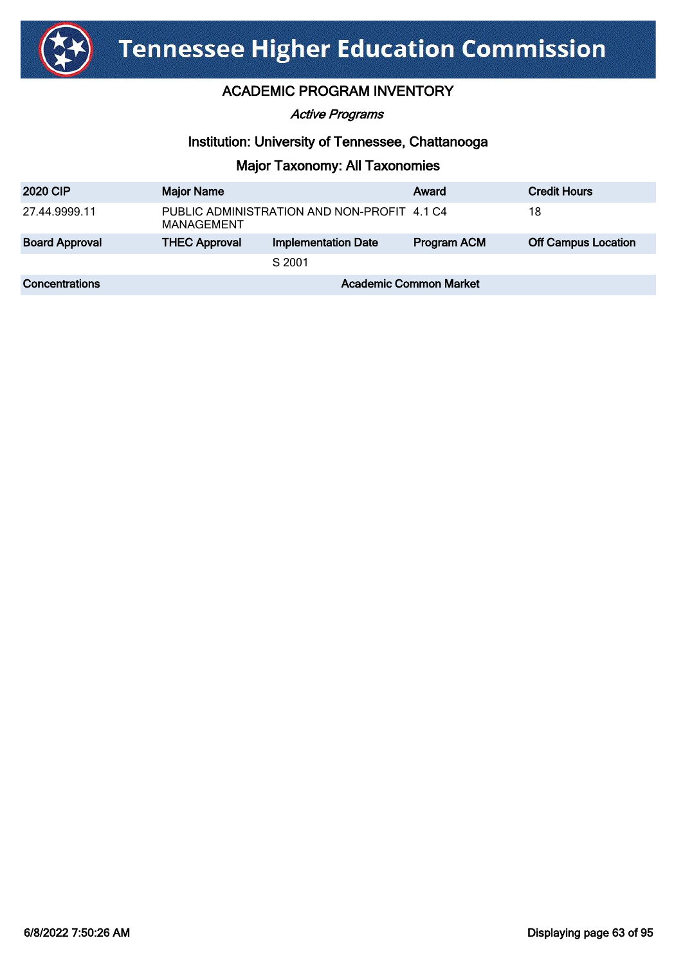

#### Active Programs

#### Institution: University of Tennessee, Chattanooga

| <b>2020 CIP</b>       | <b>Major Name</b>                                         |                            | Award              | <b>Credit Hours</b>        |
|-----------------------|-----------------------------------------------------------|----------------------------|--------------------|----------------------------|
| 27.44.9999.11         | PUBLIC ADMINISTRATION AND NON-PROFIT 4.1 C4<br>MANAGEMENT |                            |                    | 18                         |
| <b>Board Approval</b> | <b>THEC Approval</b>                                      | <b>Implementation Date</b> | <b>Program ACM</b> | <b>Off Campus Location</b> |
|                       |                                                           | S 2001                     |                    |                            |
| <b>Concentrations</b> | <b>Academic Common Market</b>                             |                            |                    |                            |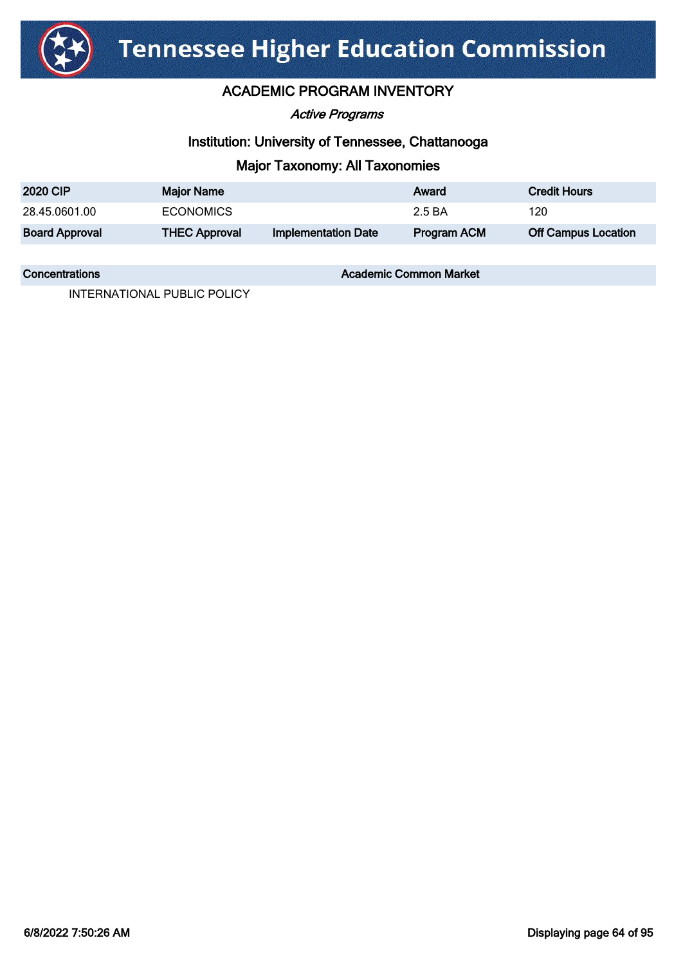

#### ACADEMIC PROGRAM INVENTORY

Active Programs

#### Institution: University of Tennessee, Chattanooga

#### Major Taxonomy: All Taxonomies

| <b>2020 CIP</b>       | <b>Major Name</b>    |                            | Award       | <b>Credit Hours</b>        |
|-----------------------|----------------------|----------------------------|-------------|----------------------------|
| 28.45.0601.00         | <b>ECONOMICS</b>     |                            | 2.5 BA      | 120                        |
| <b>Board Approval</b> | <b>THEC Approval</b> | <b>Implementation Date</b> | Program ACM | <b>Off Campus Location</b> |

**Concentrations Concentrations** Academic Common Market

INTERNATIONAL PUBLIC POLICY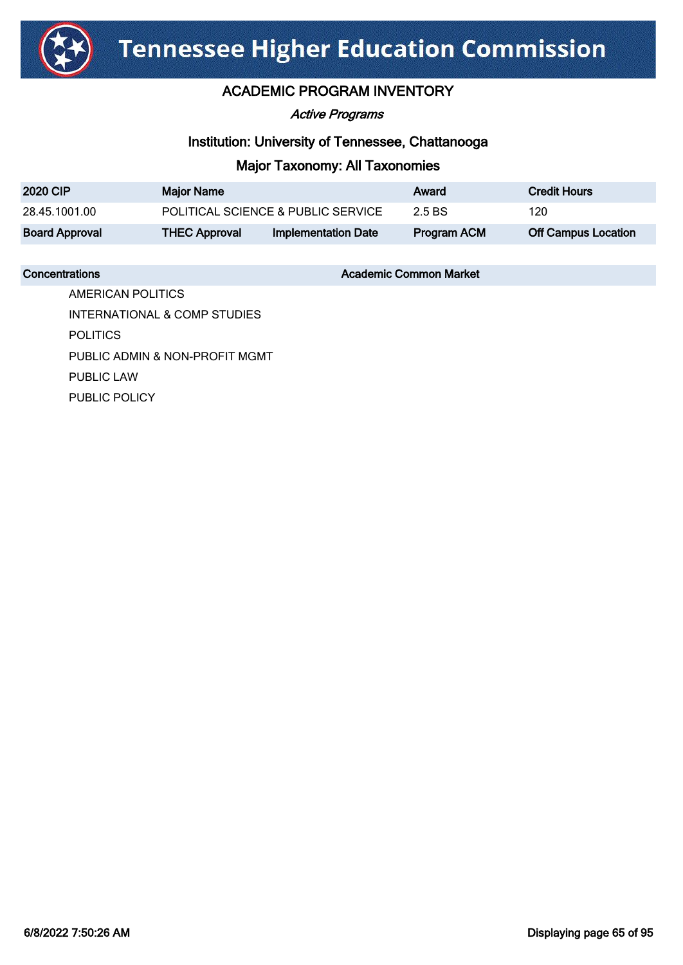

Active Programs

#### Institution: University of Tennessee, Chattanooga

#### Major Taxonomy: All Taxonomies

| <b>2020 CIP</b>       | <b>Major Name</b>    |                                    | Award       | <b>Credit Hours</b>        |
|-----------------------|----------------------|------------------------------------|-------------|----------------------------|
| 28.45.1001.00         |                      | POLITICAL SCIENCE & PUBLIC SERVICE | 2.5 BS      | 120                        |
| <b>Board Approval</b> | <b>THEC Approval</b> | Implementation Date                | Program ACM | <b>Off Campus Location</b> |

**Concentrations Concentrations** Academic Common Market

AMERICAN POLITICS INTERNATIONAL & COMP STUDIES POLITICS PUBLIC ADMIN & NON-PROFIT MGMT PUBLIC LAW PUBLIC POLICY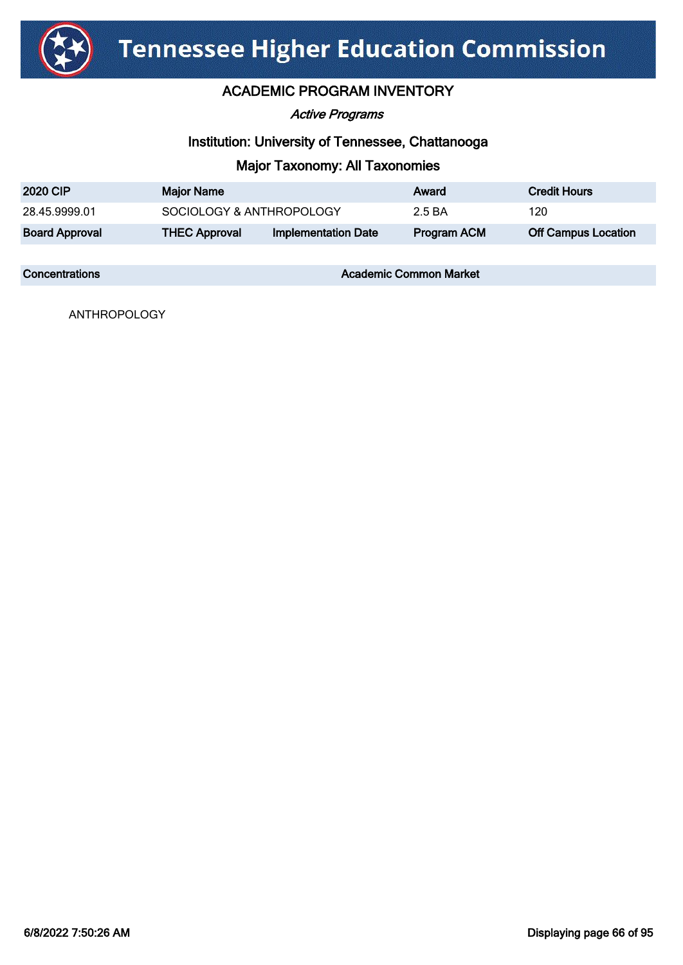

#### ACADEMIC PROGRAM INVENTORY

#### Active Programs

#### Institution: University of Tennessee, Chattanooga

#### Major Taxonomy: All Taxonomies

| <b>2020 CIP</b>       | <b>Major Name</b>        |                            | Award       | <b>Credit Hours</b>        |
|-----------------------|--------------------------|----------------------------|-------------|----------------------------|
| 28.45.9999.01         | SOCIOLOGY & ANTHROPOLOGY |                            | 2.5 BA      | 120                        |
| <b>Board Approval</b> | <b>THEC Approval</b>     | <b>Implementation Date</b> | Program ACM | <b>Off Campus Location</b> |

**Concentrations Concentrations** Academic Common Market

ANTHROPOLOGY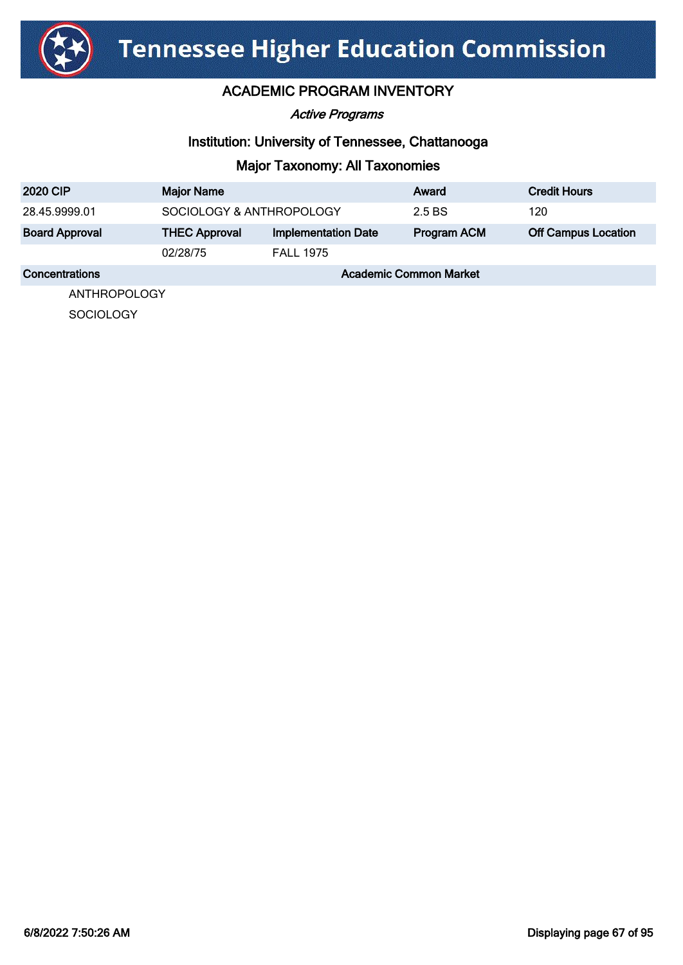

Active Programs

#### Institution: University of Tennessee, Chattanooga

### Major Taxonomy: All Taxonomies

| <b>2020 CIP</b>       | <b>Major Name</b>        |                            | Award                         | <b>Credit Hours</b>        |
|-----------------------|--------------------------|----------------------------|-------------------------------|----------------------------|
| 28.45.9999.01         | SOCIOLOGY & ANTHROPOLOGY |                            | 2.5 BS                        | 120                        |
| <b>Board Approval</b> | <b>THEC Approval</b>     | <b>Implementation Date</b> | Program ACM                   | <b>Off Campus Location</b> |
|                       | 02/28/75                 | <b>FALL 1975</b>           |                               |                            |
| Concentrations        |                          |                            | <b>Academic Common Market</b> |                            |
| ANITHROPOI OCV        |                          |                            |                               |                            |

ANTHROPOLOGY

**SOCIOLOGY**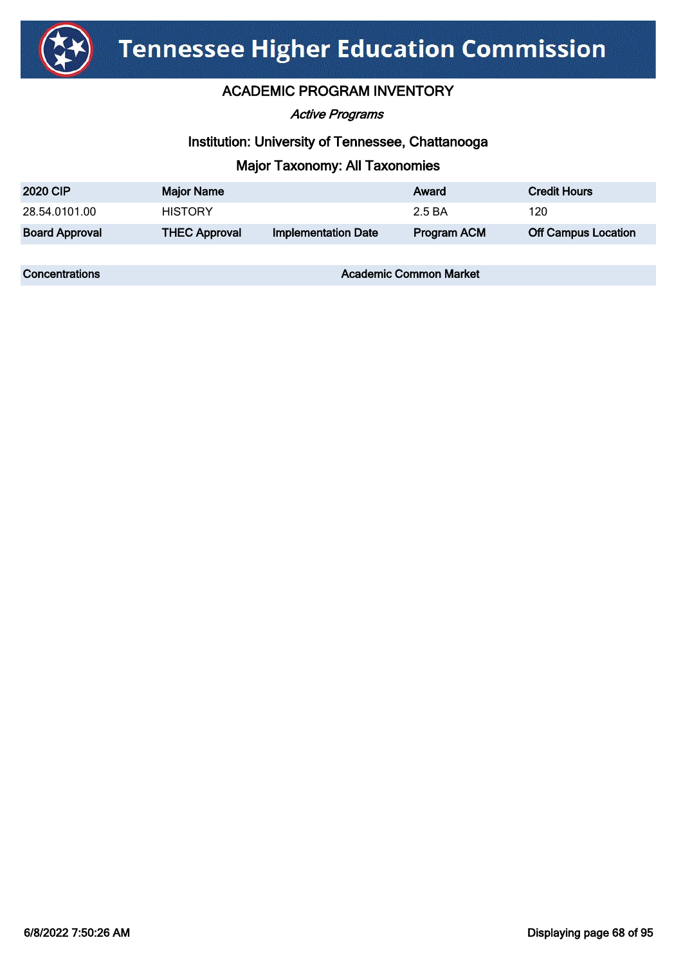

#### ACADEMIC PROGRAM INVENTORY

Active Programs

#### Institution: University of Tennessee, Chattanooga

#### Major Taxonomy: All Taxonomies

| <b>2020 CIP</b>       | Major Name           |                            | Award       | <b>Credit Hours</b>        |
|-----------------------|----------------------|----------------------------|-------------|----------------------------|
| 28.54.0101.00         | <b>HISTORY</b>       |                            | 2.5 BA      | 120                        |
| <b>Board Approval</b> | <b>THEC Approval</b> | <b>Implementation Date</b> | Program ACM | <b>Off Campus Location</b> |

**Concentrations Concentrations** Academic Common Market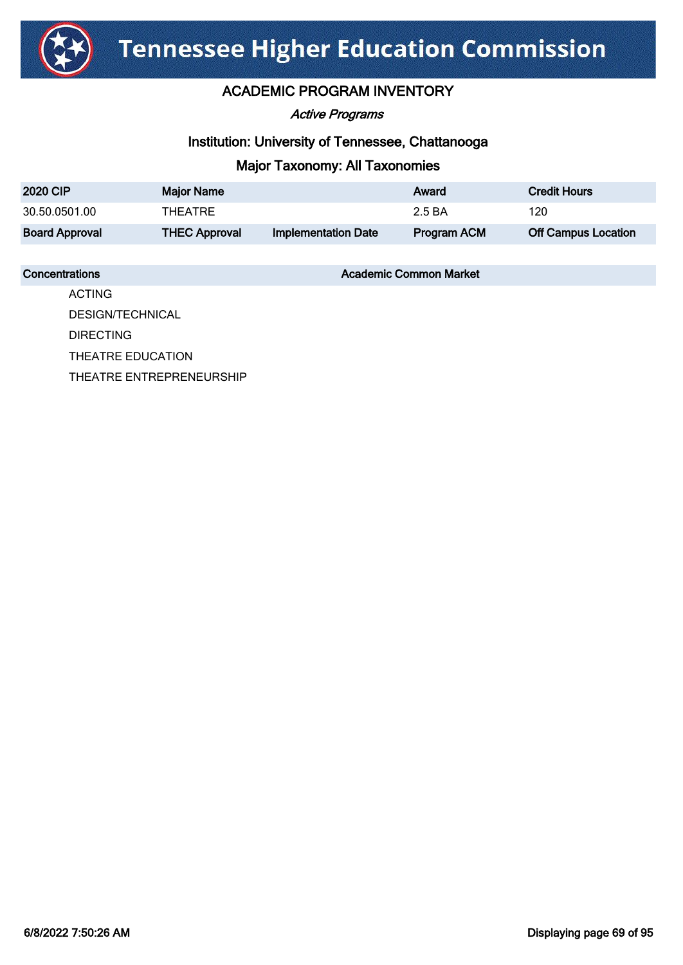

Active Programs

#### Institution: University of Tennessee, Chattanooga

### Major Taxonomy: All Taxonomies

| <b>2020 CIP</b>       | <b>Major Name</b>    |                     | Award       | <b>Credit Hours</b>        |
|-----------------------|----------------------|---------------------|-------------|----------------------------|
| 30.50.0501.00         | THEATRE              |                     | 2.5 BA      | 120                        |
| <b>Board Approval</b> | <b>THEC Approval</b> | Implementation Date | Program ACM | <b>Off Campus Location</b> |

**Concentrations Concentrations** Academic Common Market

ACTING DESIGN/TECHNICAL DIRECTING THEATRE EDUCATION THEATRE ENTREPRENEURSHIP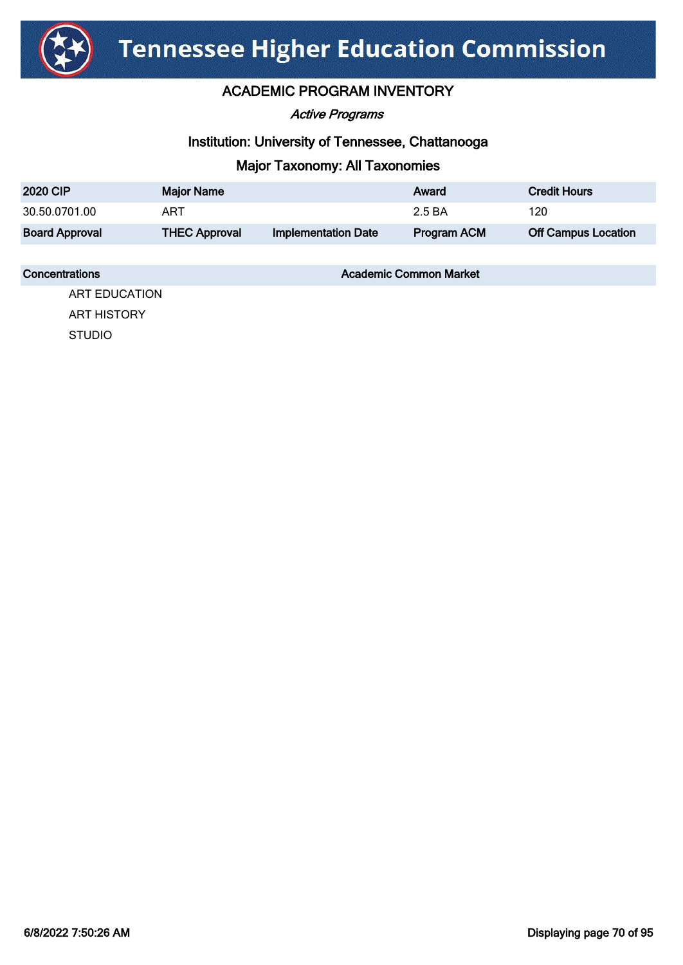

Active Programs

#### Institution: University of Tennessee, Chattanooga

### Major Taxonomy: All Taxonomies

| <b>2020 CIP</b>       | <b>Major Name</b>    |                            | Award       | <b>Credit Hours</b>        |
|-----------------------|----------------------|----------------------------|-------------|----------------------------|
| 30.50.0701.00         | ART                  |                            | 2.5 BA      | 120                        |
| <b>Board Approval</b> | <b>THEC Approval</b> | <b>Implementation Date</b> | Program ACM | <b>Off Campus Location</b> |

#### **Concentrations Concentrations** Academic Common Market

ART EDUCATION ART HISTORY STUDIO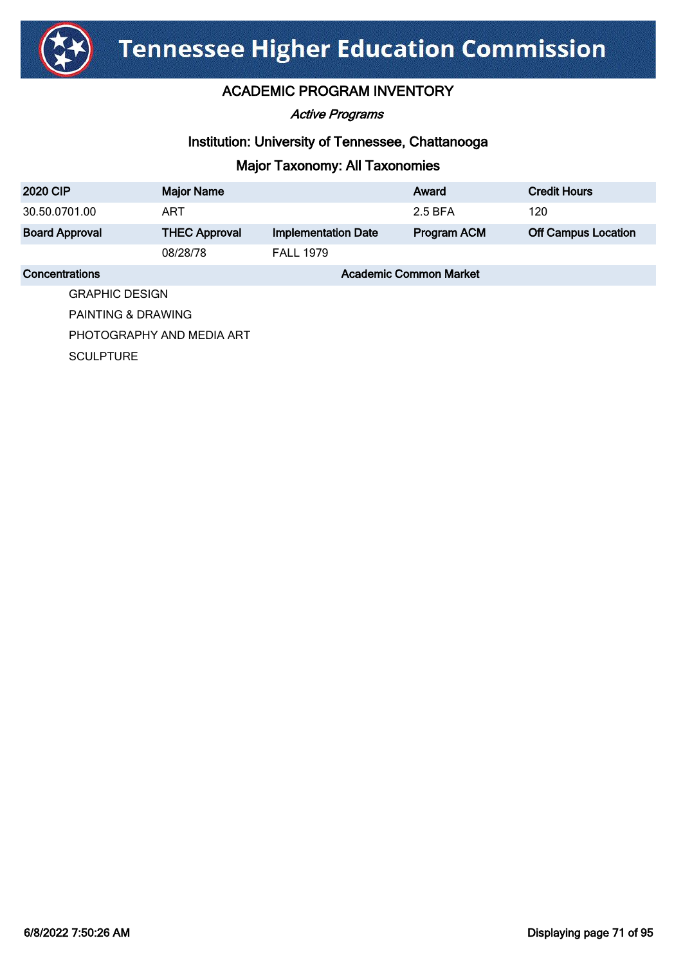

Active Programs

#### Institution: University of Tennessee, Chattanooga

# Major Taxonomy: All Taxonomies

| <b>2020 CIP</b>       | <b>Major Name</b>         |                            | Award                         | <b>Credit Hours</b>        |
|-----------------------|---------------------------|----------------------------|-------------------------------|----------------------------|
| 30.50.0701.00         | <b>ART</b>                |                            | 2.5 BFA                       | 120                        |
| <b>Board Approval</b> | <b>THEC Approval</b>      | <b>Implementation Date</b> | Program ACM                   | <b>Off Campus Location</b> |
|                       | 08/28/78                  | <b>FALL 1979</b>           |                               |                            |
| <b>Concentrations</b> |                           |                            | <b>Academic Common Market</b> |                            |
| <b>GRAPHIC DESIGN</b> |                           |                            |                               |                            |
| PAINTING & DRAWING    |                           |                            |                               |                            |
|                       | PHOTOGRAPHY AND MEDIA ART |                            |                               |                            |

**SCULPTURE**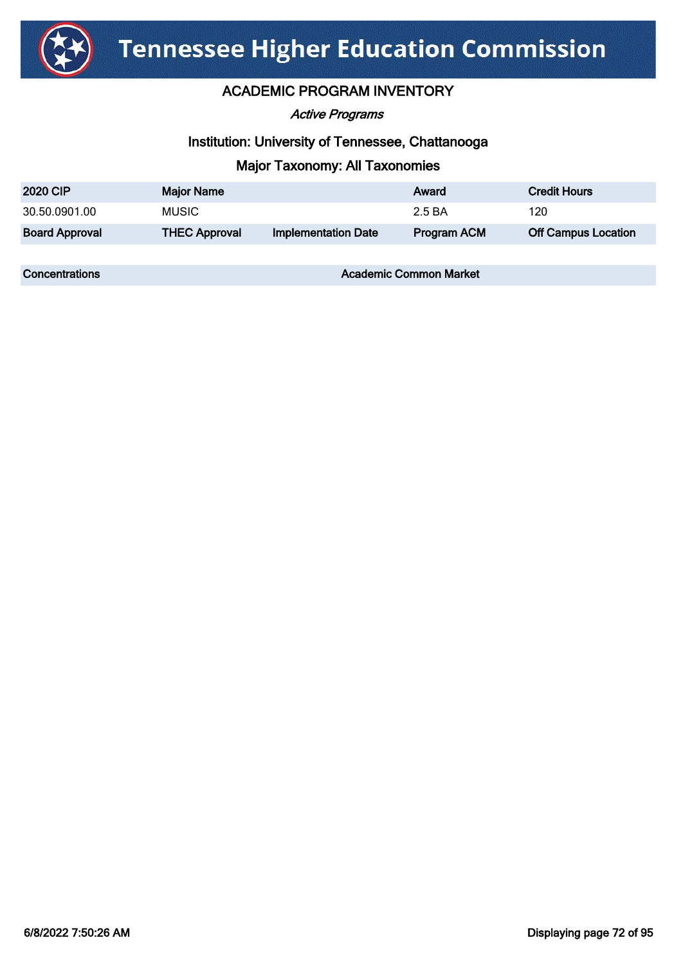

#### ACADEMIC PROGRAM INVENTORY

Active Programs

#### Institution: University of Tennessee, Chattanooga

#### Major Taxonomy: All Taxonomies

| <b>2020 CIP</b>       | <b>Major Name</b>    |                            | Award       | <b>Credit Hours</b>        |
|-----------------------|----------------------|----------------------------|-------------|----------------------------|
| 30.50.0901.00         | <b>MUSIC</b>         |                            | 2.5 BA      | 120                        |
| <b>Board Approval</b> | <b>THEC Approval</b> | <b>Implementation Date</b> | Program ACM | <b>Off Campus Location</b> |

**Concentrations Concentrations** Academic Common Market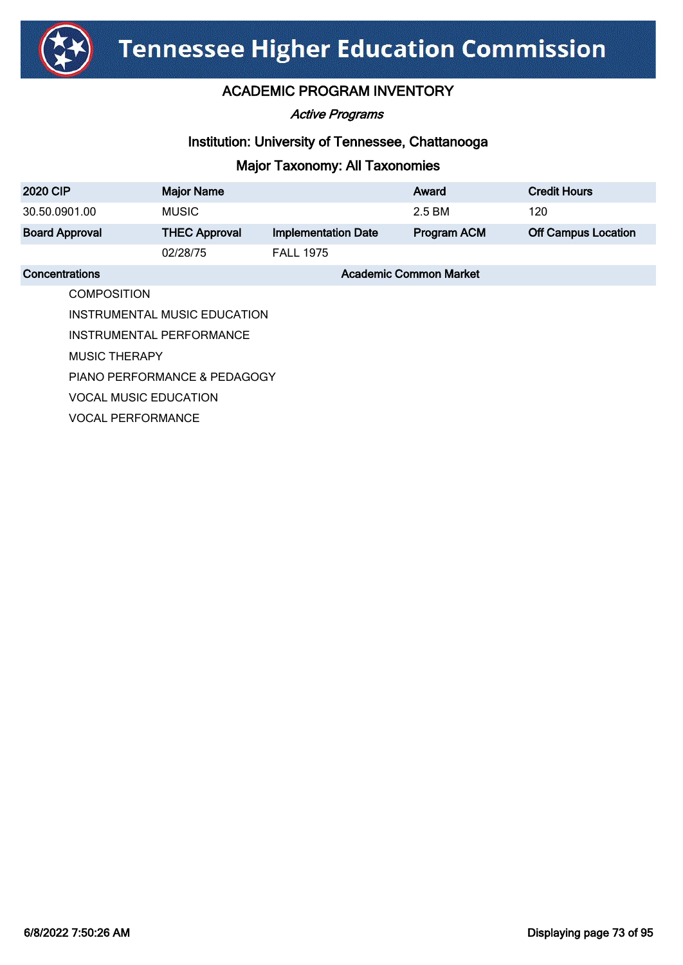

Active Programs

### Institution: University of Tennessee, Chattanooga

| <b>2020 CIP</b>          | <b>Major Name</b>            |                            | Award                         | <b>Credit Hours</b>        |
|--------------------------|------------------------------|----------------------------|-------------------------------|----------------------------|
| 30.50.0901.00            | <b>MUSIC</b>                 |                            | 2.5 BM                        | 120                        |
| <b>Board Approval</b>    | <b>THEC Approval</b>         | <b>Implementation Date</b> | Program ACM                   | <b>Off Campus Location</b> |
|                          | 02/28/75                     | <b>FALL 1975</b>           |                               |                            |
| Concentrations           |                              |                            | <b>Academic Common Market</b> |                            |
| <b>COMPOSITION</b>       |                              |                            |                               |                            |
|                          | INSTRUMENTAL MUSIC EDUCATION |                            |                               |                            |
|                          | INSTRUMENTAL PERFORMANCE     |                            |                               |                            |
| <b>MUSIC THERAPY</b>     |                              |                            |                               |                            |
|                          | PIANO PERFORMANCE & PEDAGOGY |                            |                               |                            |
|                          | <b>VOCAL MUSIC EDUCATION</b> |                            |                               |                            |
| <b>VOCAL PERFORMANCE</b> |                              |                            |                               |                            |
|                          |                              |                            |                               |                            |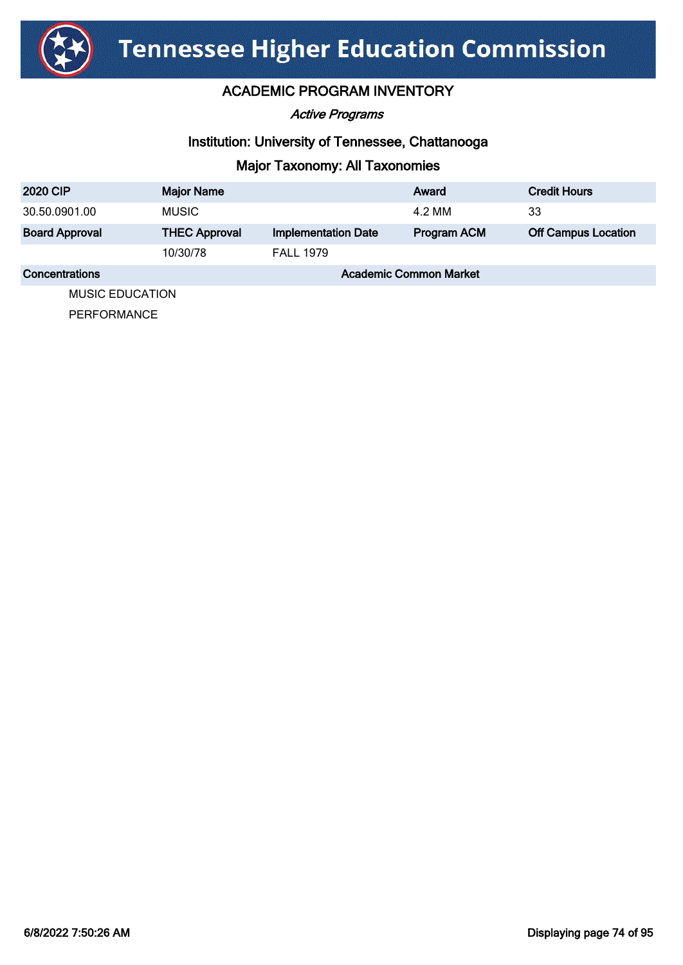

Active Programs

### Institution: University of Tennessee, Chattanooga

# Major Taxonomy: All Taxonomies

| <b>2020 CIP</b>       | <b>Major Name</b>    |                            | Award                         | <b>Credit Hours</b>        |  |
|-----------------------|----------------------|----------------------------|-------------------------------|----------------------------|--|
| 30.50.0901.00         | <b>MUSIC</b>         |                            | 4.2 MM                        | 33                         |  |
| <b>Board Approval</b> | <b>THEC Approval</b> | <b>Implementation Date</b> | Program ACM                   | <b>Off Campus Location</b> |  |
|                       | 10/30/78             | <b>FALL 1979</b>           |                               |                            |  |
| Concentrations        |                      |                            | <b>Academic Common Market</b> |                            |  |
|                       | MUSIC EDUCATION      |                            |                               |                            |  |

MUSIC EDUCATION

PERFORMANCE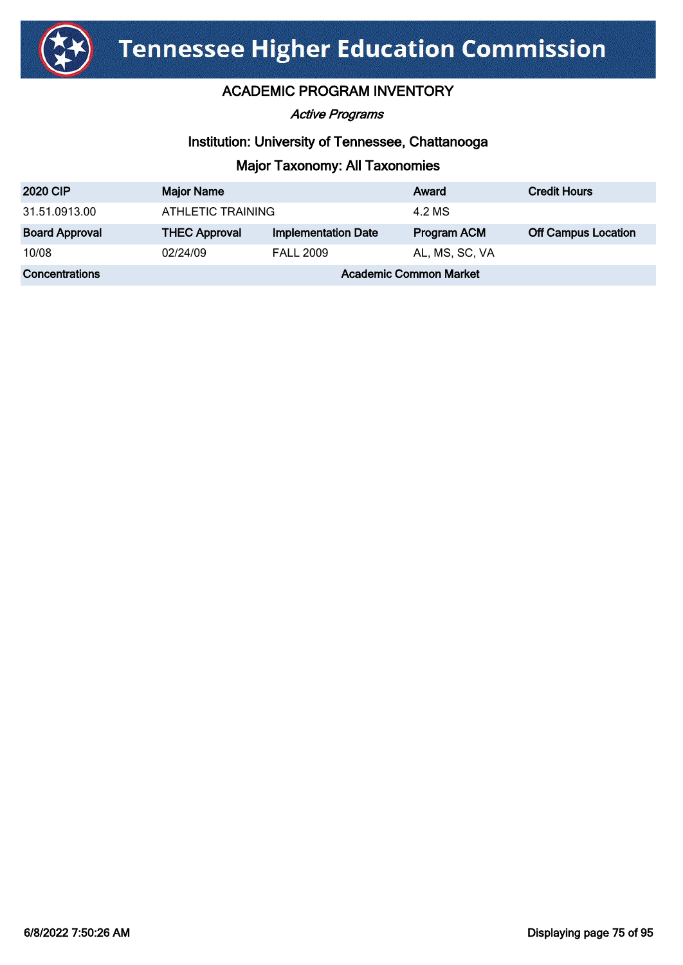

Active Programs

### Institution: University of Tennessee, Chattanooga

| <b>2020 CIP</b>       | <b>Major Name</b>             |                            | Award              | <b>Credit Hours</b>        |
|-----------------------|-------------------------------|----------------------------|--------------------|----------------------------|
| 31.51.0913.00         | ATHLETIC TRAINING             |                            | 4.2 MS             |                            |
| <b>Board Approval</b> | <b>THEC Approval</b>          | <b>Implementation Date</b> | <b>Program ACM</b> | <b>Off Campus Location</b> |
| 10/08                 | 02/24/09                      | <b>FALL 2009</b>           | AL, MS, SC, VA     |                            |
| Concentrations        | <b>Academic Common Market</b> |                            |                    |                            |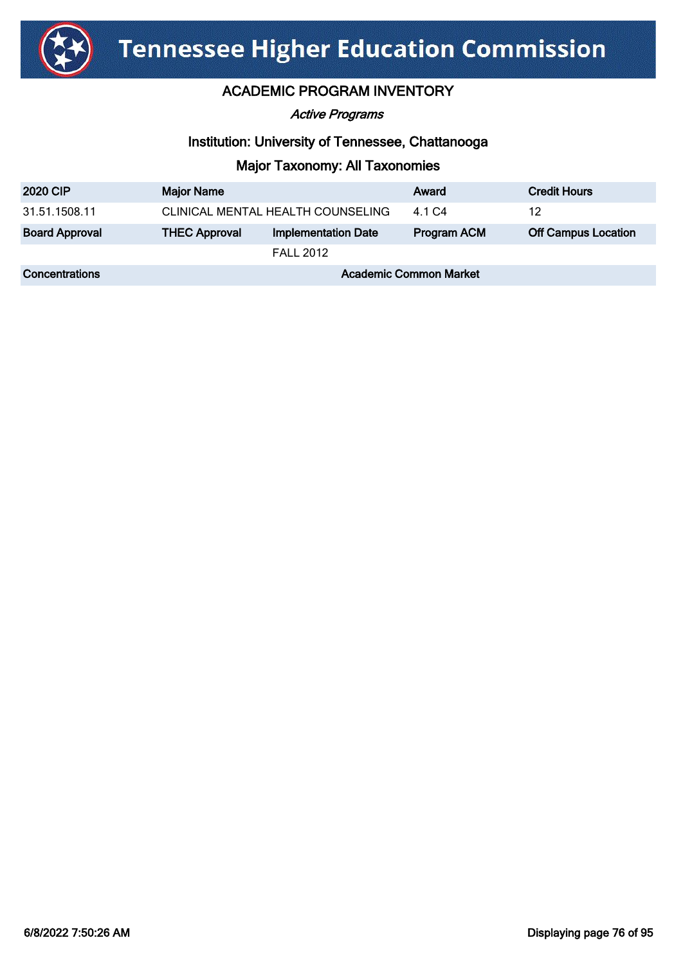

#### Active Programs

#### Institution: University of Tennessee, Chattanooga

| <b>2020 CIP</b>       | <b>Major Name</b>                 |                            | Award              | <b>Credit Hours</b>        |
|-----------------------|-----------------------------------|----------------------------|--------------------|----------------------------|
| 31.51.1508.11         | CLINICAL MENTAL HEALTH COUNSELING |                            | 4.1 C <sub>4</sub> | 12                         |
| <b>Board Approval</b> | <b>THEC Approval</b>              | <b>Implementation Date</b> | Program ACM        | <b>Off Campus Location</b> |
|                       |                                   | <b>FALL 2012</b>           |                    |                            |
| Concentrations        | <b>Academic Common Market</b>     |                            |                    |                            |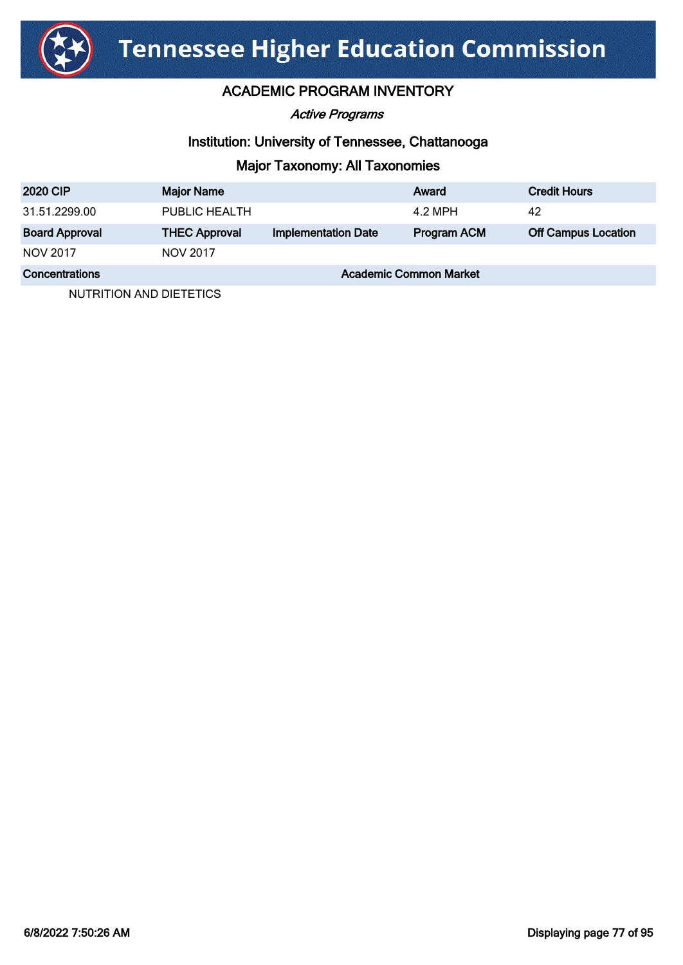

Active Programs

### Institution: University of Tennessee, Chattanooga

# Major Taxonomy: All Taxonomies

| <b>2020 CIP</b>       | <b>Major Name</b>             |                            | Award       | <b>Credit Hours</b>        |
|-----------------------|-------------------------------|----------------------------|-------------|----------------------------|
| 31.51.2299.00         | PUBLIC HEALTH                 |                            | 4.2 MPH     | 42                         |
| <b>Board Approval</b> | <b>THEC Approval</b>          | <b>Implementation Date</b> | Program ACM | <b>Off Campus Location</b> |
| NOV 2017              | <b>NOV 2017</b>               |                            |             |                            |
| Concentrations        | <b>Academic Common Market</b> |                            |             |                            |

NUTRITION AND DIETETICS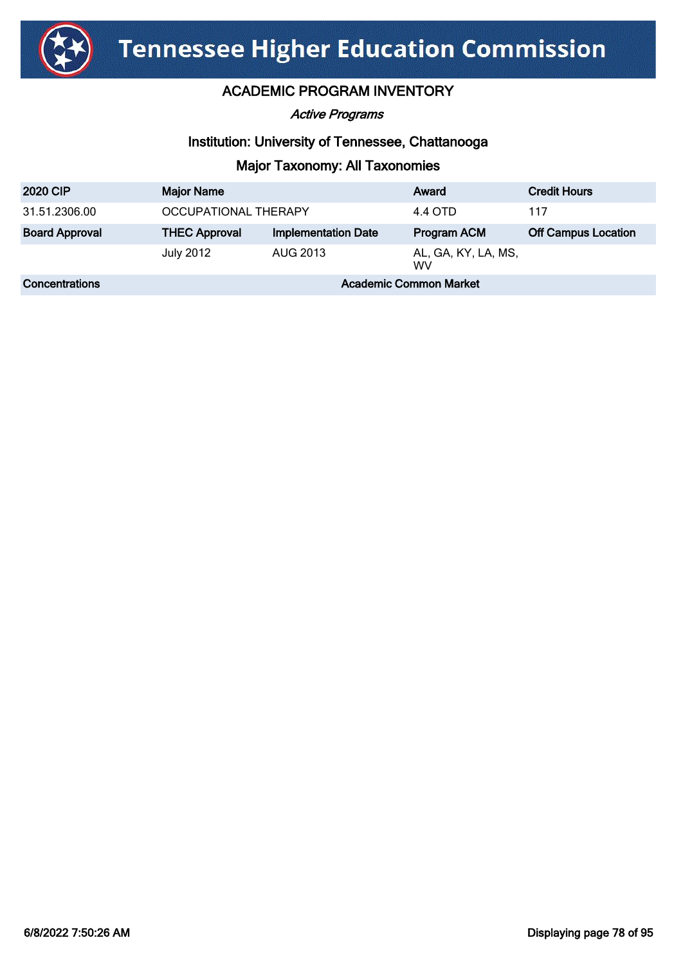

Active Programs

### Institution: University of Tennessee, Chattanooga

| <b>2020 CIP</b>       | <b>Major Name</b>             |                            | Award                            | <b>Credit Hours</b>        |
|-----------------------|-------------------------------|----------------------------|----------------------------------|----------------------------|
| 31.51.2306.00         | OCCUPATIONAL THERAPY          |                            | 4.4 OTD                          | 117                        |
| <b>Board Approval</b> | <b>THEC Approval</b>          | <b>Implementation Date</b> | Program ACM                      | <b>Off Campus Location</b> |
|                       | <b>July 2012</b>              | AUG 2013                   | AL, GA, KY, LA, MS,<br><b>WV</b> |                            |
| Concentrations        | <b>Academic Common Market</b> |                            |                                  |                            |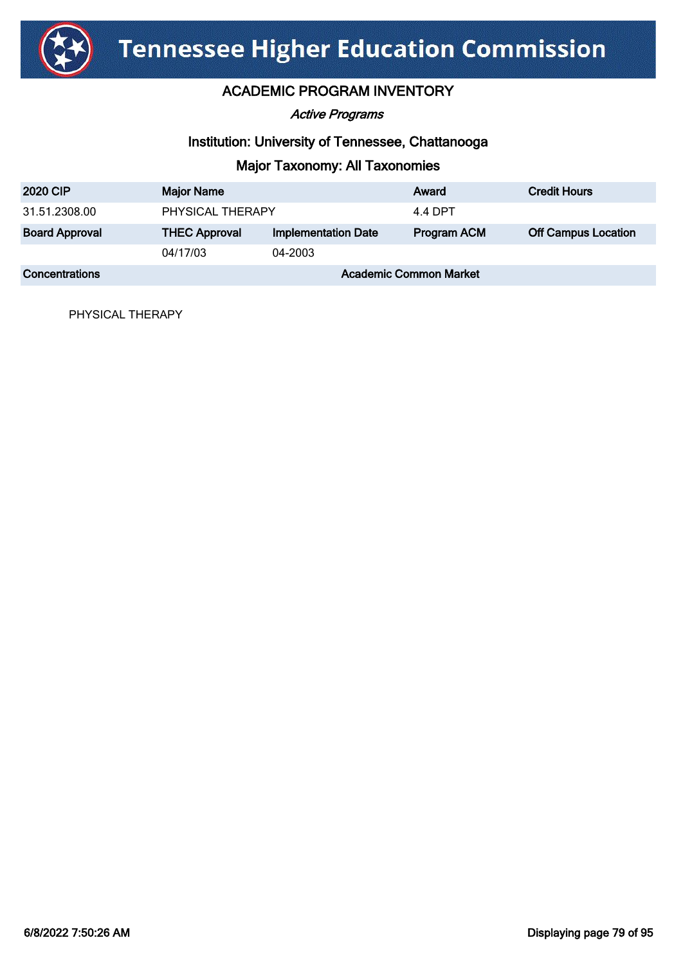

# ACADEMIC PROGRAM INVENTORY

#### Active Programs

#### Institution: University of Tennessee, Chattanooga

# Major Taxonomy: All Taxonomies

| <b>2020 CIP</b>       | <b>Major Name</b>             |                            | Award              | <b>Credit Hours</b>        |
|-----------------------|-------------------------------|----------------------------|--------------------|----------------------------|
| 31.51.2308.00         | PHYSICAL THERAPY              |                            | 4.4 DPT            |                            |
| <b>Board Approval</b> | <b>THEC Approval</b>          | <b>Implementation Date</b> | <b>Program ACM</b> | <b>Off Campus Location</b> |
|                       | 04/17/03                      | 04-2003                    |                    |                            |
| <b>Concentrations</b> | <b>Academic Common Market</b> |                            |                    |                            |

PHYSICAL THERAPY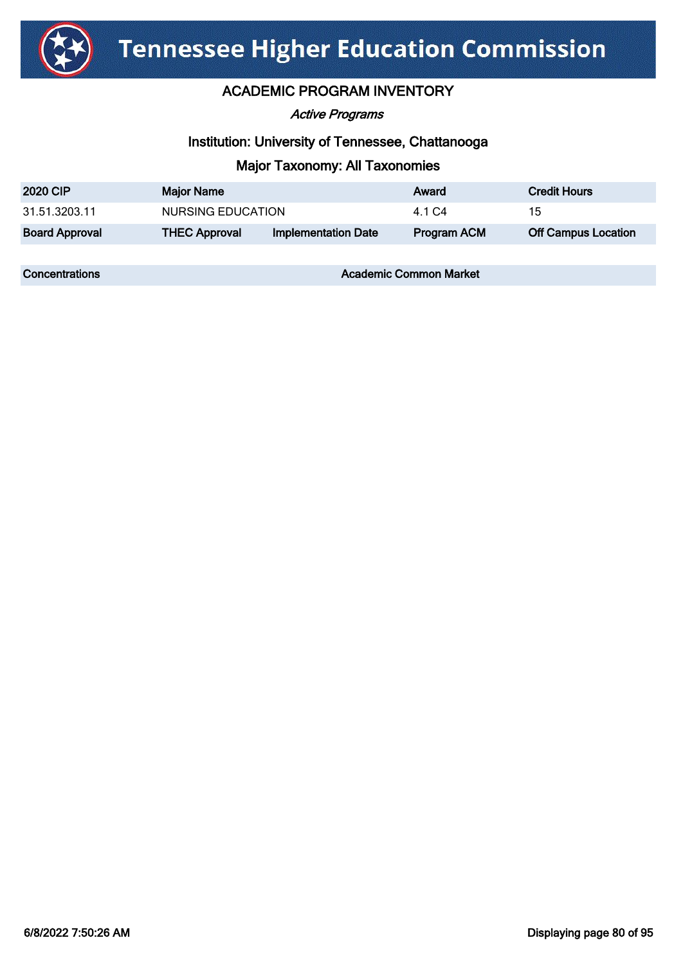

### ACADEMIC PROGRAM INVENTORY

Active Programs

### Institution: University of Tennessee, Chattanooga

# Major Taxonomy: All Taxonomies

| <b>2020 CIP</b>       | <b>Major Name</b>    |                            | Award       | <b>Credit Hours</b>        |
|-----------------------|----------------------|----------------------------|-------------|----------------------------|
| 31.51.3203.11         | NURSING EDUCATION    |                            | 4.1 C4      | 15                         |
| <b>Board Approval</b> | <b>THEC Approval</b> | <b>Implementation Date</b> | Program ACM | <b>Off Campus Location</b> |

**Concentrations Concentrations** Academic Common Market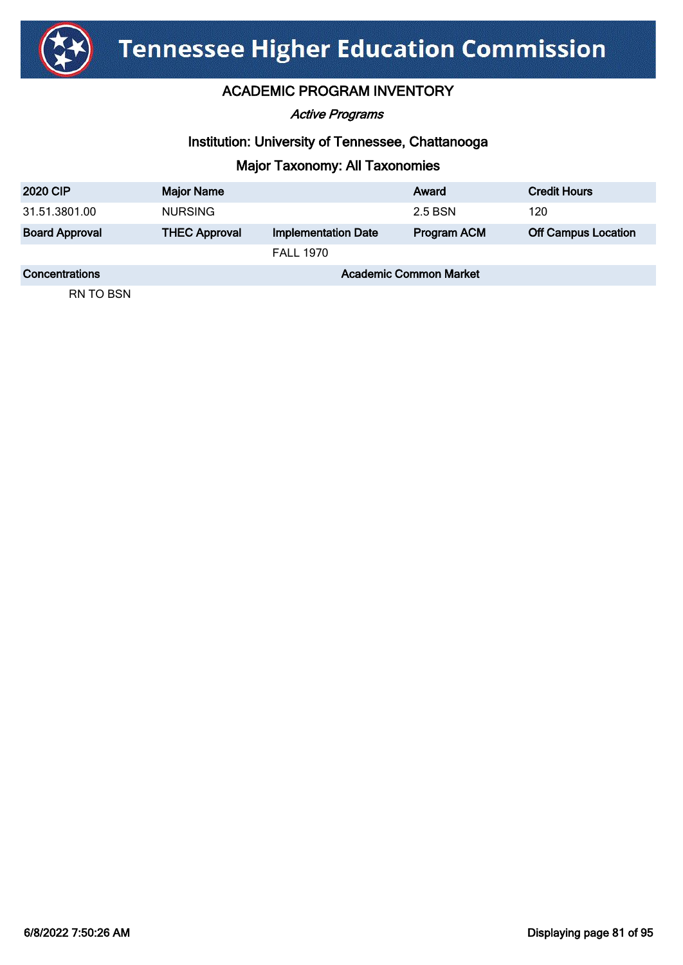

Active Programs

### Institution: University of Tennessee, Chattanooga

# Major Taxonomy: All Taxonomies

| <b>2020 CIP</b>       | <b>Major Name</b>             |                            | Award              | <b>Credit Hours</b>        |
|-----------------------|-------------------------------|----------------------------|--------------------|----------------------------|
| 31.51.3801.00         | <b>NURSING</b>                |                            | 2.5 BSN            | 120                        |
| <b>Board Approval</b> | <b>THEC Approval</b>          | <b>Implementation Date</b> | <b>Program ACM</b> | <b>Off Campus Location</b> |
|                       |                               | <b>FALL 1970</b>           |                    |                            |
| Concentrations        | <b>Academic Common Market</b> |                            |                    |                            |

RN TO BSN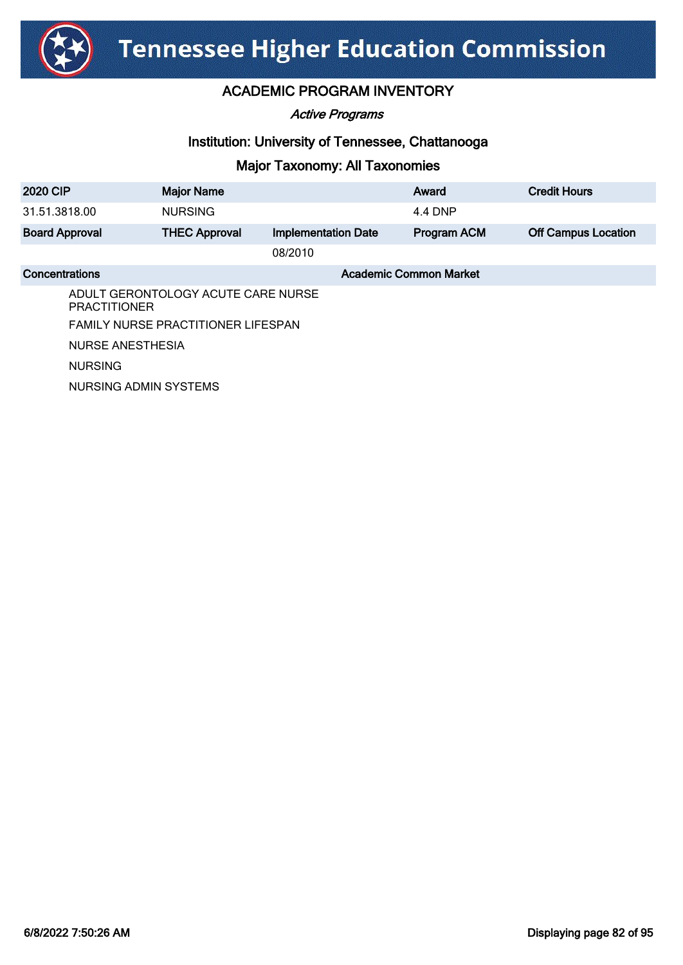

### ACADEMIC PROGRAM INVENTORY

Active Programs

### Institution: University of Tennessee, Chattanooga

| <b>2020 CIP</b>       | <b>Major Name</b>                         |                            | Award                         | <b>Credit Hours</b>        |  |
|-----------------------|-------------------------------------------|----------------------------|-------------------------------|----------------------------|--|
| 31.51.3818.00         | <b>NURSING</b>                            |                            | 4.4 DNP                       |                            |  |
| <b>Board Approval</b> | <b>THEC Approval</b>                      | <b>Implementation Date</b> | Program ACM                   | <b>Off Campus Location</b> |  |
|                       |                                           | 08/2010                    |                               |                            |  |
| Concentrations        |                                           |                            | <b>Academic Common Market</b> |                            |  |
| <b>PRACTITIONER</b>   | ADULT GERONTOLOGY ACUTE CARE NURSE        |                            |                               |                            |  |
|                       | <b>FAMILY NURSE PRACTITIONER LIFESPAN</b> |                            |                               |                            |  |
| NURSE ANESTHESIA      |                                           |                            |                               |                            |  |
| <b>NURSING</b>        |                                           |                            |                               |                            |  |
| NURSING ADMIN SYSTEMS |                                           |                            |                               |                            |  |
|                       |                                           |                            |                               |                            |  |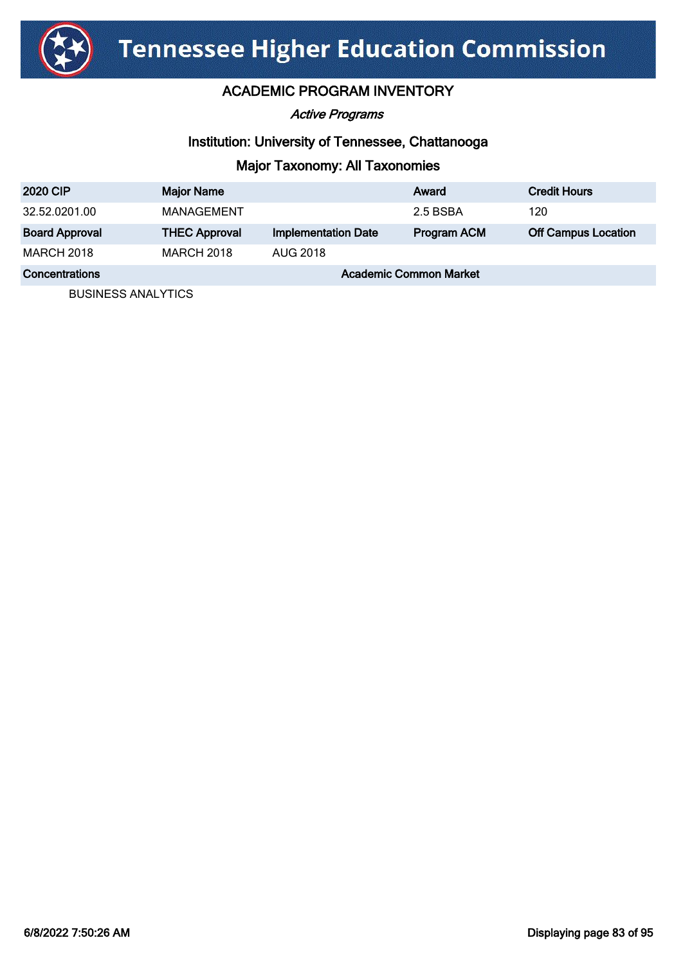

Active Programs

### Institution: University of Tennessee, Chattanooga

# Major Taxonomy: All Taxonomies

| <b>2020 CIP</b>       | <b>Major Name</b>             |                            | Award       | <b>Credit Hours</b>        |
|-----------------------|-------------------------------|----------------------------|-------------|----------------------------|
| 32.52.0201.00         | MANAGEMENT                    |                            | 2.5 BSBA    | 120                        |
| <b>Board Approval</b> | <b>THEC Approval</b>          | <b>Implementation Date</b> | Program ACM | <b>Off Campus Location</b> |
| <b>MARCH 2018</b>     | <b>MARCH 2018</b>             | <b>AUG 2018</b>            |             |                            |
| Concentrations        | <b>Academic Common Market</b> |                            |             |                            |

BUSINESS ANALYTICS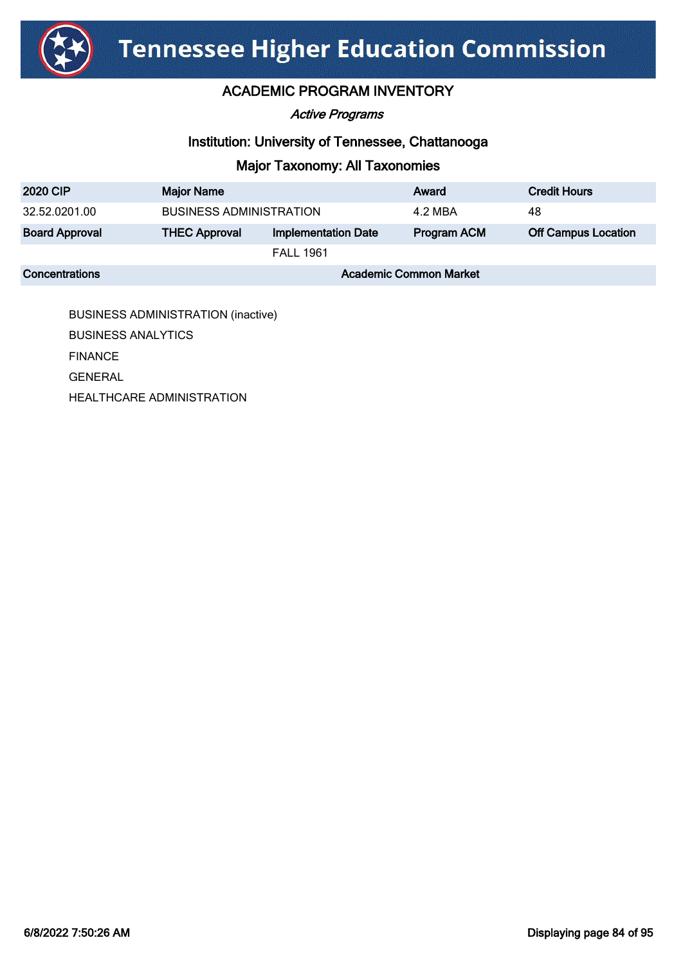

# ACADEMIC PROGRAM INVENTORY

#### Active Programs

### Institution: University of Tennessee, Chattanooga

# Major Taxonomy: All Taxonomies

| <b>2020 CIP</b>       | <b>Major Name</b>              |                            | Award       | <b>Credit Hours</b>        |
|-----------------------|--------------------------------|----------------------------|-------------|----------------------------|
| 32.52.0201.00         | <b>BUSINESS ADMINISTRATION</b> |                            | 4.2 MBA     | 48                         |
| <b>Board Approval</b> | <b>THEC Approval</b>           | <b>Implementation Date</b> | Program ACM | <b>Off Campus Location</b> |
|                       |                                | <b>FALL 1961</b>           |             |                            |
| Concentrations        | <b>Academic Common Market</b>  |                            |             |                            |

BUSINESS ADMINISTRATION (inactive) BUSINESS ANALYTICS FINANCE GENERAL HEALTHCARE ADMINISTRATION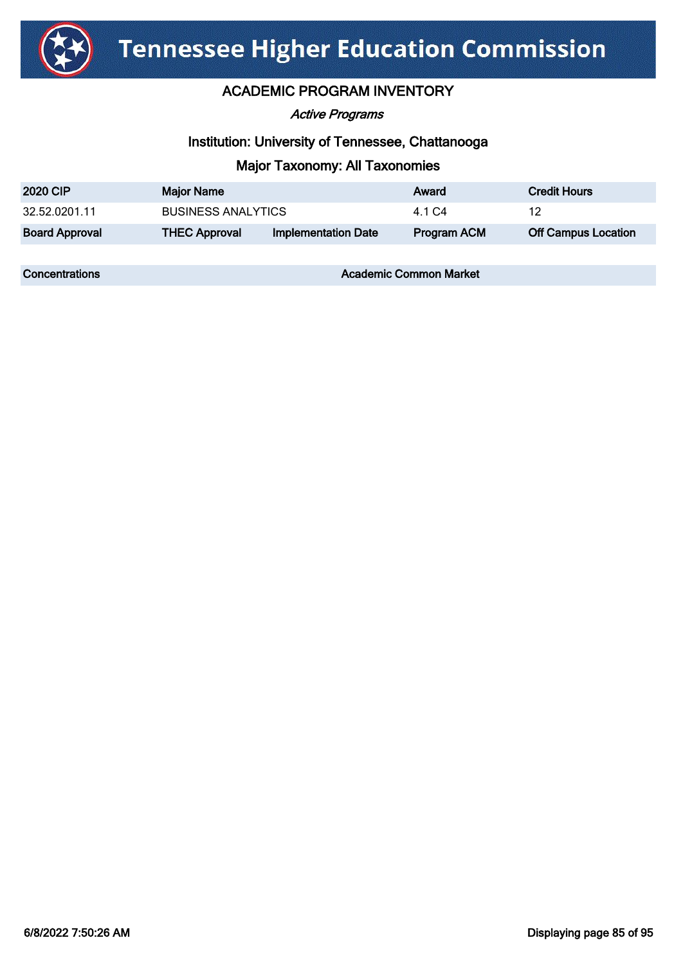

### ACADEMIC PROGRAM INVENTORY

Active Programs

### Institution: University of Tennessee, Chattanooga

### Major Taxonomy: All Taxonomies

| <b>2020 CIP</b>       | <b>Major Name</b>         |                            | Award       | <b>Credit Hours</b>        |
|-----------------------|---------------------------|----------------------------|-------------|----------------------------|
| 32.52.0201.11         | <b>BUSINESS ANALYTICS</b> |                            | 4 1 C.4     | 12                         |
| <b>Board Approval</b> | <b>THEC Approval</b>      | <b>Implementation Date</b> | Program ACM | <b>Off Campus Location</b> |

**Concentrations Concentrations** Academic Common Market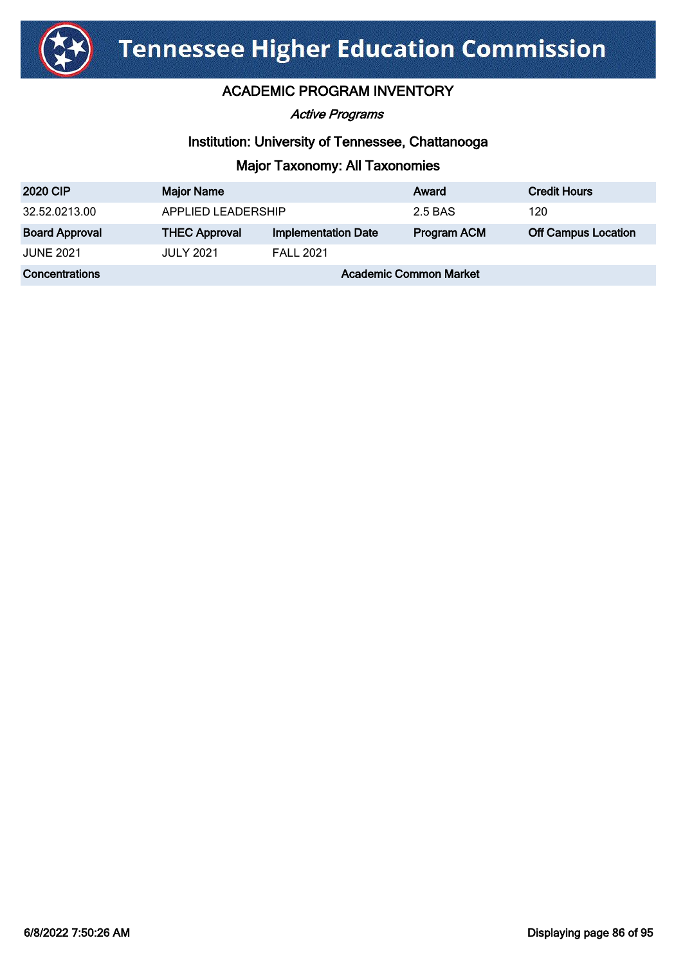

Active Programs

### Institution: University of Tennessee, Chattanooga

| <b>2020 CIP</b>       | <b>Major Name</b>             |                            | Award              | <b>Credit Hours</b>        |
|-----------------------|-------------------------------|----------------------------|--------------------|----------------------------|
| 32.52.0213.00         | APPLIED LEADERSHIP            |                            | 2.5 BAS            | 120                        |
| <b>Board Approval</b> | <b>THEC Approval</b>          | <b>Implementation Date</b> | <b>Program ACM</b> | <b>Off Campus Location</b> |
| <b>JUNE 2021</b>      | <b>JULY 2021</b>              | <b>FALL 2021</b>           |                    |                            |
| <b>Concentrations</b> | <b>Academic Common Market</b> |                            |                    |                            |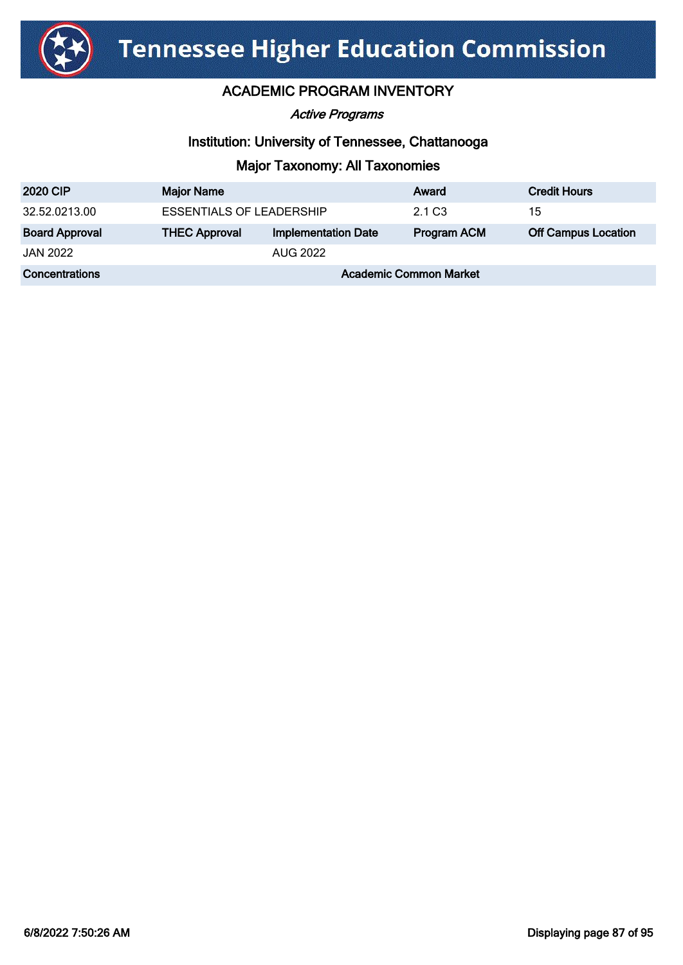

Active Programs

### Institution: University of Tennessee, Chattanooga

| <b>2020 CIP</b>       | <b>Major Name</b>               |                            | Award              | <b>Credit Hours</b>        |
|-----------------------|---------------------------------|----------------------------|--------------------|----------------------------|
| 32.52.0213.00         | <b>ESSENTIALS OF LEADERSHIP</b> |                            | 2.1 C <sub>3</sub> | 15                         |
| <b>Board Approval</b> | <b>THEC Approval</b>            | <b>Implementation Date</b> | <b>Program ACM</b> | <b>Off Campus Location</b> |
| JAN 2022              |                                 | AUG 2022                   |                    |                            |
| <b>Concentrations</b> | <b>Academic Common Market</b>   |                            |                    |                            |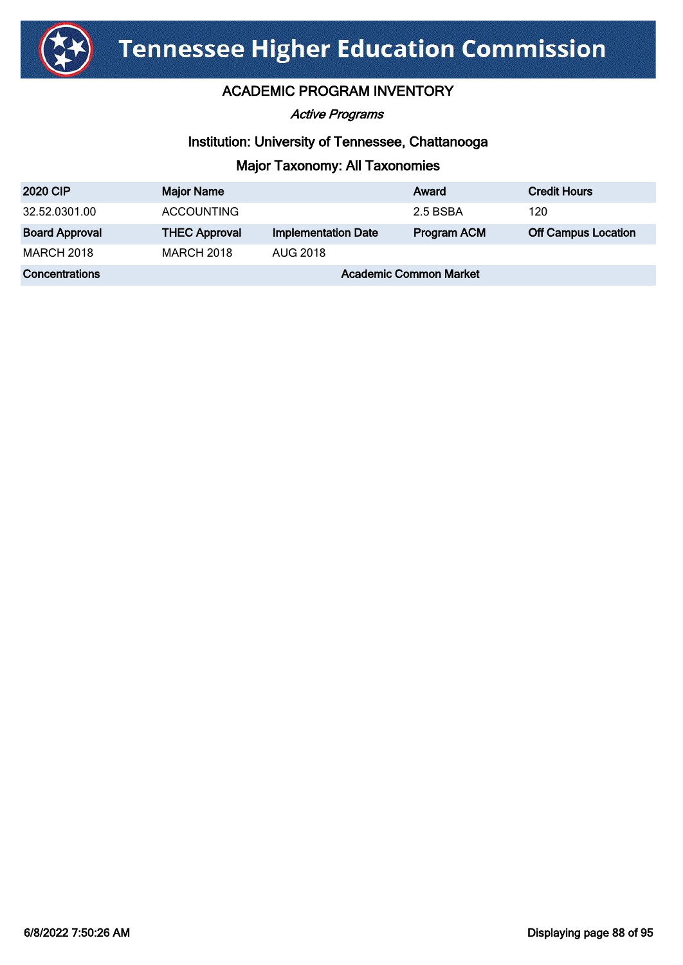

Active Programs

### Institution: University of Tennessee, Chattanooga

| <b>2020 CIP</b>       | <b>Major Name</b>             |                            | Award              | <b>Credit Hours</b>        |
|-----------------------|-------------------------------|----------------------------|--------------------|----------------------------|
| 32.52.0301.00         | <b>ACCOUNTING</b>             |                            | 2.5 BSBA           | 120                        |
| <b>Board Approval</b> | <b>THEC Approval</b>          | <b>Implementation Date</b> | <b>Program ACM</b> | <b>Off Campus Location</b> |
| <b>MARCH 2018</b>     | <b>MARCH 2018</b>             | <b>AUG 2018</b>            |                    |                            |
| <b>Concentrations</b> | <b>Academic Common Market</b> |                            |                    |                            |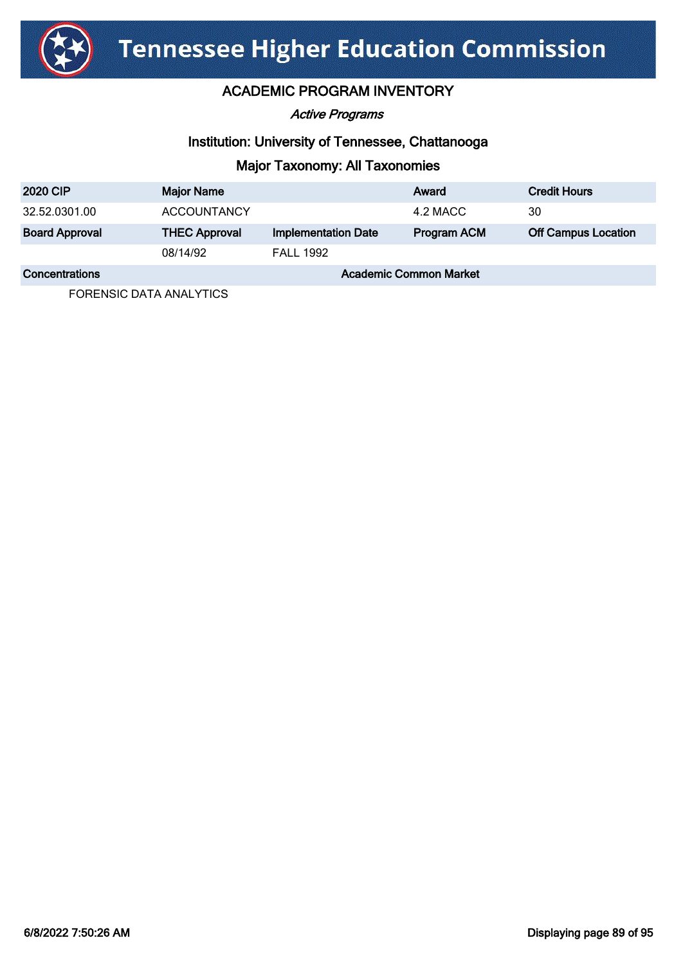

Active Programs

### Institution: University of Tennessee, Chattanooga

# Major Taxonomy: All Taxonomies

| <b>2020 CIP</b>       | <b>Major Name</b>             |                            | Award              | <b>Credit Hours</b>        |
|-----------------------|-------------------------------|----------------------------|--------------------|----------------------------|
| 32.52.0301.00         | <b>ACCOUNTANCY</b>            |                            | 4.2 MACC           | 30                         |
| <b>Board Approval</b> | <b>THEC Approval</b>          | <b>Implementation Date</b> | <b>Program ACM</b> | <b>Off Campus Location</b> |
|                       | 08/14/92                      | <b>FALL 1992</b>           |                    |                            |
| Concentrations        | <b>Academic Common Market</b> |                            |                    |                            |

FORENSIC DATA ANALYTICS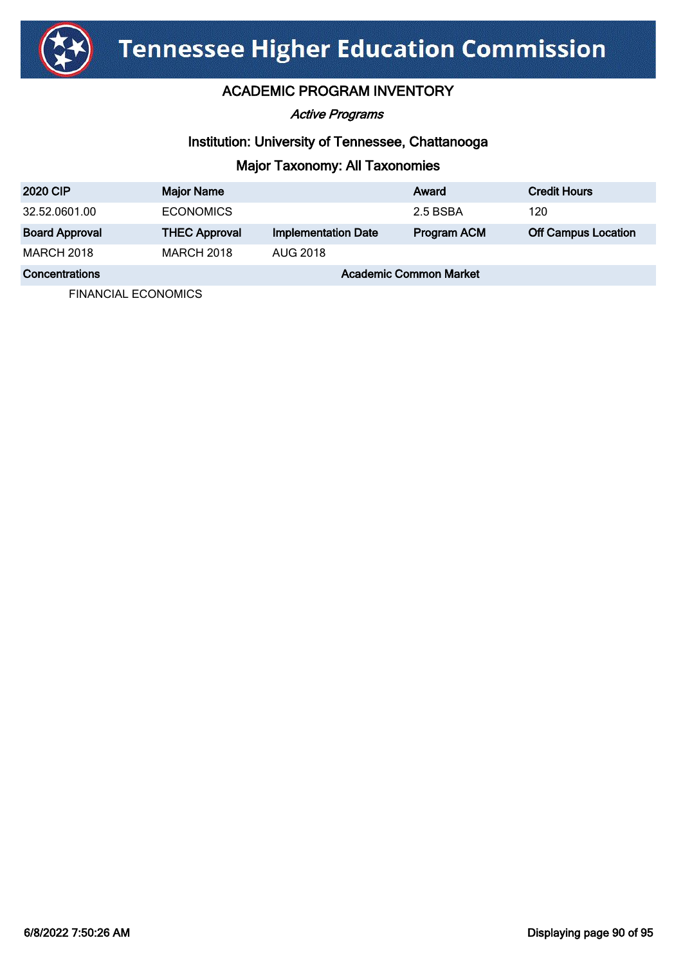

Active Programs

### Institution: University of Tennessee, Chattanooga

# Major Taxonomy: All Taxonomies

| <b>2020 CIP</b>       | <b>Major Name</b>    |                            | Award                         | <b>Credit Hours</b>        |
|-----------------------|----------------------|----------------------------|-------------------------------|----------------------------|
| 32.52.0601.00         | <b>ECONOMICS</b>     |                            | 2.5 BSBA                      | 120                        |
| <b>Board Approval</b> | <b>THEC Approval</b> | <b>Implementation Date</b> | Program ACM                   | <b>Off Campus Location</b> |
| <b>MARCH 2018</b>     | <b>MARCH 2018</b>    | <b>AUG 2018</b>            |                               |                            |
| Concentrations        |                      |                            | <b>Academic Common Market</b> |                            |

FINANCIAL ECONOMICS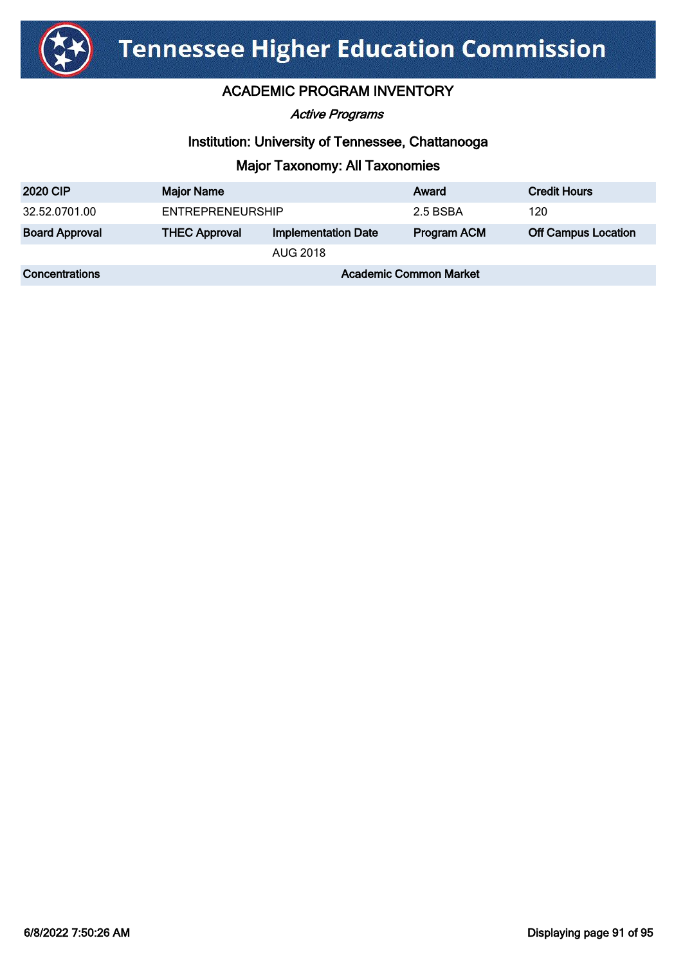

Active Programs

### Institution: University of Tennessee, Chattanooga

| <b>2020 CIP</b>       | <b>Major Name</b>             |                            | Award              | <b>Credit Hours</b>        |
|-----------------------|-------------------------------|----------------------------|--------------------|----------------------------|
| 32.52.0701.00         | <b>ENTREPRENEURSHIP</b>       |                            | 2.5 BSBA           | 120                        |
| <b>Board Approval</b> | <b>THEC Approval</b>          | <b>Implementation Date</b> | <b>Program ACM</b> | <b>Off Campus Location</b> |
|                       |                               | AUG 2018                   |                    |                            |
| <b>Concentrations</b> | <b>Academic Common Market</b> |                            |                    |                            |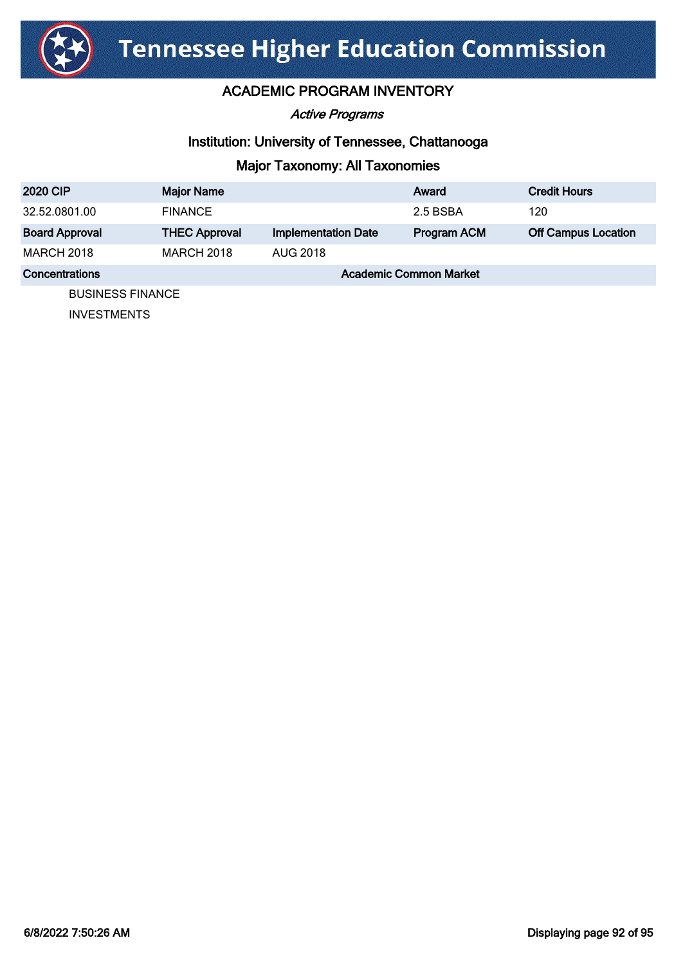

Active Programs

### Institution: University of Tennessee, Chattanooga

# Major Taxonomy: All Taxonomies

| <b>2020 CIP</b>       | <b>Major Name</b>    |                            | Award                         | <b>Credit Hours</b>        |
|-----------------------|----------------------|----------------------------|-------------------------------|----------------------------|
| 32.52.0801.00         | <b>FINANCE</b>       |                            | 2.5 BSBA                      | 120                        |
| <b>Board Approval</b> | <b>THEC Approval</b> | <b>Implementation Date</b> | Program ACM                   | <b>Off Campus Location</b> |
| <b>MARCH 2018</b>     | <b>MARCH 2018</b>    | <b>AUG 2018</b>            |                               |                            |
| Concentrations        |                      |                            | <b>Academic Common Market</b> |                            |
| DI ICINIECO EINIANOE  |                      |                            |                               |                            |

BUSINESS FINANCE

INVESTMENTS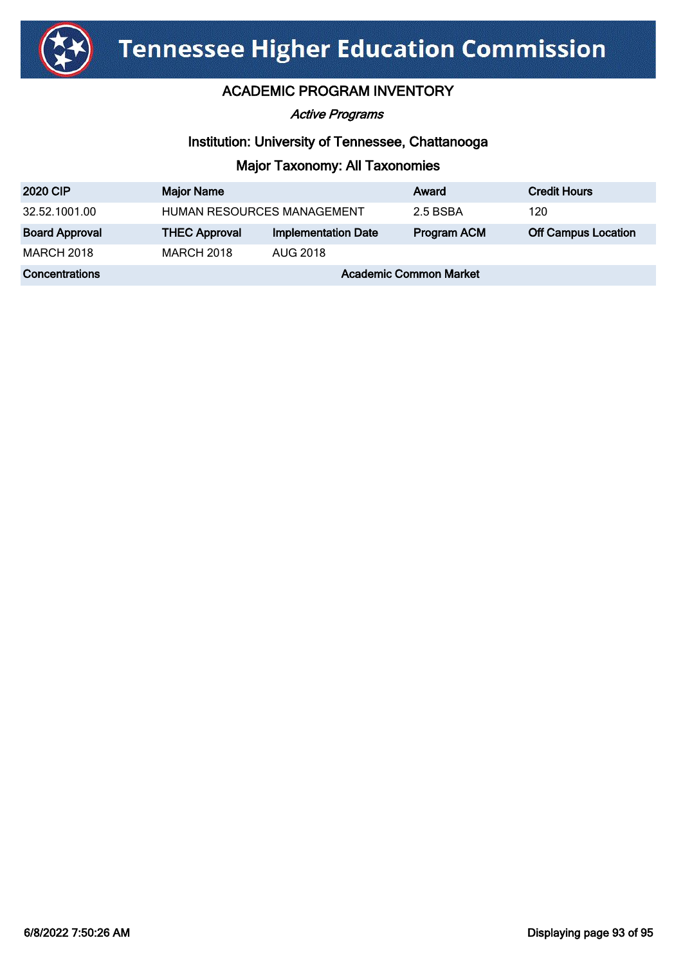

Active Programs

### Institution: University of Tennessee, Chattanooga

| <b>2020 CIP</b>       | <b>Major Name</b>             |                            | Award              | <b>Credit Hours</b>        |
|-----------------------|-------------------------------|----------------------------|--------------------|----------------------------|
| 32.52.1001.00         | HUMAN RESOURCES MANAGEMENT    |                            | 2.5 BSBA           | 120                        |
| <b>Board Approval</b> | <b>THEC Approval</b>          | <b>Implementation Date</b> | <b>Program ACM</b> | <b>Off Campus Location</b> |
| <b>MARCH 2018</b>     | <b>MARCH 2018</b>             | AUG 2018                   |                    |                            |
| Concentrations        | <b>Academic Common Market</b> |                            |                    |                            |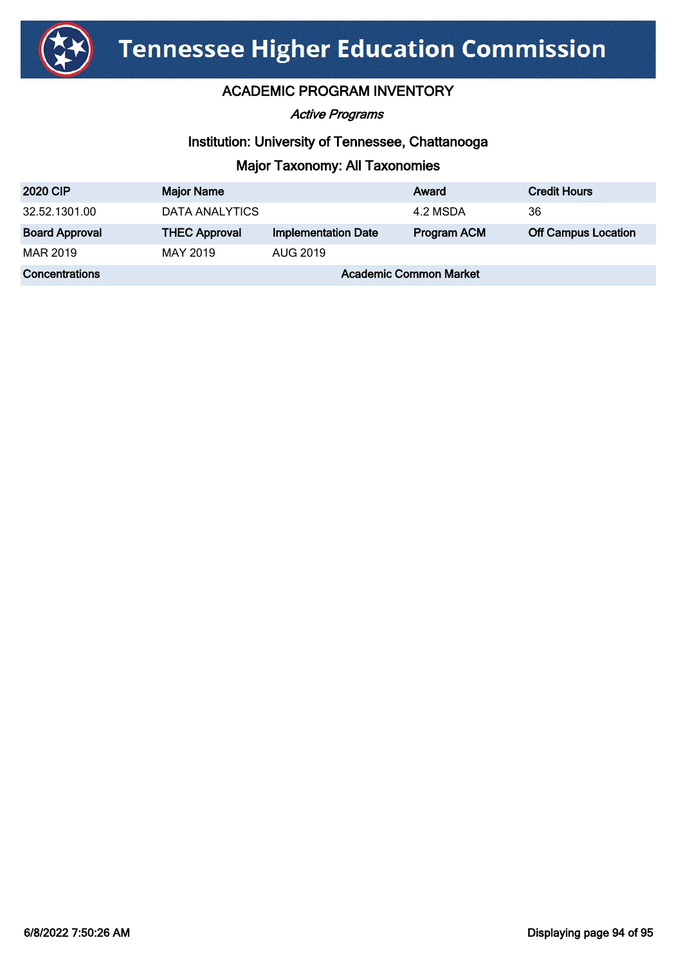

Active Programs

### Institution: University of Tennessee, Chattanooga

| <b>2020 CIP</b>       | <b>Major Name</b>             |                            | Award              | <b>Credit Hours</b>        |
|-----------------------|-------------------------------|----------------------------|--------------------|----------------------------|
| 32.52.1301.00         | DATA ANALYTICS                |                            | 4.2 MSDA           | 36                         |
| <b>Board Approval</b> | <b>THEC Approval</b>          | <b>Implementation Date</b> | <b>Program ACM</b> | <b>Off Campus Location</b> |
| MAR 2019              | MAY 2019                      | AUG 2019                   |                    |                            |
| <b>Concentrations</b> | <b>Academic Common Market</b> |                            |                    |                            |